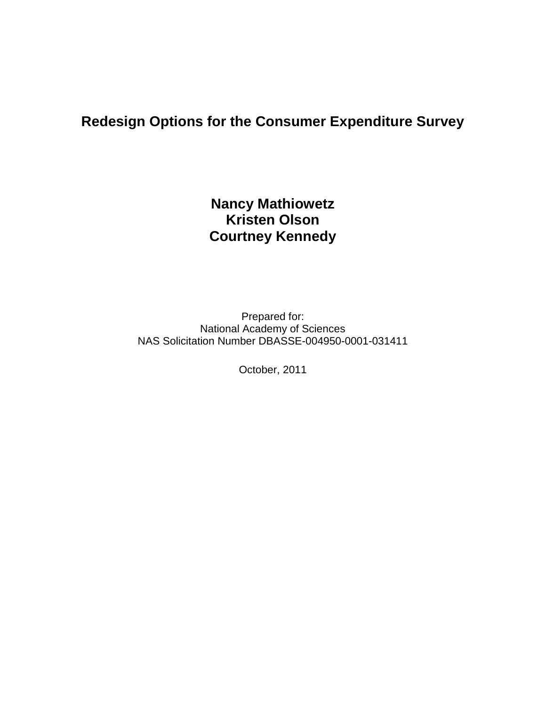# **Redesign Options for the Consumer Expenditure Survey**

# **Nancy Mathiowetz Kristen Olson Courtney Kennedy**

Prepared for: National Academy of Sciences NAS Solicitation Number DBASSE-004950-0001-031411

October, 2011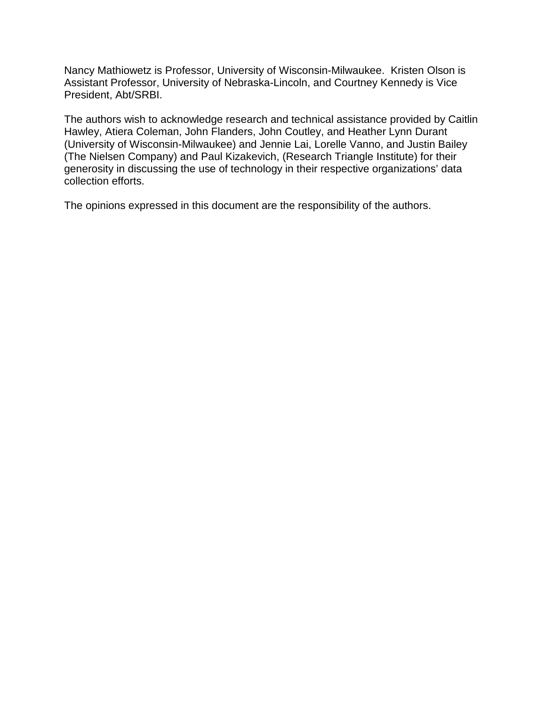Nancy Mathiowetz is Professor, University of Wisconsin-Milwaukee. Kristen Olson is Assistant Professor, University of Nebraska-Lincoln, and Courtney Kennedy is Vice President, Abt/SRBI.

The authors wish to acknowledge research and technical assistance provided by Caitlin Hawley, Atiera Coleman, John Flanders, John Coutley, and Heather Lynn Durant (University of Wisconsin-Milwaukee) and Jennie Lai, Lorelle Vanno, and Justin Bailey (The Nielsen Company) and Paul Kizakevich, (Research Triangle Institute) for their generosity in discussing the use of technology in their respective organizations' data collection efforts.

The opinions expressed in this document are the responsibility of the authors.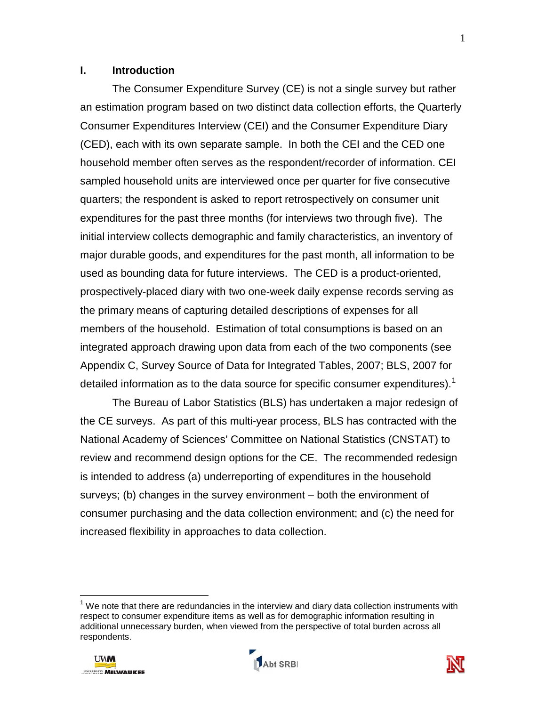#### **I. Introduction**

The Consumer Expenditure Survey (CE) is not a single survey but rather an estimation program based on two distinct data collection efforts, the Quarterly Consumer Expenditures Interview (CEI) and the Consumer Expenditure Diary (CED), each with its own separate sample. In both the CEI and the CED one household member often serves as the respondent/recorder of information. CEI sampled household units are interviewed once per quarter for five consecutive quarters; the respondent is asked to report retrospectively on consumer unit expenditures for the past three months (for interviews two through five). The initial interview collects demographic and family characteristics, an inventory of major durable goods, and expenditures for the past month, all information to be used as bounding data for future interviews. The CED is a product-oriented, prospectively-placed diary with two one-week daily expense records serving as the primary means of capturing detailed descriptions of expenses for all members of the household. Estimation of total consumptions is based on an integrated approach drawing upon data from each of the two components (see Appendix C, Survey Source of Data for Integrated Tables, 2007; BLS, 2007 for detailed information as to the data source for specific consumer expenditures).<sup>[1](#page-2-0)</sup>

The Bureau of Labor Statistics (BLS) has undertaken a major redesign of the CE surveys. As part of this multi-year process, BLS has contracted with the National Academy of Sciences' Committee on National Statistics (CNSTAT) to review and recommend design options for the CE. The recommended redesign is intended to address (a) underreporting of expenditures in the household surveys; (b) changes in the survey environment – both the environment of consumer purchasing and the data collection environment; and (c) the need for increased flexibility in approaches to data collection.

<span id="page-2-0"></span> $\overline{a}$  $<sup>1</sup>$  We note that there are redundancies in the interview and diary data collection instruments with</sup> respect to consumer expenditure items as well as for demographic information resulting in additional unnecessary burden, when viewed from the perspective of total burden across all respondents.





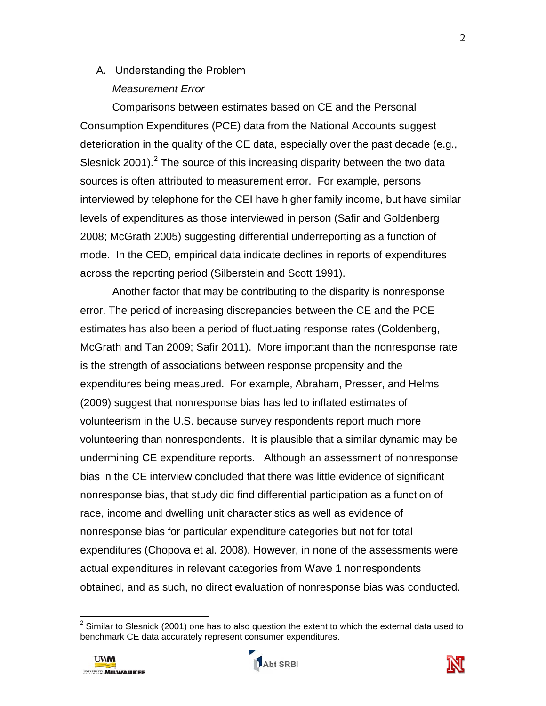# A. Understanding the Problem *Measurement Error*

Comparisons between estimates based on CE and the Personal Consumption Expenditures (PCE) data from the National Accounts suggest deterioration in the quality of the CE data, especially over the past decade (e.g., Slesnick [2](#page-3-0)001).<sup>2</sup> The source of this increasing disparity between the two data sources is often attributed to measurement error. For example, persons interviewed by telephone for the CEI have higher family income, but have similar levels of expenditures as those interviewed in person (Safir and Goldenberg 2008; McGrath 2005) suggesting differential underreporting as a function of mode. In the CED, empirical data indicate declines in reports of expenditures across the reporting period (Silberstein and Scott 1991).

Another factor that may be contributing to the disparity is nonresponse error. The period of increasing discrepancies between the CE and the PCE estimates has also been a period of fluctuating response rates (Goldenberg, McGrath and Tan 2009; Safir 2011). More important than the nonresponse rate is the strength of associations between response propensity and the expenditures being measured. For example, Abraham, Presser, and Helms (2009) suggest that nonresponse bias has led to inflated estimates of volunteerism in the U.S. because survey respondents report much more volunteering than nonrespondents. It is plausible that a similar dynamic may be undermining CE expenditure reports. Although an assessment of nonresponse bias in the CE interview concluded that there was little evidence of significant nonresponse bias, that study did find differential participation as a function of race, income and dwelling unit characteristics as well as evidence of nonresponse bias for particular expenditure categories but not for total expenditures (Chopova et al. 2008). However, in none of the assessments were actual expenditures in relevant categories from Wave 1 nonrespondents obtained, and as such, no direct evaluation of nonresponse bias was conducted.

 $\overline{\phantom{a}}$ 





<span id="page-3-0"></span> $2$  Similar to Slesnick (2001) one has to also question the extent to which the external data used to benchmark CE data accurately represent consumer expenditures.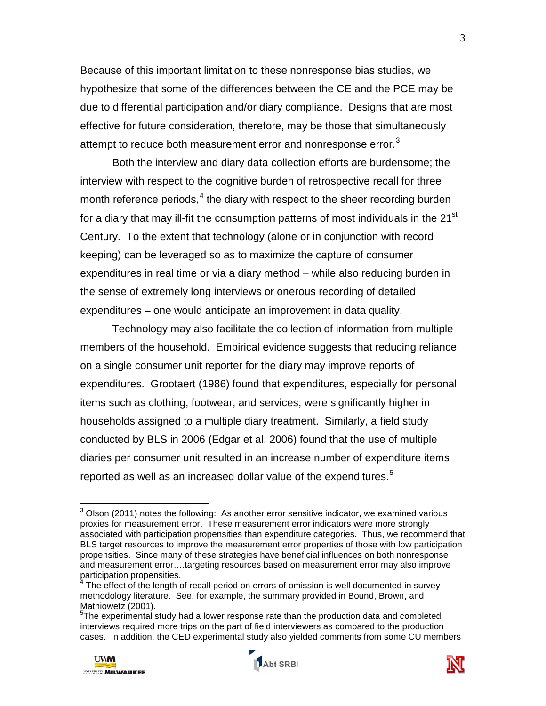Because of this important limitation to these nonresponse bias studies, we hypothesize that some of the differences between the CE and the PCE may be due to differential participation and/or diary compliance. Designs that are most effective for future consideration, therefore, may be those that simultaneously attempt to reduce both measurement error and nonresponse error.<sup>[3](#page-4-0)</sup>

Both the interview and diary data collection efforts are burdensome; the interview with respect to the cognitive burden of retrospective recall for three month reference periods,<sup>[4](#page-4-1)</sup> the diary with respect to the sheer recording burden for a diary that may ill-fit the consumption patterns of most individuals in the 21<sup>st</sup> Century. To the extent that technology (alone or in conjunction with record keeping) can be leveraged so as to maximize the capture of consumer expenditures in real time or via a diary method – while also reducing burden in the sense of extremely long interviews or onerous recording of detailed expenditures – one would anticipate an improvement in data quality.

Technology may also facilitate the collection of information from multiple members of the household. Empirical evidence suggests that reducing reliance on a single consumer unit reporter for the diary may improve reports of expenditures. Grootaert (1986) found that expenditures, especially for personal items such as clothing, footwear, and services, were significantly higher in households assigned to a multiple diary treatment. Similarly, a field study conducted by BLS in 2006 (Edgar et al. 2006) found that the use of multiple diaries per consumer unit resulted in an increase number of expenditure items reported as well as an increased dollar value of the expenditures.<sup>[5](#page-4-2)</sup>

<span id="page-4-2"></span><sup>&</sup>lt;sup>5</sup>The experimental study had a lower response rate than the production data and completed interviews required more trips on the part of field interviewers as compared to the production cases. In addition, the CED experimental study also yielded comments from some CU members



 $\overline{\phantom{a}}$ 





<span id="page-4-0"></span> $3$  Olson (2011) notes the following: As another error sensitive indicator, we examined various proxies for measurement error. These measurement error indicators were more strongly associated with participation propensities than expenditure categories. Thus, we recommend that BLS target resources to improve the measurement error properties of those with low participation propensities. Since many of these strategies have beneficial influences on both nonresponse and measurement error….targeting resources based on measurement error may also improve participation propensities.

<span id="page-4-1"></span> $4$  The effect of the length of recall period on errors of omission is well documented in survey methodology literature. See, for example, the summary provided in Bound, Brown, and Mathiowetz (2001).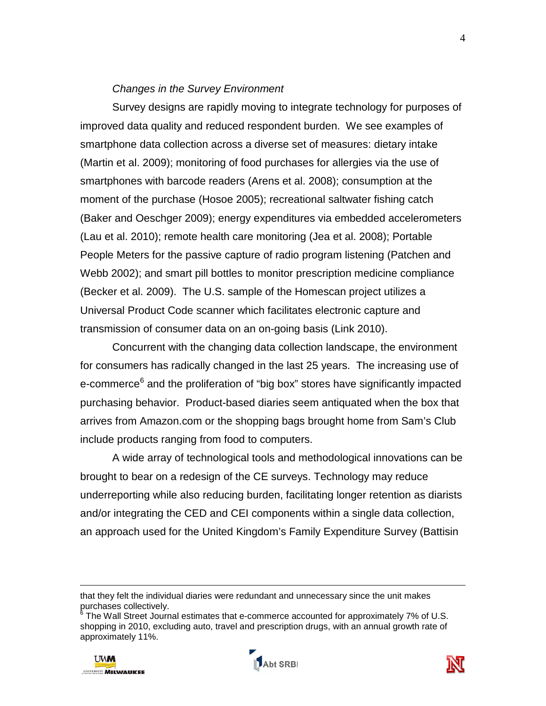#### *Changes in the Survey Environment*

Survey designs are rapidly moving to integrate technology for purposes of improved data quality and reduced respondent burden. We see examples of smartphone data collection across a diverse set of measures: dietary intake (Martin et al. 2009); monitoring of food purchases for allergies via the use of smartphones with barcode readers (Arens et al. 2008); consumption at the moment of the purchase (Hosoe 2005); recreational saltwater fishing catch (Baker and Oeschger 2009); energy expenditures via embedded accelerometers (Lau et al. 2010); remote health care monitoring (Jea et al. 2008); Portable People Meters for the passive capture of radio program listening (Patchen and Webb 2002); and smart pill bottles to monitor prescription medicine compliance (Becker et al. 2009). The U.S. sample of the Homescan project utilizes a Universal Product Code scanner which facilitates electronic capture and transmission of consumer data on an on-going basis (Link 2010).

Concurrent with the changing data collection landscape, the environment for consumers has radically changed in the last 25 years. The increasing use of e-commerce<sup>[6](#page-5-0)</sup> and the proliferation of "big box" stores have significantly impacted purchasing behavior. Product-based diaries seem antiquated when the box that arrives from Amazon.com or the shopping bags brought home from Sam's Club include products ranging from food to computers.

 A wide array of technological tools and methodological innovations can be brought to bear on a redesign of the CE surveys. Technology may reduce underreporting while also reducing burden, facilitating longer retention as diarists and/or integrating the CED and CEI components within a single data collection, an approach used for the United Kingdom's Family Expenditure Survey (Battisin

<span id="page-5-0"></span> $6$  The Wall Street Journal estimates that e-commerce accounted for approximately 7% of U.S. shopping in 2010, excluding auto, travel and prescription drugs, with an annual growth rate of approximately 11%.







that they felt the individual diaries were redundant and unnecessary since the unit makes purchases collectively.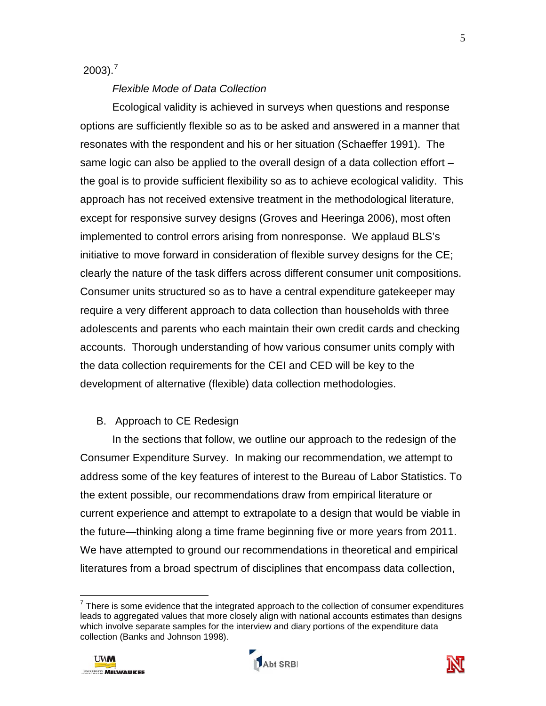$2003$ ).<sup>[7](#page-6-0)</sup>

#### *Flexible Mode of Data Collection*

Ecological validity is achieved in surveys when questions and response options are sufficiently flexible so as to be asked and answered in a manner that resonates with the respondent and his or her situation (Schaeffer 1991). The same logic can also be applied to the overall design of a data collection effort – the goal is to provide sufficient flexibility so as to achieve ecological validity. This approach has not received extensive treatment in the methodological literature, except for responsive survey designs (Groves and Heeringa 2006), most often implemented to control errors arising from nonresponse. We applaud BLS's initiative to move forward in consideration of flexible survey designs for the CE; clearly the nature of the task differs across different consumer unit compositions. Consumer units structured so as to have a central expenditure gatekeeper may require a very different approach to data collection than households with three adolescents and parents who each maintain their own credit cards and checking accounts. Thorough understanding of how various consumer units comply with the data collection requirements for the CEI and CED will be key to the development of alternative (flexible) data collection methodologies.

#### B. Approach to CE Redesign

In the sections that follow, we outline our approach to the redesign of the Consumer Expenditure Survey. In making our recommendation, we attempt to address some of the key features of interest to the Bureau of Labor Statistics. To the extent possible, our recommendations draw from empirical literature or current experience and attempt to extrapolate to a design that would be viable in the future—thinking along a time frame beginning five or more years from 2011. We have attempted to ground our recommendations in theoretical and empirical literatures from a broad spectrum of disciplines that encompass data collection,





<span id="page-6-0"></span> $7$  There is some evidence that the integrated approach to the collection of consumer expenditures leads to aggregated values that more closely align with national accounts estimates than designs which involve separate samples for the interview and diary portions of the expenditure data collection (Banks and Johnson 1998).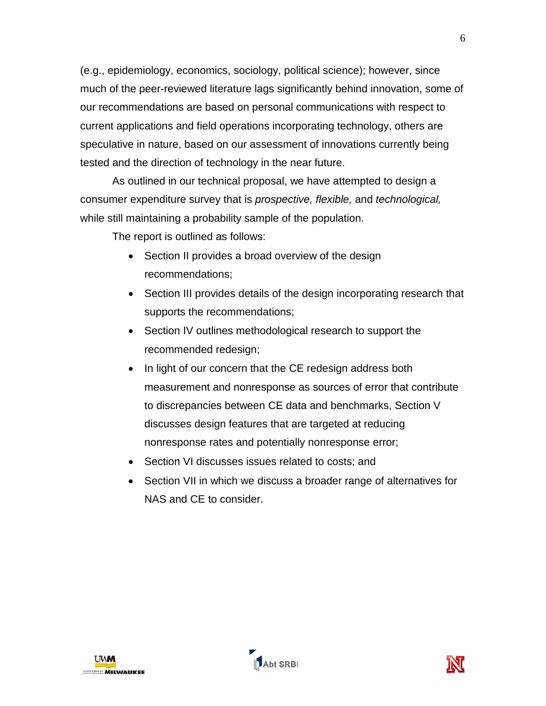(e.g., epidemiology, economics, sociology, political science); however, since much of the peer-reviewed literature lags significantly behind innovation, some of our recommendations are based on personal communications with respect to current applications and field operations incorporating technology, others are speculative in nature, based on our assessment of innovations currently being tested and the direction of technology in the near future.

As outlined in our technical proposal, we have attempted to design a consumer expenditure survey that is *prospective, flexible,* and *technological,*  while still maintaining a probability sample of the population.

The report is outlined as follows:

- Section II provides a broad overview of the design recommendations;
- Section III provides details of the design incorporating research that supports the recommendations;
- Section IV outlines methodological research to support the recommended redesign;
- In light of our concern that the CE redesign address both measurement and nonresponse as sources of error that contribute to discrepancies between CE data and benchmarks, Section V discusses design features that are targeted at reducing nonresponse rates and potentially nonresponse error;
- Section VI discusses issues related to costs; and
- Section VII in which we discuss a broader range of alternatives for NAS and CE to consider.



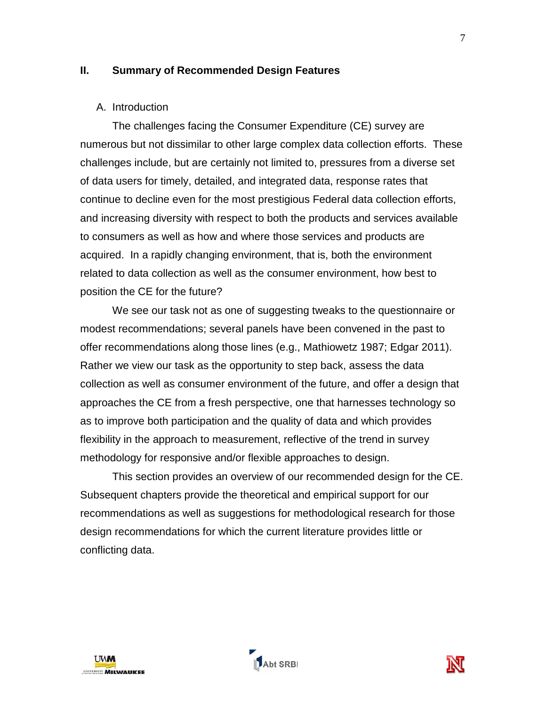#### **II. Summary of Recommended Design Features**

#### A. Introduction

The challenges facing the Consumer Expenditure (CE) survey are numerous but not dissimilar to other large complex data collection efforts. These challenges include, but are certainly not limited to, pressures from a diverse set of data users for timely, detailed, and integrated data, response rates that continue to decline even for the most prestigious Federal data collection efforts, and increasing diversity with respect to both the products and services available to consumers as well as how and where those services and products are acquired. In a rapidly changing environment, that is, both the environment related to data collection as well as the consumer environment, how best to position the CE for the future?

We see our task not as one of suggesting tweaks to the questionnaire or modest recommendations; several panels have been convened in the past to offer recommendations along those lines (e.g., Mathiowetz 1987; Edgar 2011). Rather we view our task as the opportunity to step back, assess the data collection as well as consumer environment of the future, and offer a design that approaches the CE from a fresh perspective, one that harnesses technology so as to improve both participation and the quality of data and which provides flexibility in the approach to measurement, reflective of the trend in survey methodology for responsive and/or flexible approaches to design.

This section provides an overview of our recommended design for the CE. Subsequent chapters provide the theoretical and empirical support for our recommendations as well as suggestions for methodological research for those design recommendations for which the current literature provides little or conflicting data.





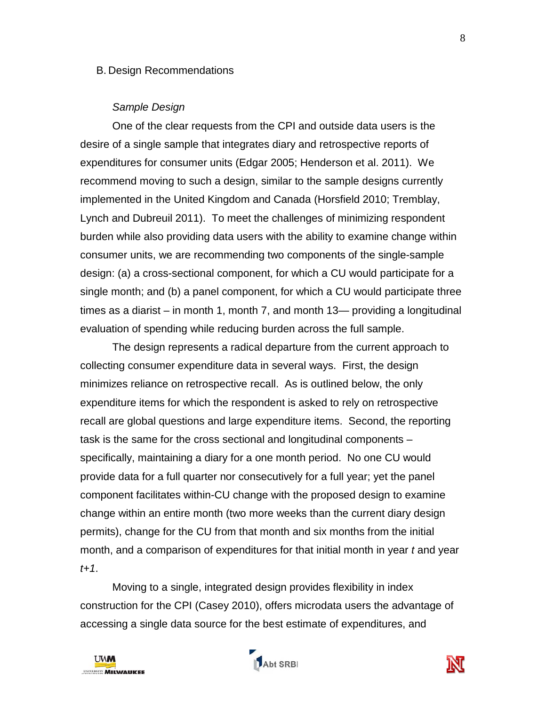#### B. Design Recommendations

#### *Sample Design*

One of the clear requests from the CPI and outside data users is the desire of a single sample that integrates diary and retrospective reports of expenditures for consumer units (Edgar 2005; Henderson et al. 2011). We recommend moving to such a design, similar to the sample designs currently implemented in the United Kingdom and Canada (Horsfield 2010; Tremblay, Lynch and Dubreuil 2011). To meet the challenges of minimizing respondent burden while also providing data users with the ability to examine change within consumer units, we are recommending two components of the single-sample design: (a) a cross-sectional component, for which a CU would participate for a single month; and (b) a panel component, for which a CU would participate three times as a diarist – in month 1, month 7, and month 13— providing a longitudinal evaluation of spending while reducing burden across the full sample.

The design represents a radical departure from the current approach to collecting consumer expenditure data in several ways. First, the design minimizes reliance on retrospective recall. As is outlined below, the only expenditure items for which the respondent is asked to rely on retrospective recall are global questions and large expenditure items. Second, the reporting task is the same for the cross sectional and longitudinal components – specifically, maintaining a diary for a one month period. No one CU would provide data for a full quarter nor consecutively for a full year; yet the panel component facilitates within-CU change with the proposed design to examine change within an entire month (two more weeks than the current diary design permits), change for the CU from that month and six months from the initial month, and a comparison of expenditures for that initial month in year *t* and year *t+1*.

Moving to a single, integrated design provides flexibility in index construction for the CPI (Casey 2010), offers microdata users the advantage of accessing a single data source for the best estimate of expenditures, and





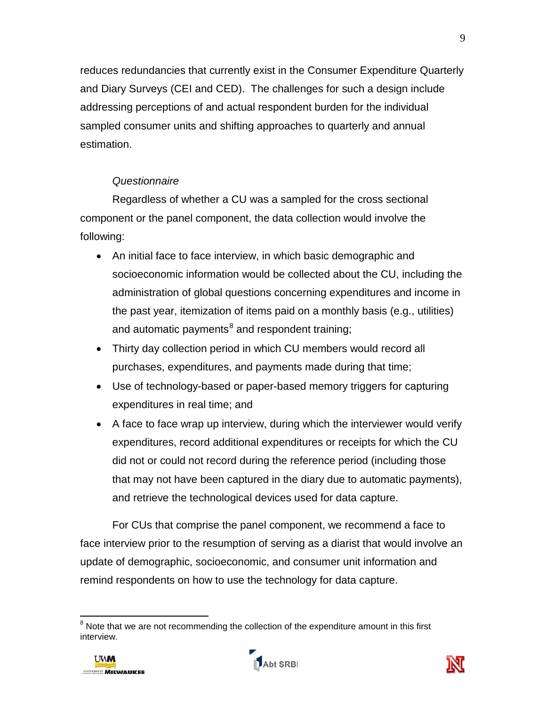reduces redundancies that currently exist in the Consumer Expenditure Quarterly and Diary Surveys (CEI and CED). The challenges for such a design include addressing perceptions of and actual respondent burden for the individual sampled consumer units and shifting approaches to quarterly and annual estimation.

# *Questionnaire*

Regardless of whether a CU was a sampled for the cross sectional component or the panel component, the data collection would involve the following:

- An initial face to face interview, in which basic demographic and socioeconomic information would be collected about the CU, including the administration of global questions concerning expenditures and income in the past year, itemization of items paid on a monthly basis (e.g., utilities) and automatic payments<sup>[8](#page-10-0)</sup> and respondent training;
- Thirty day collection period in which CU members would record all purchases, expenditures, and payments made during that time;
- Use of technology-based or paper-based memory triggers for capturing expenditures in real time; and
- A face to face wrap up interview, during which the interviewer would verify expenditures, record additional expenditures or receipts for which the CU did not or could not record during the reference period (including those that may not have been captured in the diary due to automatic payments), and retrieve the technological devices used for data capture.

For CUs that comprise the panel component, we recommend a face to face interview prior to the resumption of serving as a diarist that would involve an update of demographic, socioeconomic, and consumer unit information and remind respondents on how to use the technology for data capture.

<span id="page-10-0"></span> $\overline{\phantom{a}}$  $8$  Note that we are not recommending the collection of the expenditure amount in this first interview.





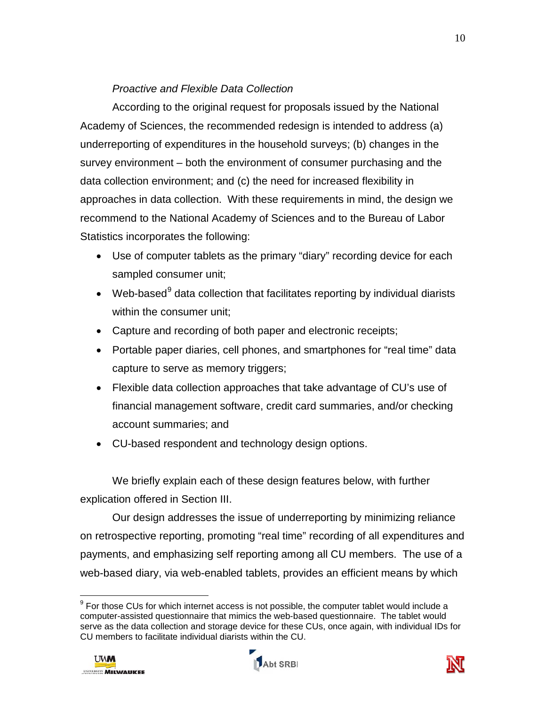# *Proactive and Flexible Data Collection*

According to the original request for proposals issued by the National Academy of Sciences, the recommended redesign is intended to address (a) underreporting of expenditures in the household surveys; (b) changes in the survey environment – both the environment of consumer purchasing and the data collection environment; and (c) the need for increased flexibility in approaches in data collection. With these requirements in mind, the design we recommend to the National Academy of Sciences and to the Bureau of Labor Statistics incorporates the following:

- Use of computer tablets as the primary "diary" recording device for each sampled consumer unit;
- Web-based $9$  data collection that facilitates reporting by individual diarists within the consumer unit;
- Capture and recording of both paper and electronic receipts;
- Portable paper diaries, cell phones, and smartphones for "real time" data capture to serve as memory triggers;
- Flexible data collection approaches that take advantage of CU's use of financial management software, credit card summaries, and/or checking account summaries; and
- CU-based respondent and technology design options.

We briefly explain each of these design features below, with further explication offered in Section III.

Our design addresses the issue of underreporting by minimizing reliance on retrospective reporting, promoting "real time" recording of all expenditures and payments, and emphasizing self reporting among all CU members. The use of a web-based diary, via web-enabled tablets, provides an efficient means by which





<span id="page-11-0"></span> $\overline{a}$  $9$  For those CUs for which internet access is not possible, the computer tablet would include a computer-assisted questionnaire that mimics the web-based questionnaire. The tablet would serve as the data collection and storage device for these CUs, once again, with individual IDs for CU members to facilitate individual diarists within the CU.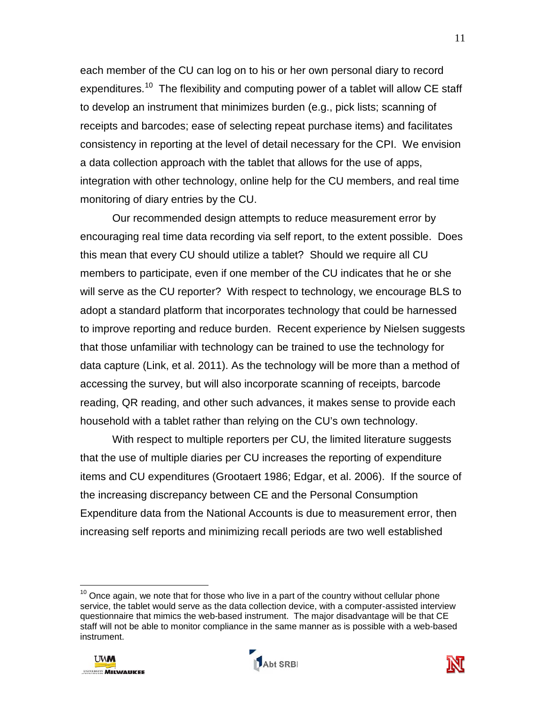each member of the CU can log on to his or her own personal diary to record expenditures.<sup>[10](#page-12-0)</sup> The flexibility and computing power of a tablet will allow CE staff to develop an instrument that minimizes burden (e.g., pick lists; scanning of receipts and barcodes; ease of selecting repeat purchase items) and facilitates consistency in reporting at the level of detail necessary for the CPI. We envision a data collection approach with the tablet that allows for the use of apps, integration with other technology, online help for the CU members, and real time monitoring of diary entries by the CU.

Our recommended design attempts to reduce measurement error by encouraging real time data recording via self report, to the extent possible. Does this mean that every CU should utilize a tablet? Should we require all CU members to participate, even if one member of the CU indicates that he or she will serve as the CU reporter? With respect to technology, we encourage BLS to adopt a standard platform that incorporates technology that could be harnessed to improve reporting and reduce burden. Recent experience by Nielsen suggests that those unfamiliar with technology can be trained to use the technology for data capture (Link, et al. 2011). As the technology will be more than a method of accessing the survey, but will also incorporate scanning of receipts, barcode reading, QR reading, and other such advances, it makes sense to provide each household with a tablet rather than relying on the CU's own technology.

With respect to multiple reporters per CU, the limited literature suggests that the use of multiple diaries per CU increases the reporting of expenditure items and CU expenditures (Grootaert 1986; Edgar, et al. 2006). If the source of the increasing discrepancy between CE and the Personal Consumption Expenditure data from the National Accounts is due to measurement error, then increasing self reports and minimizing recall periods are two well established

<span id="page-12-0"></span> $10$  Once again, we note that for those who live in a part of the country without cellular phone service, the tablet would serve as the data collection device, with a computer-assisted interview questionnaire that mimics the web-based instrument. The major disadvantage will be that CE staff will not be able to monitor compliance in the same manner as is possible with a web-based instrument.



 $\overline{\phantom{a}}$ 



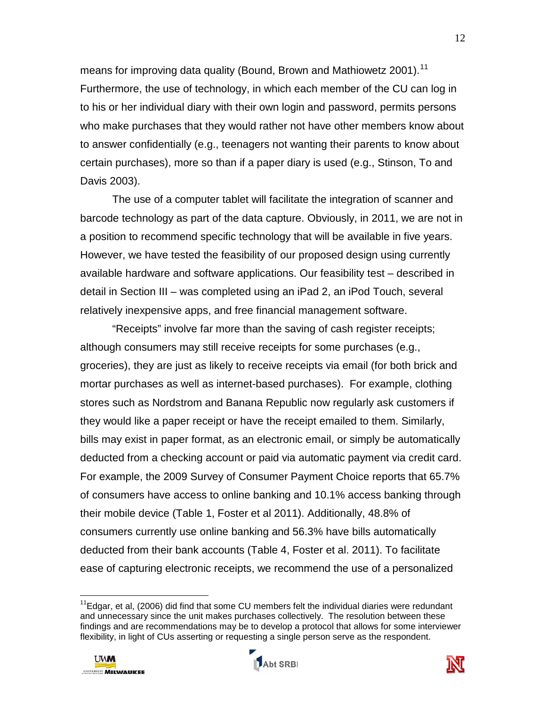means for improving data quality (Bound, Brown and Mathiowetz 2001).<sup>[11](#page-13-0)</sup> Furthermore, the use of technology, in which each member of the CU can log in to his or her individual diary with their own login and password, permits persons who make purchases that they would rather not have other members know about to answer confidentially (e.g., teenagers not wanting their parents to know about certain purchases), more so than if a paper diary is used (e.g., Stinson, To and Davis 2003).

The use of a computer tablet will facilitate the integration of scanner and barcode technology as part of the data capture. Obviously, in 2011, we are not in a position to recommend specific technology that will be available in five years. However, we have tested the feasibility of our proposed design using currently available hardware and software applications. Our feasibility test – described in detail in Section III – was completed using an iPad 2, an iPod Touch, several relatively inexpensive apps, and free financial management software.

"Receipts" involve far more than the saving of cash register receipts; although consumers may still receive receipts for some purchases (e.g., groceries), they are just as likely to receive receipts via email (for both brick and mortar purchases as well as internet-based purchases). For example, clothing stores such as Nordstrom and Banana Republic now regularly ask customers if they would like a paper receipt or have the receipt emailed to them. Similarly, bills may exist in paper format, as an electronic email, or simply be automatically deducted from a checking account or paid via automatic payment via credit card. For example, the 2009 Survey of Consumer Payment Choice reports that 65.7% of consumers have access to online banking and 10.1% access banking through their mobile device (Table 1, Foster et al 2011). Additionally, 48.8% of consumers currently use online banking and 56.3% have bills automatically deducted from their bank accounts (Table 4, Foster et al. 2011). To facilitate ease of capturing electronic receipts, we recommend the use of a personalized

<span id="page-13-0"></span> $11$ Edgar, et al, (2006) did find that some CU members felt the individual diaries were redundant and unnecessary since the unit makes purchases collectively. The resolution between these findings and are recommendations may be to develop a protocol that allows for some interviewer flexibility, in light of CUs asserting or requesting a single person serve as the respondent.





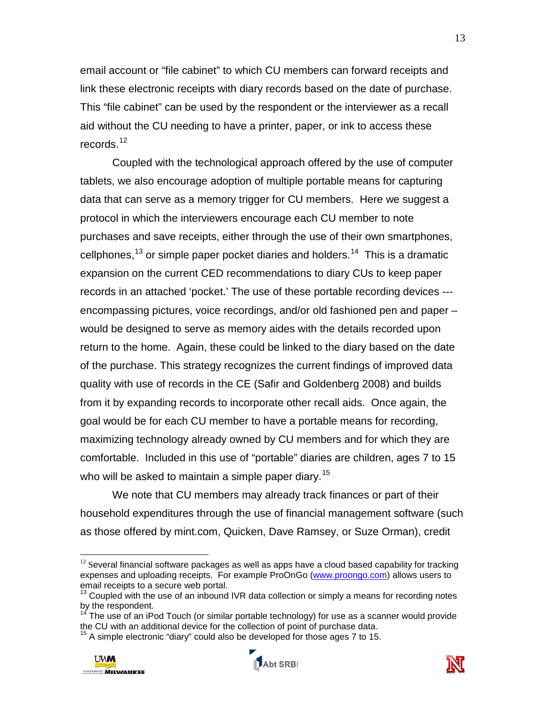email account or "file cabinet" to which CU members can forward receipts and link these electronic receipts with diary records based on the date of purchase. This "file cabinet" can be used by the respondent or the interviewer as a recall aid without the CU needing to have a printer, paper, or ink to access these records. [12](#page-14-0)

Coupled with the technological approach offered by the use of computer tablets, we also encourage adoption of multiple portable means for capturing data that can serve as a memory trigger for CU members. Here we suggest a protocol in which the interviewers encourage each CU member to note purchases and save receipts, either through the use of their own smartphones, cellphones,<sup>[13](#page-14-1)</sup> or simple paper pocket diaries and holders.<sup>[14](#page-14-2)</sup> This is a dramatic expansion on the current CED recommendations to diary CUs to keep paper records in an attached 'pocket.' The use of these portable recording devices -- encompassing pictures, voice recordings, and/or old fashioned pen and paper – would be designed to serve as memory aides with the details recorded upon return to the home. Again, these could be linked to the diary based on the date of the purchase. This strategy recognizes the current findings of improved data quality with use of records in the CE (Safir and Goldenberg 2008) and builds from it by expanding records to incorporate other recall aids. Once again, the goal would be for each CU member to have a portable means for recording, maximizing technology already owned by CU members and for which they are comfortable. Included in this use of "portable" diaries are children, ages 7 to 15 who will be asked to maintain a simple paper diary.<sup>[15](#page-14-3)</sup>

We note that CU members may already track finances or part of their household expenditures through the use of financial management software (such as those offered by mint.com, Quicken, Dave Ramsey, or Suze Orman), credit

<span id="page-14-3"></span>A simple electronic "diary" could also be developed for those ages 7 to 15.







<span id="page-14-0"></span> $12$  Several financial software packages as well as apps have a cloud based capability for tracking expenses and uploading receipts. For example ProOnGo [\(www.proongo.com\)](http://www.proongo.com/) allows users to email receipts to a secure web portal.

<span id="page-14-1"></span> $13$  Coupled with the use of an inbound IVR data collection or simply a means for recording notes by the respondent.

<span id="page-14-2"></span> $14$  The use of an iPod Touch (or similar portable technology) for use as a scanner would provide the CU with an additional device for the collection of point of purchase data.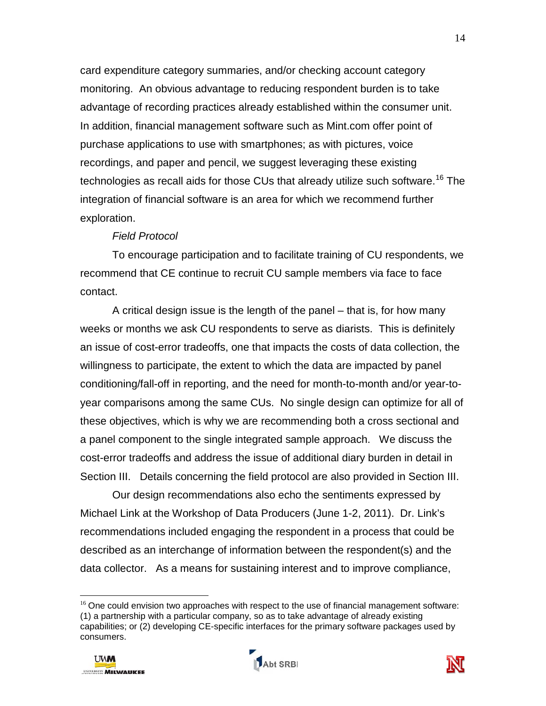card expenditure category summaries, and/or checking account category monitoring. An obvious advantage to reducing respondent burden is to take advantage of recording practices already established within the consumer unit. In addition, financial management software such as Mint.com offer point of purchase applications to use with smartphones; as with pictures, voice recordings, and paper and pencil, we suggest leveraging these existing technologies as recall aids for those CUs that already utilize such software.<sup>[16](#page-15-0)</sup> The integration of financial software is an area for which we recommend further exploration.

#### *Field Protocol*

To encourage participation and to facilitate training of CU respondents, we recommend that CE continue to recruit CU sample members via face to face contact.

A critical design issue is the length of the panel – that is, for how many weeks or months we ask CU respondents to serve as diarists. This is definitely an issue of cost-error tradeoffs, one that impacts the costs of data collection, the willingness to participate, the extent to which the data are impacted by panel conditioning/fall-off in reporting, and the need for month-to-month and/or year-toyear comparisons among the same CUs. No single design can optimize for all of these objectives, which is why we are recommending both a cross sectional and a panel component to the single integrated sample approach. We discuss the cost-error tradeoffs and address the issue of additional diary burden in detail in Section III. Details concerning the field protocol are also provided in Section III.

Our design recommendations also echo the sentiments expressed by Michael Link at the Workshop of Data Producers (June 1-2, 2011). Dr. Link's recommendations included engaging the respondent in a process that could be described as an interchange of information between the respondent(s) and the data collector. As a means for sustaining interest and to improve compliance,

<span id="page-15-0"></span> $16$  One could envision two approaches with respect to the use of financial management software: (1) a partnership with a particular company, so as to take advantage of already existing capabilities; or (2) developing CE-specific interfaces for the primary software packages used by consumers.





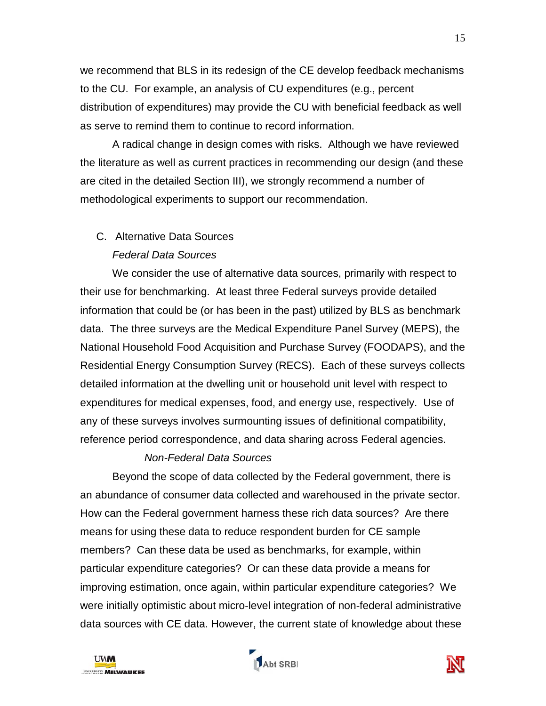we recommend that BLS in its redesign of the CE develop feedback mechanisms to the CU. For example, an analysis of CU expenditures (e.g., percent distribution of expenditures) may provide the CU with beneficial feedback as well as serve to remind them to continue to record information.

A radical change in design comes with risks. Although we have reviewed the literature as well as current practices in recommending our design (and these are cited in the detailed Section III), we strongly recommend a number of methodological experiments to support our recommendation.

# C. Alternative Data Sources

# *Federal Data Sources*

We consider the use of alternative data sources, primarily with respect to their use for benchmarking. At least three Federal surveys provide detailed information that could be (or has been in the past) utilized by BLS as benchmark data. The three surveys are the Medical Expenditure Panel Survey (MEPS), the National Household Food Acquisition and Purchase Survey (FOODAPS), and the Residential Energy Consumption Survey (RECS). Each of these surveys collects detailed information at the dwelling unit or household unit level with respect to expenditures for medical expenses, food, and energy use, respectively. Use of any of these surveys involves surmounting issues of definitional compatibility, reference period correspondence, and data sharing across Federal agencies.

## *Non-Federal Data Sources*

Beyond the scope of data collected by the Federal government, there is an abundance of consumer data collected and warehoused in the private sector. How can the Federal government harness these rich data sources? Are there means for using these data to reduce respondent burden for CE sample members? Can these data be used as benchmarks, for example, within particular expenditure categories? Or can these data provide a means for improving estimation, once again, within particular expenditure categories? We were initially optimistic about micro-level integration of non-federal administrative data sources with CE data. However, the current state of knowledge about these





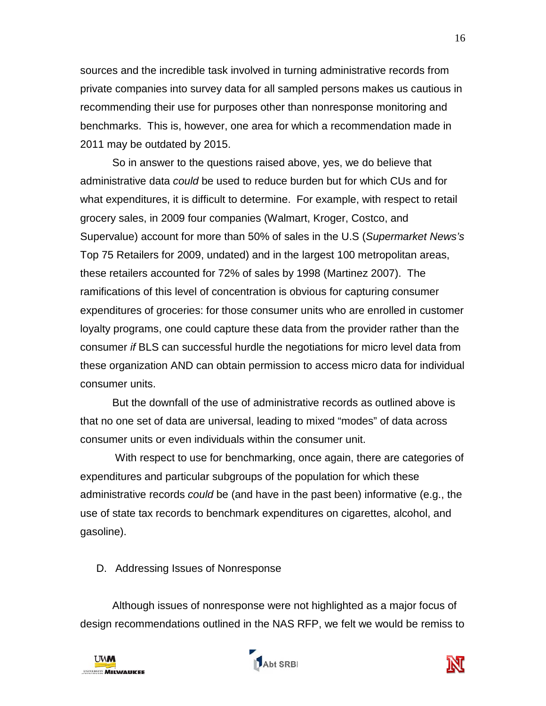sources and the incredible task involved in turning administrative records from private companies into survey data for all sampled persons makes us cautious in recommending their use for purposes other than nonresponse monitoring and benchmarks. This is, however, one area for which a recommendation made in 2011 may be outdated by 2015.

So in answer to the questions raised above, yes, we do believe that administrative data *could* be used to reduce burden but for which CUs and for what expenditures, it is difficult to determine. For example, with respect to retail grocery sales, in 2009 four companies (Walmart, Kroger, Costco, and Supervalue) account for more than 50% of sales in the U.S (*Supermarket News's* Top 75 Retailers for 2009, undated) and in the largest 100 metropolitan areas, these retailers accounted for 72% of sales by 1998 (Martinez 2007). The ramifications of this level of concentration is obvious for capturing consumer expenditures of groceries: for those consumer units who are enrolled in customer loyalty programs, one could capture these data from the provider rather than the consumer *if* BLS can successful hurdle the negotiations for micro level data from these organization AND can obtain permission to access micro data for individual consumer units.

But the downfall of the use of administrative records as outlined above is that no one set of data are universal, leading to mixed "modes" of data across consumer units or even individuals within the consumer unit.

 With respect to use for benchmarking, once again, there are categories of expenditures and particular subgroups of the population for which these administrative records *could* be (and have in the past been) informative (e.g., the use of state tax records to benchmark expenditures on cigarettes, alcohol, and gasoline).

D. Addressing Issues of Nonresponse

Although issues of nonresponse were not highlighted as a major focus of design recommendations outlined in the NAS RFP, we felt we would be remiss to





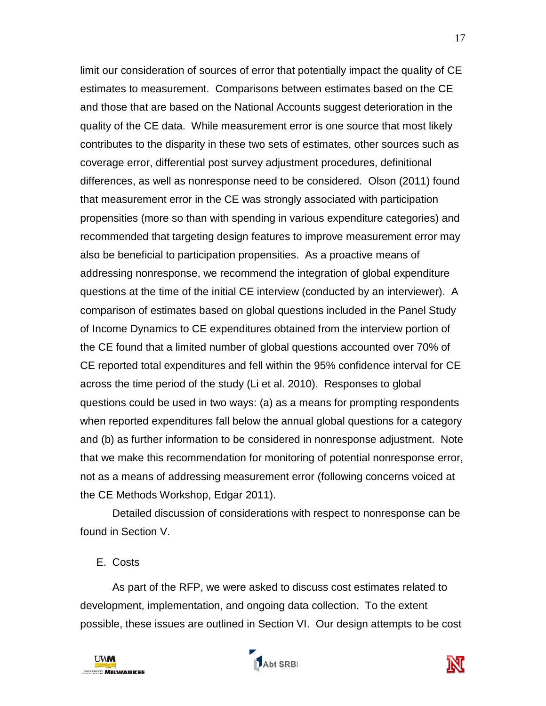limit our consideration of sources of error that potentially impact the quality of CE estimates to measurement. Comparisons between estimates based on the CE and those that are based on the National Accounts suggest deterioration in the quality of the CE data. While measurement error is one source that most likely contributes to the disparity in these two sets of estimates, other sources such as coverage error, differential post survey adjustment procedures, definitional differences, as well as nonresponse need to be considered. Olson (2011) found that measurement error in the CE was strongly associated with participation propensities (more so than with spending in various expenditure categories) and recommended that targeting design features to improve measurement error may also be beneficial to participation propensities. As a proactive means of addressing nonresponse, we recommend the integration of global expenditure questions at the time of the initial CE interview (conducted by an interviewer). A comparison of estimates based on global questions included in the Panel Study of Income Dynamics to CE expenditures obtained from the interview portion of the CE found that a limited number of global questions accounted over 70% of CE reported total expenditures and fell within the 95% confidence interval for CE across the time period of the study (Li et al. 2010). Responses to global questions could be used in two ways: (a) as a means for prompting respondents when reported expenditures fall below the annual global questions for a category and (b) as further information to be considered in nonresponse adjustment. Note that we make this recommendation for monitoring of potential nonresponse error, not as a means of addressing measurement error (following concerns voiced at the CE Methods Workshop, Edgar 2011).

Detailed discussion of considerations with respect to nonresponse can be found in Section V.

## E. Costs

As part of the RFP, we were asked to discuss cost estimates related to development, implementation, and ongoing data collection. To the extent possible, these issues are outlined in Section VI. Our design attempts to be cost





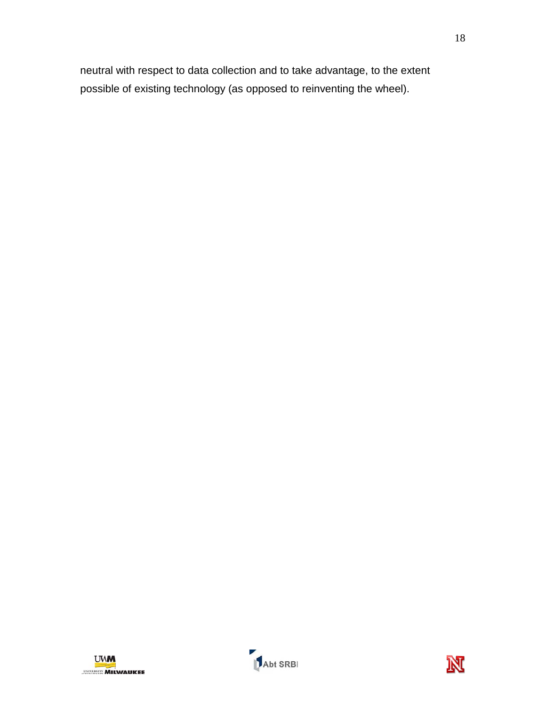neutral with respect to data collection and to take advantage, to the extent possible of existing technology (as opposed to reinventing the wheel).



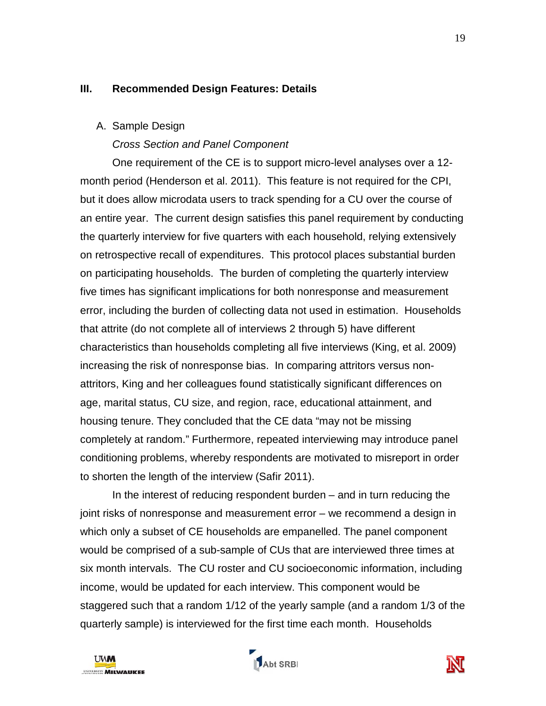## **III. Recommended Design Features: Details**

## A. Sample Design

*Cross Section and Panel Component*

One requirement of the CE is to support micro-level analyses over a 12 month period (Henderson et al. 2011). This feature is not required for the CPI, but it does allow microdata users to track spending for a CU over the course of an entire year. The current design satisfies this panel requirement by conducting the quarterly interview for five quarters with each household, relying extensively on retrospective recall of expenditures. This protocol places substantial burden on participating households. The burden of completing the quarterly interview five times has significant implications for both nonresponse and measurement error, including the burden of collecting data not used in estimation. Households that attrite (do not complete all of interviews 2 through 5) have different characteristics than households completing all five interviews (King, et al. 2009) increasing the risk of nonresponse bias. In comparing attritors versus nonattritors, King and her colleagues found statistically significant differences on age, marital status, CU size, and region, race, educational attainment, and housing tenure. They concluded that the CE data "may not be missing completely at random." Furthermore, repeated interviewing may introduce panel conditioning problems, whereby respondents are motivated to misreport in order to shorten the length of the interview (Safir 2011).

In the interest of reducing respondent burden – and in turn reducing the joint risks of nonresponse and measurement error – we recommend a design in which only a subset of CE households are empanelled. The panel component would be comprised of a sub-sample of CUs that are interviewed three times at six month intervals. The CU roster and CU socioeconomic information, including income, would be updated for each interview. This component would be staggered such that a random 1/12 of the yearly sample (and a random 1/3 of the quarterly sample) is interviewed for the first time each month. Households





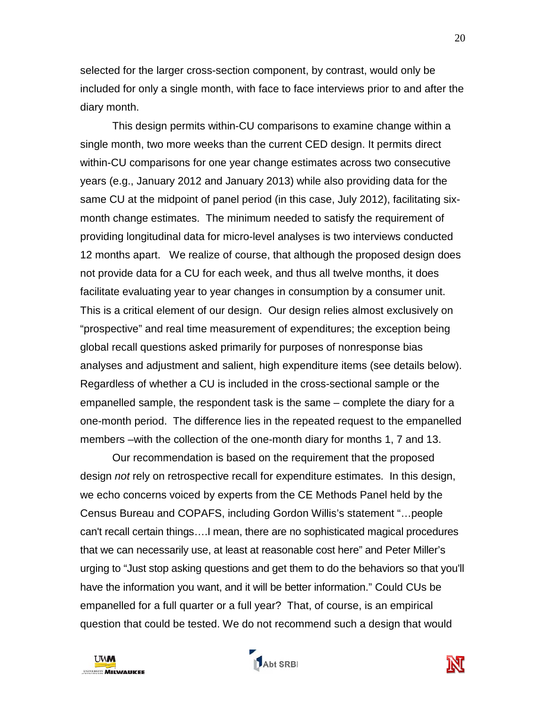selected for the larger cross-section component, by contrast, would only be included for only a single month, with face to face interviews prior to and after the diary month.

This design permits within-CU comparisons to examine change within a single month, two more weeks than the current CED design. It permits direct within-CU comparisons for one year change estimates across two consecutive years (e.g., January 2012 and January 2013) while also providing data for the same CU at the midpoint of panel period (in this case, July 2012), facilitating sixmonth change estimates. The minimum needed to satisfy the requirement of providing longitudinal data for micro-level analyses is two interviews conducted 12 months apart. We realize of course, that although the proposed design does not provide data for a CU for each week, and thus all twelve months, it does facilitate evaluating year to year changes in consumption by a consumer unit. This is a critical element of our design. Our design relies almost exclusively on "prospective" and real time measurement of expenditures; the exception being global recall questions asked primarily for purposes of nonresponse bias analyses and adjustment and salient, high expenditure items (see details below). Regardless of whether a CU is included in the cross-sectional sample or the empanelled sample, the respondent task is the same – complete the diary for a one-month period. The difference lies in the repeated request to the empanelled members –with the collection of the one-month diary for months 1, 7 and 13.

Our recommendation is based on the requirement that the proposed design *not* rely on retrospective recall for expenditure estimates. In this design, we echo concerns voiced by experts from the CE Methods Panel held by the Census Bureau and COPAFS, including Gordon Willis's statement "…people can't recall certain things….I mean, there are no sophisticated magical procedures that we can necessarily use, at least at reasonable cost here" and Peter Miller's urging to "Just stop asking questions and get them to do the behaviors so that you'll have the information you want, and it will be better information." Could CUs be empanelled for a full quarter or a full year? That, of course, is an empirical question that could be tested. We do not recommend such a design that would



Abt SRBI

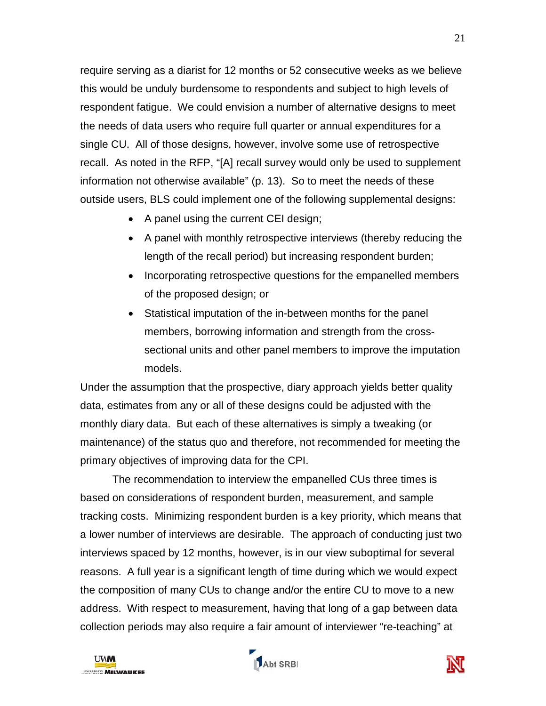require serving as a diarist for 12 months or 52 consecutive weeks as we believe this would be unduly burdensome to respondents and subject to high levels of respondent fatigue. We could envision a number of alternative designs to meet the needs of data users who require full quarter or annual expenditures for a single CU. All of those designs, however, involve some use of retrospective recall. As noted in the RFP, "[A] recall survey would only be used to supplement information not otherwise available" (p. 13). So to meet the needs of these outside users, BLS could implement one of the following supplemental designs:

- A panel using the current CEI design;
- A panel with monthly retrospective interviews (thereby reducing the length of the recall period) but increasing respondent burden;
- Incorporating retrospective questions for the empanelled members of the proposed design; or
- Statistical imputation of the in-between months for the panel members, borrowing information and strength from the crosssectional units and other panel members to improve the imputation models.

Under the assumption that the prospective, diary approach yields better quality data, estimates from any or all of these designs could be adjusted with the monthly diary data. But each of these alternatives is simply a tweaking (or maintenance) of the status quo and therefore, not recommended for meeting the primary objectives of improving data for the CPI.

The recommendation to interview the empanelled CUs three times is based on considerations of respondent burden, measurement, and sample tracking costs. Minimizing respondent burden is a key priority, which means that a lower number of interviews are desirable. The approach of conducting just two interviews spaced by 12 months, however, is in our view suboptimal for several reasons. A full year is a significant length of time during which we would expect the composition of many CUs to change and/or the entire CU to move to a new address. With respect to measurement, having that long of a gap between data collection periods may also require a fair amount of interviewer "re-teaching" at





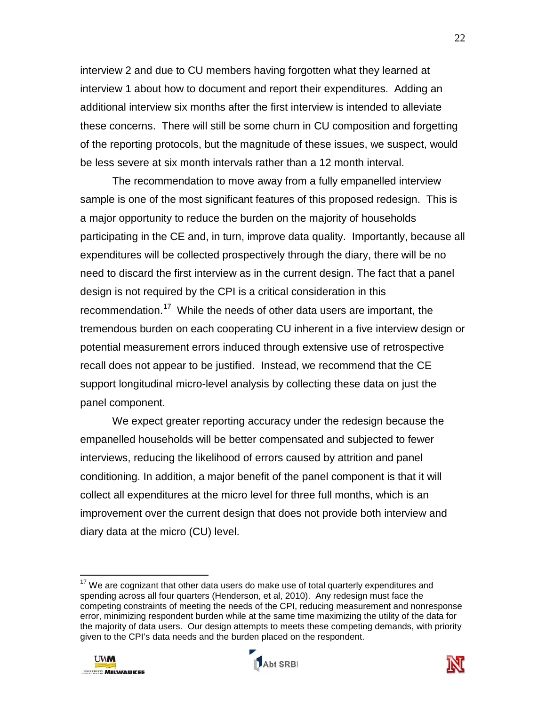interview 2 and due to CU members having forgotten what they learned at interview 1 about how to document and report their expenditures. Adding an additional interview six months after the first interview is intended to alleviate these concerns. There will still be some churn in CU composition and forgetting of the reporting protocols, but the magnitude of these issues, we suspect, would be less severe at six month intervals rather than a 12 month interval.

The recommendation to move away from a fully empanelled interview sample is one of the most significant features of this proposed redesign. This is a major opportunity to reduce the burden on the majority of households participating in the CE and, in turn, improve data quality. Importantly, because all expenditures will be collected prospectively through the diary, there will be no need to discard the first interview as in the current design. The fact that a panel design is not required by the CPI is a critical consideration in this recommendation.<sup>[17](#page-23-0)</sup> While the needs of other data users are important, the tremendous burden on each cooperating CU inherent in a five interview design or potential measurement errors induced through extensive use of retrospective recall does not appear to be justified. Instead, we recommend that the CE support longitudinal micro-level analysis by collecting these data on just the panel component.

We expect greater reporting accuracy under the redesign because the empanelled households will be better compensated and subjected to fewer interviews, reducing the likelihood of errors caused by attrition and panel conditioning. In addition, a major benefit of the panel component is that it will collect all expenditures at the micro level for three full months, which is an improvement over the current design that does not provide both interview and diary data at the micro (CU) level.





<span id="page-23-0"></span> $\overline{\phantom{a}}$  $17$  We are cognizant that other data users do make use of total quarterly expenditures and spending across all four quarters (Henderson, et al, 2010). Any redesign must face the competing constraints of meeting the needs of the CPI, reducing measurement and nonresponse error, minimizing respondent burden while at the same time maximizing the utility of the data for the majority of data users. Our design attempts to meets these competing demands, with priority given to the CPI's data needs and the burden placed on the respondent.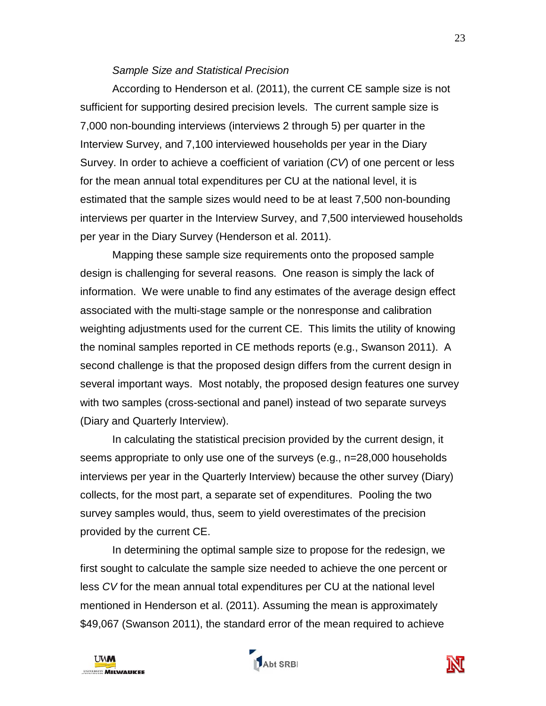#### *Sample Size and Statistical Precision*

According to Henderson et al. (2011), the current CE sample size is not sufficient for supporting desired precision levels. The current sample size is 7,000 non-bounding interviews (interviews 2 through 5) per quarter in the Interview Survey, and 7,100 interviewed households per year in the Diary Survey. In order to achieve a coefficient of variation (*CV*) of one percent or less for the mean annual total expenditures per CU at the national level, it is estimated that the sample sizes would need to be at least 7,500 non-bounding interviews per quarter in the Interview Survey, and 7,500 interviewed households per year in the Diary Survey (Henderson et al. 2011).

Mapping these sample size requirements onto the proposed sample design is challenging for several reasons. One reason is simply the lack of information. We were unable to find any estimates of the average design effect associated with the multi-stage sample or the nonresponse and calibration weighting adjustments used for the current CE. This limits the utility of knowing the nominal samples reported in CE methods reports (e.g., Swanson 2011). A second challenge is that the proposed design differs from the current design in several important ways. Most notably, the proposed design features one survey with two samples (cross-sectional and panel) instead of two separate surveys (Diary and Quarterly Interview).

In calculating the statistical precision provided by the current design, it seems appropriate to only use one of the surveys (e.g., n=28,000 households interviews per year in the Quarterly Interview) because the other survey (Diary) collects, for the most part, a separate set of expenditures. Pooling the two survey samples would, thus, seem to yield overestimates of the precision provided by the current CE.

In determining the optimal sample size to propose for the redesign, we first sought to calculate the sample size needed to achieve the one percent or less *CV* for the mean annual total expenditures per CU at the national level mentioned in Henderson et al. (2011). Assuming the mean is approximately \$49,067 (Swanson 2011), the standard error of the mean required to achieve





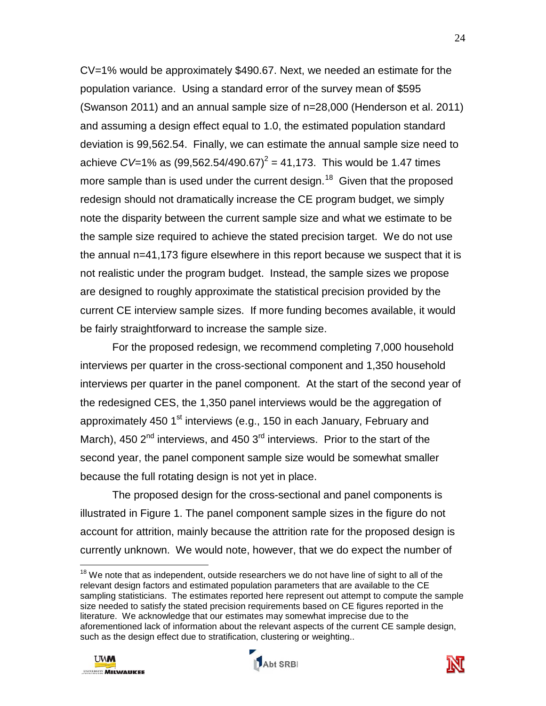CV=1% would be approximately \$490.67. Next, we needed an estimate for the population variance. Using a standard error of the survey mean of \$595 (Swanson 2011) and an annual sample size of n=28,000 (Henderson et al. 2011) and assuming a design effect equal to 1.0, the estimated population standard deviation is 99,562.54. Finally, we can estimate the annual sample size need to achieve *CV*=1% as  $(99,562.54/490.67)^2 = 41,173$ . This would be 1.47 times more sample than is used under the current design.<sup>[18](#page-25-0)</sup> Given that the proposed redesign should not dramatically increase the CE program budget, we simply note the disparity between the current sample size and what we estimate to be the sample size required to achieve the stated precision target. We do not use the annual n=41,173 figure elsewhere in this report because we suspect that it is not realistic under the program budget. Instead, the sample sizes we propose are designed to roughly approximate the statistical precision provided by the current CE interview sample sizes. If more funding becomes available, it would be fairly straightforward to increase the sample size.

For the proposed redesign, we recommend completing 7,000 household interviews per quarter in the cross-sectional component and 1,350 household interviews per quarter in the panel component. At the start of the second year of the redesigned CES, the 1,350 panel interviews would be the aggregation of approximately 450  $1<sup>st</sup>$  interviews (e.g., 150 in each January, February and March), 450  $2<sup>nd</sup>$  interviews, and 450  $3<sup>rd</sup>$  interviews. Prior to the start of the second year, the panel component sample size would be somewhat smaller because the full rotating design is not yet in place.

The proposed design for the cross-sectional and panel components is illustrated in Figure 1. The panel component sample sizes in the figure do not account for attrition, mainly because the attrition rate for the proposed design is currently unknown. We would note, however, that we do expect the number of

<span id="page-25-0"></span> $\overline{\phantom{a}}$  $18$  We note that as independent, outside researchers we do not have line of sight to all of the relevant design factors and estimated population parameters that are available to the CE sampling statisticians. The estimates reported here represent out attempt to compute the sample size needed to satisfy the stated precision requirements based on CE figures reported in the literature. We acknowledge that our estimates may somewhat imprecise due to the aforementioned lack of information about the relevant aspects of the current CE sample design, such as the design effect due to stratification, clustering or weighting..





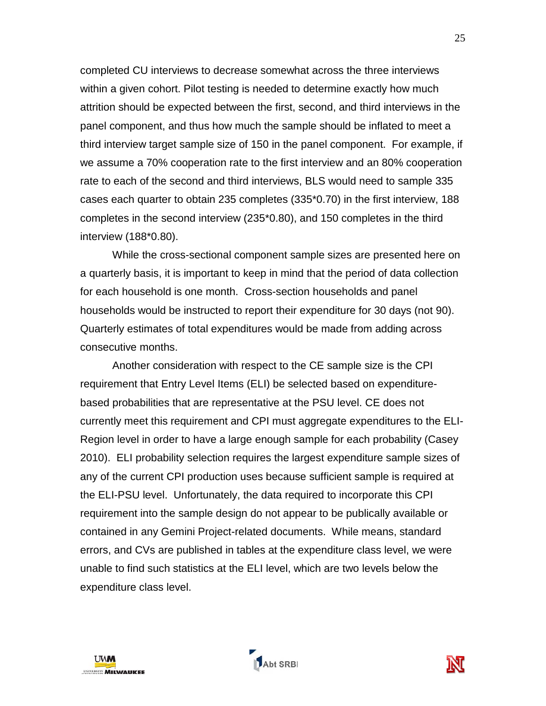completed CU interviews to decrease somewhat across the three interviews within a given cohort. Pilot testing is needed to determine exactly how much attrition should be expected between the first, second, and third interviews in the panel component, and thus how much the sample should be inflated to meet a third interview target sample size of 150 in the panel component. For example, if we assume a 70% cooperation rate to the first interview and an 80% cooperation rate to each of the second and third interviews, BLS would need to sample 335 cases each quarter to obtain 235 completes (335\*0.70) in the first interview, 188 completes in the second interview (235\*0.80), and 150 completes in the third interview (188\*0.80).

While the cross-sectional component sample sizes are presented here on a quarterly basis, it is important to keep in mind that the period of data collection for each household is one month. Cross-section households and panel households would be instructed to report their expenditure for 30 days (not 90). Quarterly estimates of total expenditures would be made from adding across consecutive months.

Another consideration with respect to the CE sample size is the CPI requirement that Entry Level Items (ELI) be selected based on expenditurebased probabilities that are representative at the PSU level. CE does not currently meet this requirement and CPI must aggregate expenditures to the ELI-Region level in order to have a large enough sample for each probability (Casey 2010). ELI probability selection requires the largest expenditure sample sizes of any of the current CPI production uses because sufficient sample is required at the ELI-PSU level. Unfortunately, the data required to incorporate this CPI requirement into the sample design do not appear to be publically available or contained in any Gemini Project-related documents. While means, standard errors, and CVs are published in tables at the expenditure class level, we were unable to find such statistics at the ELI level, which are two levels below the expenditure class level.



Abt SRBI

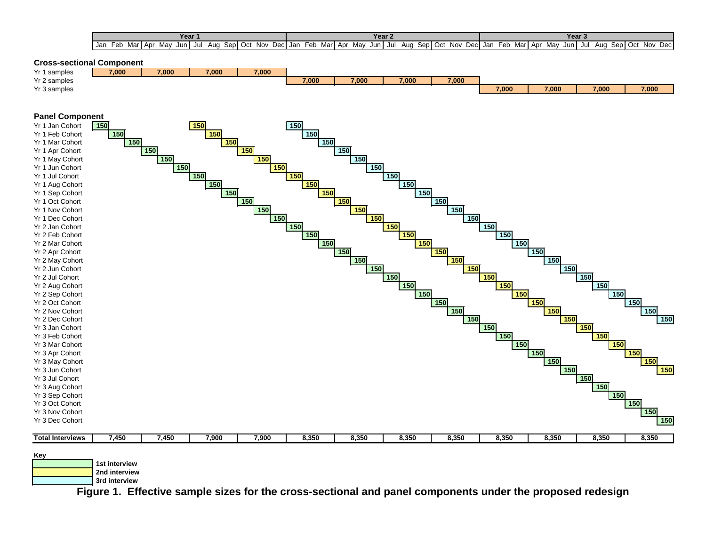| Year                                                                          | Year 2                                                                                      | Year                                                                                         |
|-------------------------------------------------------------------------------|---------------------------------------------------------------------------------------------|----------------------------------------------------------------------------------------------|
| -eb<br>Mav<br>Jan<br>Mar<br>Apr<br>Nov.<br>Sep   Oct<br>Jun '<br>Aua<br>. Jul | Dec<br>Marl<br>Sep Oct<br>Feb<br><b>Nov</b><br>Dec Jan<br>. Apr<br>May<br>Jun<br>Aug<br>Jul | Nov<br>$\sim$<br>Marl Apr<br>Mav<br>Feb<br>Sepl<br>Dec<br>Jun'<br>Aua<br>Jul<br>. Jar<br>יטש |

# **Cross-sectional Component**<br>Yr 1 samples **1988**





**Key**

 **1st interview 2nd interview**

 **3rd interview**

**Figure 1. Effective sample sizes for the cross-sectional and panel components under the proposed redesign**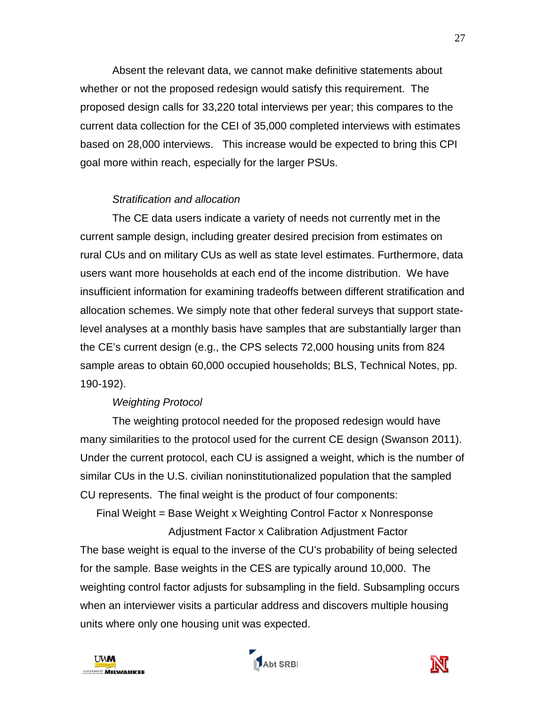Absent the relevant data, we cannot make definitive statements about whether or not the proposed redesign would satisfy this requirement. The proposed design calls for 33,220 total interviews per year; this compares to the current data collection for the CEI of 35,000 completed interviews with estimates based on 28,000 interviews. This increase would be expected to bring this CPI goal more within reach, especially for the larger PSUs.

# *Stratification and allocation*

The CE data users indicate a variety of needs not currently met in the current sample design, including greater desired precision from estimates on rural CUs and on military CUs as well as state level estimates. Furthermore, data users want more households at each end of the income distribution. We have insufficient information for examining tradeoffs between different stratification and allocation schemes. We simply note that other federal surveys that support statelevel analyses at a monthly basis have samples that are substantially larger than the CE's current design (e.g., the CPS selects 72,000 housing units from 824 sample areas to obtain 60,000 occupied households; BLS, Technical Notes, pp. 190-192).

## *Weighting Protocol*

The weighting protocol needed for the proposed redesign would have many similarities to the protocol used for the current CE design (Swanson 2011). Under the current protocol, each CU is assigned a weight, which is the number of similar CUs in the U.S. civilian noninstitutionalized population that the sampled CU represents. The final weight is the product of four components:

Final Weight = Base Weight x Weighting Control Factor x Nonresponse Adjustment Factor x Calibration Adjustment Factor

The base weight is equal to the inverse of the CU's probability of being selected for the sample. Base weights in the CES are typically around 10,000. The weighting control factor adjusts for subsampling in the field. Subsampling occurs when an interviewer visits a particular address and discovers multiple housing units where only one housing unit was expected.





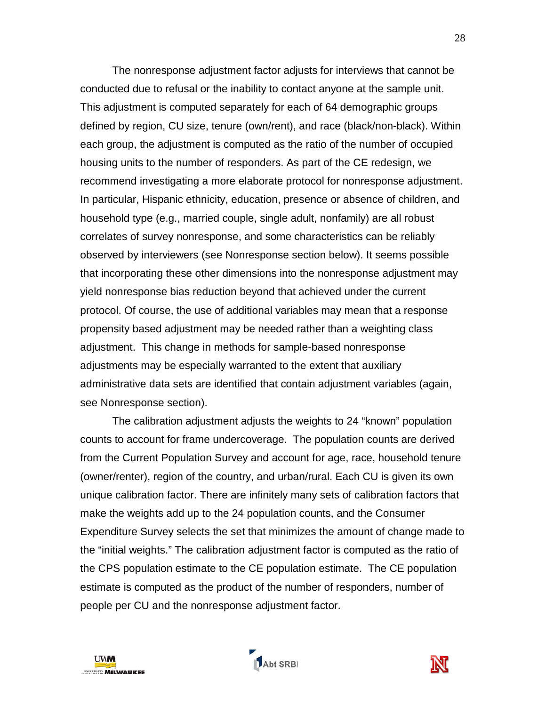The nonresponse adjustment factor adjusts for interviews that cannot be conducted due to refusal or the inability to contact anyone at the sample unit. This adjustment is computed separately for each of 64 demographic groups defined by region, CU size, tenure (own/rent), and race (black/non-black). Within each group, the adjustment is computed as the ratio of the number of occupied housing units to the number of responders. As part of the CE redesign, we recommend investigating a more elaborate protocol for nonresponse adjustment. In particular, Hispanic ethnicity, education, presence or absence of children, and household type (e.g., married couple, single adult, nonfamily) are all robust correlates of survey nonresponse, and some characteristics can be reliably observed by interviewers (see Nonresponse section below). It seems possible that incorporating these other dimensions into the nonresponse adjustment may yield nonresponse bias reduction beyond that achieved under the current protocol. Of course, the use of additional variables may mean that a response propensity based adjustment may be needed rather than a weighting class adjustment. This change in methods for sample-based nonresponse adjustments may be especially warranted to the extent that auxiliary administrative data sets are identified that contain adjustment variables (again, see Nonresponse section).

The calibration adjustment adjusts the weights to 24 "known" population counts to account for frame undercoverage. The population counts are derived from the Current Population Survey and account for age, race, household tenure (owner/renter), region of the country, and urban/rural. Each CU is given its own unique calibration factor. There are infinitely many sets of calibration factors that make the weights add up to the 24 population counts, and the Consumer Expenditure Survey selects the set that minimizes the amount of change made to the "initial weights." The calibration adjustment factor is computed as the ratio of the CPS population estimate to the CE population estimate. The CE population estimate is computed as the product of the number of responders, number of people per CU and the nonresponse adjustment factor.



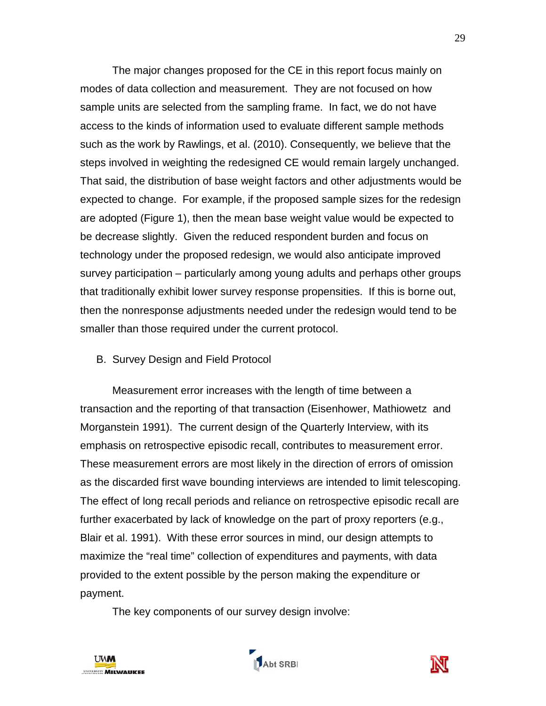The major changes proposed for the CE in this report focus mainly on modes of data collection and measurement. They are not focused on how sample units are selected from the sampling frame. In fact, we do not have access to the kinds of information used to evaluate different sample methods such as the work by Rawlings, et al. (2010). Consequently, we believe that the steps involved in weighting the redesigned CE would remain largely unchanged. That said, the distribution of base weight factors and other adjustments would be expected to change. For example, if the proposed sample sizes for the redesign are adopted (Figure 1), then the mean base weight value would be expected to be decrease slightly. Given the reduced respondent burden and focus on technology under the proposed redesign, we would also anticipate improved survey participation – particularly among young adults and perhaps other groups that traditionally exhibit lower survey response propensities. If this is borne out, then the nonresponse adjustments needed under the redesign would tend to be smaller than those required under the current protocol.

## B. Survey Design and Field Protocol

Measurement error increases with the length of time between a transaction and the reporting of that transaction (Eisenhower, Mathiowetz and Morganstein 1991). The current design of the Quarterly Interview, with its emphasis on retrospective episodic recall, contributes to measurement error. These measurement errors are most likely in the direction of errors of omission as the discarded first wave bounding interviews are intended to limit telescoping. The effect of long recall periods and reliance on retrospective episodic recall are further exacerbated by lack of knowledge on the part of proxy reporters (e.g., Blair et al. 1991). With these error sources in mind, our design attempts to maximize the "real time" collection of expenditures and payments, with data provided to the extent possible by the person making the expenditure or payment.

The key components of our survey design involve:





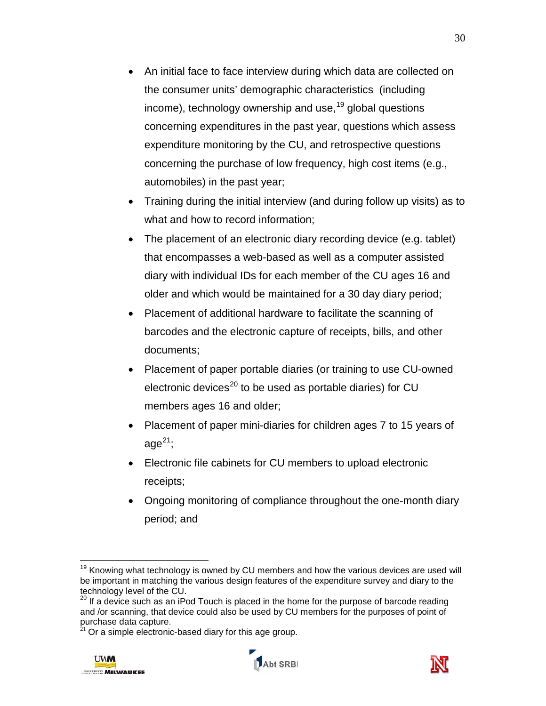- An initial face to face interview during which data are collected on the consumer units' demographic characteristics (including income), technology ownership and use,<sup>[19](#page-32-0)</sup> global questions concerning expenditures in the past year, questions which assess expenditure monitoring by the CU, and retrospective questions concerning the purchase of low frequency, high cost items (e.g., automobiles) in the past year;
- Training during the initial interview (and during follow up visits) as to what and how to record information;
- The placement of an electronic diary recording device (e.g. tablet) that encompasses a web-based as well as a computer assisted diary with individual IDs for each member of the CU ages 16 and older and which would be maintained for a 30 day diary period;
- Placement of additional hardware to facilitate the scanning of barcodes and the electronic capture of receipts, bills, and other documents;
- Placement of paper portable diaries (or training to use CU-owned electronic devices<sup>[20](#page-32-1)</sup> to be used as portable diaries) for CU members ages 16 and older;
- Placement of paper mini-diaries for children ages 7 to 15 years of age $^{21};$  $^{21};$  $^{21};$
- Electronic file cabinets for CU members to upload electronic receipts;
- Ongoing monitoring of compliance throughout the one-month diary period; and

 $21$  Or a simple electronic-based diary for this age group.







 $\overline{a}$  $19$  Knowing what technology is owned by CU members and how the various devices are used will be important in matching the various design features of the expenditure survey and diary to the technology level of the CU.

 $^{20}$  If a device such as an iPod Touch is placed in the home for the purpose of barcode reading and /or scanning, that device could also be used by CU members for the purposes of point of purchase data capture.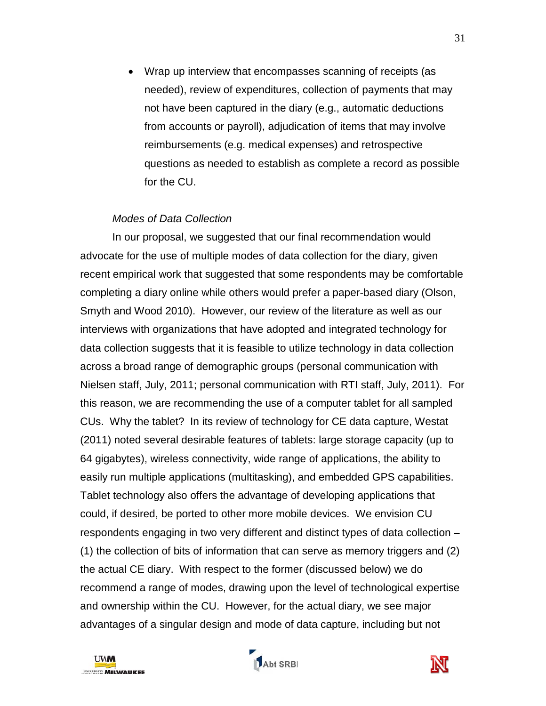• Wrap up interview that encompasses scanning of receipts (as needed), review of expenditures, collection of payments that may not have been captured in the diary (e.g., automatic deductions from accounts or payroll), adjudication of items that may involve reimbursements (e.g. medical expenses) and retrospective questions as needed to establish as complete a record as possible for the CU.

#### *Modes of Data Collection*

In our proposal, we suggested that our final recommendation would advocate for the use of multiple modes of data collection for the diary, given recent empirical work that suggested that some respondents may be comfortable completing a diary online while others would prefer a paper-based diary (Olson, Smyth and Wood 2010). However, our review of the literature as well as our interviews with organizations that have adopted and integrated technology for data collection suggests that it is feasible to utilize technology in data collection across a broad range of demographic groups (personal communication with Nielsen staff, July, 2011; personal communication with RTI staff, July, 2011). For this reason, we are recommending the use of a computer tablet for all sampled CUs. Why the tablet? In its review of technology for CE data capture, Westat (2011) noted several desirable features of tablets: large storage capacity (up to 64 gigabytes), wireless connectivity, wide range of applications, the ability to easily run multiple applications (multitasking), and embedded GPS capabilities. Tablet technology also offers the advantage of developing applications that could, if desired, be ported to other more mobile devices. We envision CU respondents engaging in two very different and distinct types of data collection – (1) the collection of bits of information that can serve as memory triggers and (2) the actual CE diary. With respect to the former (discussed below) we do recommend a range of modes, drawing upon the level of technological expertise and ownership within the CU. However, for the actual diary, we see major advantages of a singular design and mode of data capture, including but not

<span id="page-32-2"></span><span id="page-32-1"></span><span id="page-32-0"></span>



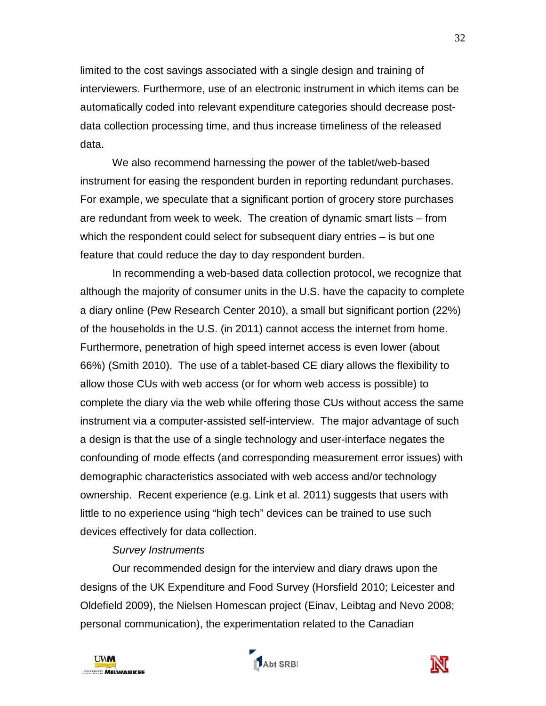limited to the cost savings associated with a single design and training of interviewers. Furthermore, use of an electronic instrument in which items can be automatically coded into relevant expenditure categories should decrease postdata collection processing time, and thus increase timeliness of the released data.

We also recommend harnessing the power of the tablet/web-based instrument for easing the respondent burden in reporting redundant purchases. For example, we speculate that a significant portion of grocery store purchases are redundant from week to week. The creation of dynamic smart lists – from which the respondent could select for subsequent diary entries – is but one feature that could reduce the day to day respondent burden.

In recommending a web-based data collection protocol, we recognize that although the majority of consumer units in the U.S. have the capacity to complete a diary online (Pew Research Center 2010), a small but significant portion (22%) of the households in the U.S. (in 2011) cannot access the internet from home. Furthermore, penetration of high speed internet access is even lower (about 66%) (Smith 2010). The use of a tablet-based CE diary allows the flexibility to allow those CUs with web access (or for whom web access is possible) to complete the diary via the web while offering those CUs without access the same instrument via a computer-assisted self-interview. The major advantage of such a design is that the use of a single technology and user-interface negates the confounding of mode effects (and corresponding measurement error issues) with demographic characteristics associated with web access and/or technology ownership. Recent experience (e.g. Link et al. 2011) suggests that users with little to no experience using "high tech" devices can be trained to use such devices effectively for data collection.

## *Survey Instruments*

Our recommended design for the interview and diary draws upon the designs of the UK Expenditure and Food Survey (Horsfield 2010; Leicester and Oldefield 2009), the Nielsen Homescan project (Einav, Leibtag and Nevo 2008; personal communication), the experimentation related to the Canadian





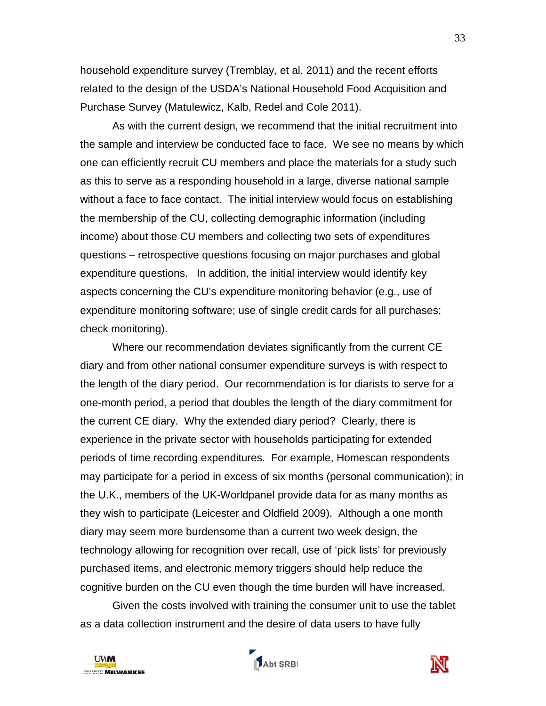household expenditure survey (Tremblay, et al. 2011) and the recent efforts related to the design of the USDA's National Household Food Acquisition and Purchase Survey (Matulewicz, Kalb, Redel and Cole 2011).

As with the current design, we recommend that the initial recruitment into the sample and interview be conducted face to face. We see no means by which one can efficiently recruit CU members and place the materials for a study such as this to serve as a responding household in a large, diverse national sample without a face to face contact. The initial interview would focus on establishing the membership of the CU, collecting demographic information (including income) about those CU members and collecting two sets of expenditures questions – retrospective questions focusing on major purchases and global expenditure questions. In addition, the initial interview would identify key aspects concerning the CU's expenditure monitoring behavior (e.g., use of expenditure monitoring software; use of single credit cards for all purchases; check monitoring).

Where our recommendation deviates significantly from the current CE diary and from other national consumer expenditure surveys is with respect to the length of the diary period. Our recommendation is for diarists to serve for a one-month period, a period that doubles the length of the diary commitment for the current CE diary. Why the extended diary period? Clearly, there is experience in the private sector with households participating for extended periods of time recording expenditures. For example, Homescan respondents may participate for a period in excess of six months (personal communication); in the U.K., members of the UK-Worldpanel provide data for as many months as they wish to participate (Leicester and Oldfield 2009). Although a one month diary may seem more burdensome than a current two week design, the technology allowing for recognition over recall, use of 'pick lists' for previously purchased items, and electronic memory triggers should help reduce the cognitive burden on the CU even though the time burden will have increased.

Given the costs involved with training the consumer unit to use the tablet as a data collection instrument and the desire of data users to have fully





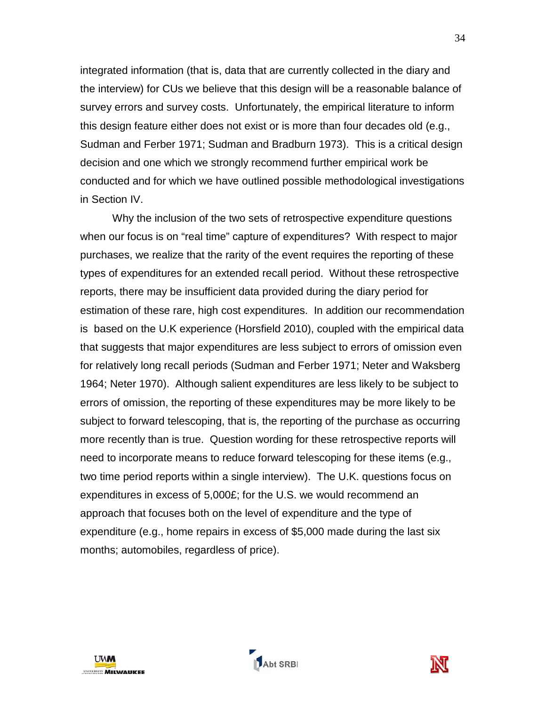integrated information (that is, data that are currently collected in the diary and the interview) for CUs we believe that this design will be a reasonable balance of survey errors and survey costs. Unfortunately, the empirical literature to inform this design feature either does not exist or is more than four decades old (e.g., Sudman and Ferber 1971; Sudman and Bradburn 1973). This is a critical design decision and one which we strongly recommend further empirical work be conducted and for which we have outlined possible methodological investigations in Section IV.

Why the inclusion of the two sets of retrospective expenditure questions when our focus is on "real time" capture of expenditures? With respect to major purchases, we realize that the rarity of the event requires the reporting of these types of expenditures for an extended recall period. Without these retrospective reports, there may be insufficient data provided during the diary period for estimation of these rare, high cost expenditures. In addition our recommendation is based on the U.K experience (Horsfield 2010), coupled with the empirical data that suggests that major expenditures are less subject to errors of omission even for relatively long recall periods (Sudman and Ferber 1971; Neter and Waksberg 1964; Neter 1970). Although salient expenditures are less likely to be subject to errors of omission, the reporting of these expenditures may be more likely to be subject to forward telescoping, that is, the reporting of the purchase as occurring more recently than is true. Question wording for these retrospective reports will need to incorporate means to reduce forward telescoping for these items (e.g., two time period reports within a single interview). The U.K. questions focus on expenditures in excess of 5,000£; for the U.S. we would recommend an approach that focuses both on the level of expenditure and the type of expenditure (e.g., home repairs in excess of \$5,000 made during the last six months; automobiles, regardless of price).





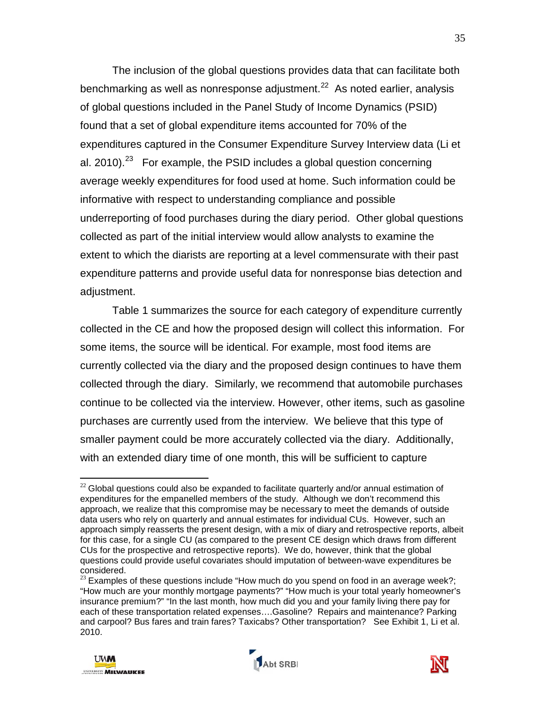The inclusion of the global questions provides data that can facilitate both benchmarking as well as nonresponse adjustment.<sup>22</sup> As noted earlier, analysis of global questions included in the Panel Study of Income Dynamics (PSID) found that a set of global expenditure items accounted for 70% of the expenditures captured in the Consumer Expenditure Survey Interview data (Li et al. 2010).<sup>[23](#page-37-1)</sup> For example, the PSID includes a global question concerning average weekly expenditures for food used at home. Such information could be informative with respect to understanding compliance and possible underreporting of food purchases during the diary period. Other global questions collected as part of the initial interview would allow analysts to examine the extent to which the diarists are reporting at a level commensurate with their past expenditure patterns and provide useful data for nonresponse bias detection and adjustment.

Table 1 summarizes the source for each category of expenditure currently collected in the CE and how the proposed design will collect this information. For some items, the source will be identical. For example, most food items are currently collected via the diary and the proposed design continues to have them collected through the diary. Similarly, we recommend that automobile purchases continue to be collected via the interview. However, other items, such as gasoline purchases are currently used from the interview. We believe that this type of smaller payment could be more accurately collected via the diary. Additionally, with an extended diary time of one month, this will be sufficient to capture

 $23$  Examples of these questions include "How much do you spend on food in an average week?; "How much are your monthly mortgage payments?" "How much is your total yearly homeowner's insurance premium?" "In the last month, how much did you and your family living there pay for each of these transportation related expenses….Gasoline? Repairs and maintenance? Parking and carpool? Bus fares and train fares? Taxicabs? Other transportation? See Exhibit 1, Li et al. 2010.







 $\overline{a}$  $22$  Global questions could also be expanded to facilitate quarterly and/or annual estimation of expenditures for the empanelled members of the study. Although we don't recommend this approach, we realize that this compromise may be necessary to meet the demands of outside data users who rely on quarterly and annual estimates for individual CUs. However, such an approach simply reasserts the present design, with a mix of diary and retrospective reports, albeit for this case, for a single CU (as compared to the present CE design which draws from different CUs for the prospective and retrospective reports). We do, however, think that the global questions could provide useful covariates should imputation of between-wave expenditures be considered.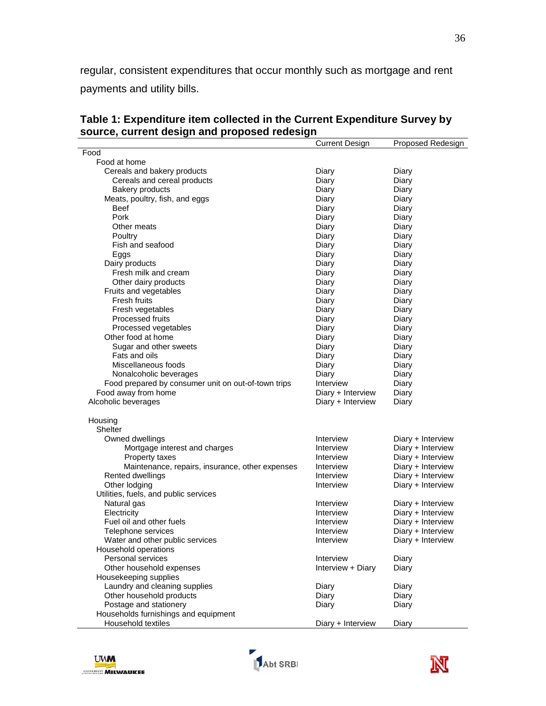regular, consistent expenditures that occur monthly such as mortgage and rent payments and utility bills.

|                                                     | <b>Current Design</b> | Proposed Redesign |
|-----------------------------------------------------|-----------------------|-------------------|
| Food                                                |                       |                   |
| Food at home                                        |                       |                   |
| Cereals and bakery products                         | Diary                 | Diary             |
| Cereals and cereal products                         | Diary                 | Diary             |
| <b>Bakery products</b>                              | Diary                 | Diary             |
| Meats, poultry, fish, and eggs                      | Diary                 | Diary             |
| <b>Beef</b>                                         | Diary                 | Diary             |
| Pork                                                | Diary                 | Diary             |
| Other meats                                         | Diary                 | Diary             |
| Poultry                                             | Diary                 | Diary             |
| Fish and seafood                                    | Diary                 | Diary             |
| Eggs                                                | Diary                 | Diary             |
| Dairy products                                      | Diary                 | Diary             |
| Fresh milk and cream                                | Diary                 | Diary             |
| Other dairy products                                | Diary                 | Diary             |
| Fruits and vegetables                               | Diary                 | Diary             |
| Fresh fruits                                        | Diary                 | Diary             |
|                                                     |                       |                   |
| Fresh vegetables<br>Processed fruits                | Diary                 | Diary<br>Diary    |
|                                                     | Diary                 |                   |
| Processed vegetables                                | Diary                 | Diary             |
| Other food at home                                  | Diary                 | Diary             |
| Sugar and other sweets                              | Diary                 | Diary             |
| Fats and oils                                       | Diary                 | Diary             |
| Miscellaneous foods                                 | Diary                 | Diary             |
| Nonalcoholic beverages                              | Diary                 | Diary             |
| Food prepared by consumer unit on out-of-town trips | Interview             | Diary             |
| Food away from home                                 | Diary + Interview     | Diary             |
| Alcoholic beverages                                 | Diary + Interview     | Diary             |
|                                                     |                       |                   |
| Housing                                             |                       |                   |
| Shelter                                             |                       |                   |
| Owned dwellings                                     | Interview             | Diary + Interview |
| Mortgage interest and charges                       | Interview             | Diary + Interview |
| Property taxes                                      | Interview             | Diary + Interview |
| Maintenance, repairs, insurance, other expenses     | Interview             | Diary + Interview |
| Rented dwellings                                    | Interview             | Diary + Interview |
| Other lodging                                       | Interview             | Diary + Interview |
| Utilities, fuels, and public services               |                       |                   |
| Natural gas                                         | Interview             | Diary + Interview |
| Electricity                                         | Interview             | Diary + Interview |
| Fuel oil and other fuels                            | Interview             | Diary + Interview |
| Telephone services                                  | Interview             | Diary + Interview |
| Water and other public services                     | Interview             | Diary + Interview |
| Household operations                                |                       |                   |
| Personal services                                   | Interview             | Diary             |
| Other household expenses                            | Interview + Diary     | Diary             |
| Housekeeping supplies                               |                       |                   |
| Laundry and cleaning supplies                       | Diary                 | Diary             |
| Other household products                            | Diary                 | Diary             |
| Postage and stationery                              | Diary                 | Diary             |
| Households furnishings and equipment                |                       |                   |
| Household textiles                                  | Diary + Interview     | Diary             |

**Table 1: Expenditure item collected in the Current Expenditure Survey by source, current design and proposed redesign**

<span id="page-37-1"></span><span id="page-37-0"></span>



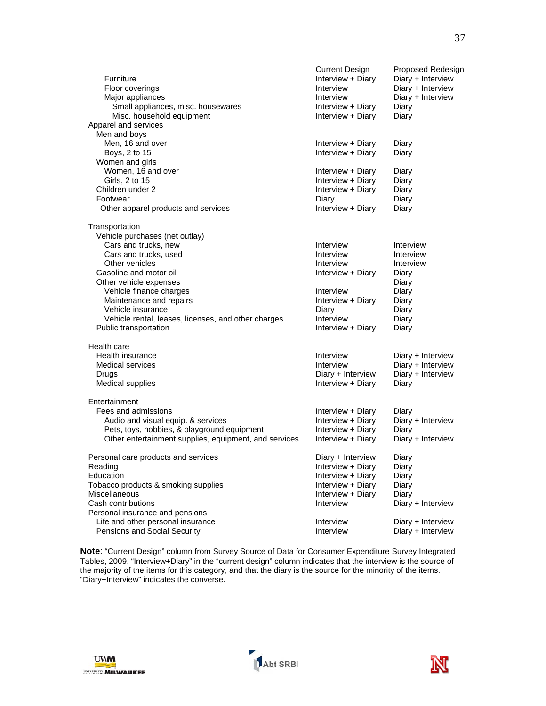|                                                                                                                                                                                                                                                                                                                                                                                                         | Current Design                                                                                                                                                                                                                   | Proposed Redesign                                                                                                                                                                                              |
|---------------------------------------------------------------------------------------------------------------------------------------------------------------------------------------------------------------------------------------------------------------------------------------------------------------------------------------------------------------------------------------------------------|----------------------------------------------------------------------------------------------------------------------------------------------------------------------------------------------------------------------------------|----------------------------------------------------------------------------------------------------------------------------------------------------------------------------------------------------------------|
| Furniture                                                                                                                                                                                                                                                                                                                                                                                               | Interview + Diary                                                                                                                                                                                                                | Diary + Interview                                                                                                                                                                                              |
| Floor coverings                                                                                                                                                                                                                                                                                                                                                                                         | Interview                                                                                                                                                                                                                        | Diary + Interview                                                                                                                                                                                              |
| Major appliances                                                                                                                                                                                                                                                                                                                                                                                        | Interview                                                                                                                                                                                                                        | Diary + Interview                                                                                                                                                                                              |
| Small appliances, misc. housewares                                                                                                                                                                                                                                                                                                                                                                      | Interview + Diary                                                                                                                                                                                                                | Diary                                                                                                                                                                                                          |
| Misc. household equipment                                                                                                                                                                                                                                                                                                                                                                               | Interview + Diary                                                                                                                                                                                                                | Diary                                                                                                                                                                                                          |
| Apparel and services                                                                                                                                                                                                                                                                                                                                                                                    |                                                                                                                                                                                                                                  |                                                                                                                                                                                                                |
| Men and boys                                                                                                                                                                                                                                                                                                                                                                                            |                                                                                                                                                                                                                                  |                                                                                                                                                                                                                |
| Men, 16 and over                                                                                                                                                                                                                                                                                                                                                                                        | Interview + Diary                                                                                                                                                                                                                | Diary                                                                                                                                                                                                          |
| Boys, 2 to 15                                                                                                                                                                                                                                                                                                                                                                                           | Interview + Diary                                                                                                                                                                                                                | Diary                                                                                                                                                                                                          |
| Women and girls                                                                                                                                                                                                                                                                                                                                                                                         |                                                                                                                                                                                                                                  |                                                                                                                                                                                                                |
| Women, 16 and over                                                                                                                                                                                                                                                                                                                                                                                      | Interview + Diary                                                                                                                                                                                                                | Diary                                                                                                                                                                                                          |
| Girls, 2 to 15                                                                                                                                                                                                                                                                                                                                                                                          | Interview + Diary                                                                                                                                                                                                                | Diary                                                                                                                                                                                                          |
| Children under 2                                                                                                                                                                                                                                                                                                                                                                                        | Interview + Diary                                                                                                                                                                                                                | Diary                                                                                                                                                                                                          |
| Footwear                                                                                                                                                                                                                                                                                                                                                                                                | Diary                                                                                                                                                                                                                            | Diary                                                                                                                                                                                                          |
| Other apparel products and services                                                                                                                                                                                                                                                                                                                                                                     | Interview + Diary                                                                                                                                                                                                                | Diary                                                                                                                                                                                                          |
| Transportation                                                                                                                                                                                                                                                                                                                                                                                          |                                                                                                                                                                                                                                  |                                                                                                                                                                                                                |
| Vehicle purchases (net outlay)                                                                                                                                                                                                                                                                                                                                                                          |                                                                                                                                                                                                                                  |                                                                                                                                                                                                                |
| Cars and trucks, new                                                                                                                                                                                                                                                                                                                                                                                    | Interview                                                                                                                                                                                                                        | Interview                                                                                                                                                                                                      |
|                                                                                                                                                                                                                                                                                                                                                                                                         | Interview                                                                                                                                                                                                                        | Interview                                                                                                                                                                                                      |
| Other vehicles                                                                                                                                                                                                                                                                                                                                                                                          | Interview                                                                                                                                                                                                                        | Interview                                                                                                                                                                                                      |
| Gasoline and motor oil                                                                                                                                                                                                                                                                                                                                                                                  | Interview + Diary                                                                                                                                                                                                                | Diary                                                                                                                                                                                                          |
| Other vehicle expenses                                                                                                                                                                                                                                                                                                                                                                                  |                                                                                                                                                                                                                                  | Diary                                                                                                                                                                                                          |
| Vehicle finance charges                                                                                                                                                                                                                                                                                                                                                                                 | Interview                                                                                                                                                                                                                        | Diary                                                                                                                                                                                                          |
| Maintenance and repairs                                                                                                                                                                                                                                                                                                                                                                                 | Interview + Diary                                                                                                                                                                                                                | Diary                                                                                                                                                                                                          |
| Vehicle insurance                                                                                                                                                                                                                                                                                                                                                                                       | Diary                                                                                                                                                                                                                            | Diary                                                                                                                                                                                                          |
| Vehicle rental, leases, licenses, and other charges                                                                                                                                                                                                                                                                                                                                                     | Interview                                                                                                                                                                                                                        | Diary                                                                                                                                                                                                          |
| Public transportation                                                                                                                                                                                                                                                                                                                                                                                   | Interview + Diary                                                                                                                                                                                                                | Diary                                                                                                                                                                                                          |
| Health care                                                                                                                                                                                                                                                                                                                                                                                             |                                                                                                                                                                                                                                  |                                                                                                                                                                                                                |
| Health insurance                                                                                                                                                                                                                                                                                                                                                                                        | Interview                                                                                                                                                                                                                        |                                                                                                                                                                                                                |
| <b>Medical services</b>                                                                                                                                                                                                                                                                                                                                                                                 | Interview                                                                                                                                                                                                                        |                                                                                                                                                                                                                |
| Drugs                                                                                                                                                                                                                                                                                                                                                                                                   |                                                                                                                                                                                                                                  |                                                                                                                                                                                                                |
| Medical supplies                                                                                                                                                                                                                                                                                                                                                                                        | Interview + Diary                                                                                                                                                                                                                | Diary                                                                                                                                                                                                          |
|                                                                                                                                                                                                                                                                                                                                                                                                         |                                                                                                                                                                                                                                  |                                                                                                                                                                                                                |
|                                                                                                                                                                                                                                                                                                                                                                                                         |                                                                                                                                                                                                                                  |                                                                                                                                                                                                                |
|                                                                                                                                                                                                                                                                                                                                                                                                         |                                                                                                                                                                                                                                  |                                                                                                                                                                                                                |
|                                                                                                                                                                                                                                                                                                                                                                                                         |                                                                                                                                                                                                                                  |                                                                                                                                                                                                                |
| Other entertainment supplies, equipment, and services                                                                                                                                                                                                                                                                                                                                                   | Interview + Diary                                                                                                                                                                                                                | Diary + Interview                                                                                                                                                                                              |
|                                                                                                                                                                                                                                                                                                                                                                                                         |                                                                                                                                                                                                                                  |                                                                                                                                                                                                                |
|                                                                                                                                                                                                                                                                                                                                                                                                         |                                                                                                                                                                                                                                  |                                                                                                                                                                                                                |
|                                                                                                                                                                                                                                                                                                                                                                                                         |                                                                                                                                                                                                                                  |                                                                                                                                                                                                                |
|                                                                                                                                                                                                                                                                                                                                                                                                         |                                                                                                                                                                                                                                  |                                                                                                                                                                                                                |
|                                                                                                                                                                                                                                                                                                                                                                                                         |                                                                                                                                                                                                                                  |                                                                                                                                                                                                                |
|                                                                                                                                                                                                                                                                                                                                                                                                         |                                                                                                                                                                                                                                  |                                                                                                                                                                                                                |
|                                                                                                                                                                                                                                                                                                                                                                                                         |                                                                                                                                                                                                                                  |                                                                                                                                                                                                                |
|                                                                                                                                                                                                                                                                                                                                                                                                         |                                                                                                                                                                                                                                  |                                                                                                                                                                                                                |
|                                                                                                                                                                                                                                                                                                                                                                                                         |                                                                                                                                                                                                                                  |                                                                                                                                                                                                                |
| Cars and trucks, used<br>Entertainment<br>Fees and admissions<br>Audio and visual equip. & services<br>Pets, toys, hobbies, & playground equipment<br>Personal care products and services<br>Reading<br>Education<br>Tobacco products & smoking supplies<br>Miscellaneous<br>Cash contributions<br>Personal insurance and pensions<br>Life and other personal insurance<br>Pensions and Social Security | Diary + Interview<br>Interview + Diary<br>Interview + Diary<br>Interview + Diary<br>Diary + Interview<br>Interview + Diary<br>Interview + Diary<br>Interview + Diary<br>Interview + Diary<br>Interview<br>Interview<br>Interview | Diary + Interview<br>Diary + Interview<br>Diary + Interview<br>Diary<br>Diary + Interview<br>Diary<br>Diary<br>Diary<br>Diary<br>Diary<br>Diary<br>Diary + Interview<br>Diary + Interview<br>Diary + Interview |

**Note**: "Current Design" column from Survey Source of Data for Consumer Expenditure Survey Integrated Tables, 2009. "Interview+Diary" in the "current design" column indicates that the interview is the source of the majority of the items for this category, and that the diary is the source for the minority of the items. "Diary+Interview" indicates the converse.





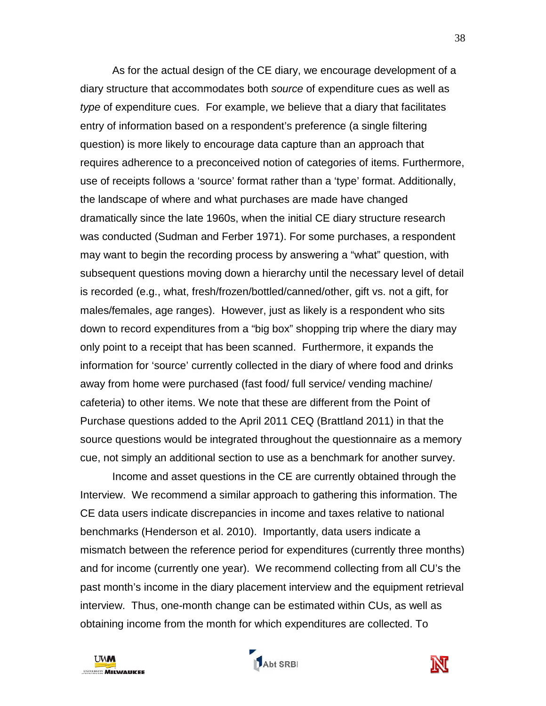As for the actual design of the CE diary, we encourage development of a diary structure that accommodates both *source* of expenditure cues as well as *type* of expenditure cues. For example, we believe that a diary that facilitates entry of information based on a respondent's preference (a single filtering question) is more likely to encourage data capture than an approach that requires adherence to a preconceived notion of categories of items. Furthermore, use of receipts follows a 'source' format rather than a 'type' format. Additionally, the landscape of where and what purchases are made have changed dramatically since the late 1960s, when the initial CE diary structure research was conducted (Sudman and Ferber 1971). For some purchases, a respondent may want to begin the recording process by answering a "what" question, with subsequent questions moving down a hierarchy until the necessary level of detail is recorded (e.g., what, fresh/frozen/bottled/canned/other, gift vs. not a gift, for males/females, age ranges). However, just as likely is a respondent who sits down to record expenditures from a "big box" shopping trip where the diary may only point to a receipt that has been scanned. Furthermore, it expands the information for 'source' currently collected in the diary of where food and drinks away from home were purchased (fast food/ full service/ vending machine/ cafeteria) to other items. We note that these are different from the Point of Purchase questions added to the April 2011 CEQ (Brattland 2011) in that the source questions would be integrated throughout the questionnaire as a memory cue, not simply an additional section to use as a benchmark for another survey.

Income and asset questions in the CE are currently obtained through the Interview. We recommend a similar approach to gathering this information. The CE data users indicate discrepancies in income and taxes relative to national benchmarks (Henderson et al. 2010). Importantly, data users indicate a mismatch between the reference period for expenditures (currently three months) and for income (currently one year). We recommend collecting from all CU's the past month's income in the diary placement interview and the equipment retrieval interview. Thus, one-month change can be estimated within CUs, as well as obtaining income from the month for which expenditures are collected. To





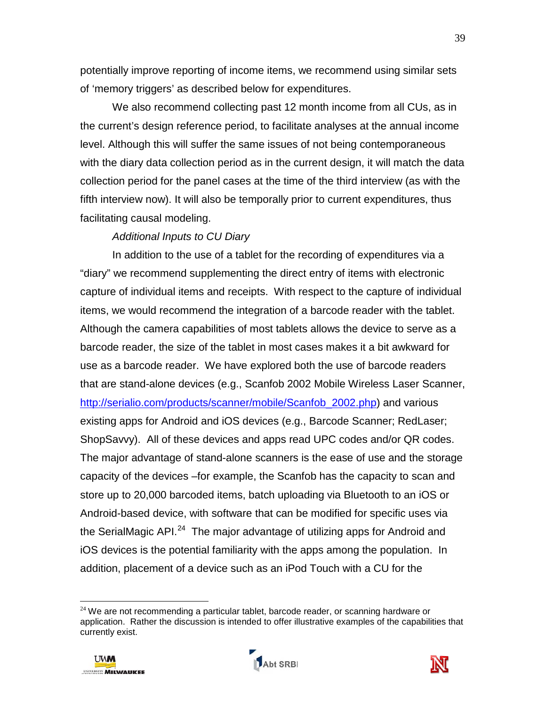potentially improve reporting of income items, we recommend using similar sets of 'memory triggers' as described below for expenditures.

We also recommend collecting past 12 month income from all CUs, as in the current's design reference period, to facilitate analyses at the annual income level. Although this will suffer the same issues of not being contemporaneous with the diary data collection period as in the current design, it will match the data collection period for the panel cases at the time of the third interview (as with the fifth interview now). It will also be temporally prior to current expenditures, thus facilitating causal modeling.

### *Additional Inputs to CU Diary*

In addition to the use of a tablet for the recording of expenditures via a "diary" we recommend supplementing the direct entry of items with electronic capture of individual items and receipts. With respect to the capture of individual items, we would recommend the integration of a barcode reader with the tablet. Although the camera capabilities of most tablets allows the device to serve as a barcode reader, the size of the tablet in most cases makes it a bit awkward for use as a barcode reader. We have explored both the use of barcode readers that are stand-alone devices (e.g., Scanfob 2002 Mobile Wireless Laser Scanner, [http://serialio.com/products/scanner/mobile/Scanfob\\_2002.php\)](http://serialio.com/products/scanner/mobile/Scanfob_2002.php) and various existing apps for Android and iOS devices (e.g., Barcode Scanner; RedLaser; ShopSavvy). All of these devices and apps read UPC codes and/or QR codes. The major advantage of stand-alone scanners is the ease of use and the storage capacity of the devices –for example, the Scanfob has the capacity to scan and store up to 20,000 barcoded items, batch uploading via Bluetooth to an iOS or Android-based device, with software that can be modified for specific uses via the SerialMagic API.<sup>[24](#page-41-0)</sup> The major advantage of utilizing apps for Android and iOS devices is the potential familiarity with the apps among the population. In addition, placement of a device such as an iPod Touch with a CU for the

 $24$  We are not recommending a particular tablet, barcode reader, or scanning hardware or application. Rather the discussion is intended to offer illustrative examples of the capabilities that currently exist.



 $\overline{a}$ 



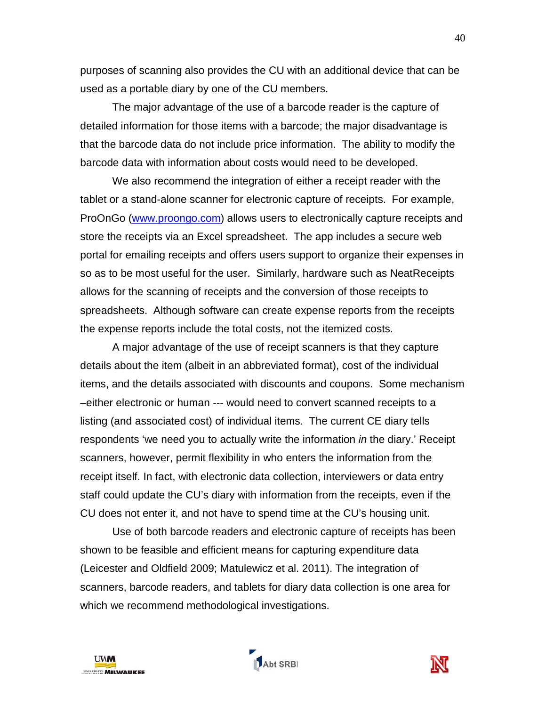purposes of scanning also provides the CU with an additional device that can be used as a portable diary by one of the CU members.

The major advantage of the use of a barcode reader is the capture of detailed information for those items with a barcode; the major disadvantage is that the barcode data do not include price information. The ability to modify the barcode data with information about costs would need to be developed.

We also recommend the integration of either a receipt reader with the tablet or a stand-alone scanner for electronic capture of receipts. For example, ProOnGo [\(www.proongo.com\)](http://www.proongo.com/) allows users to electronically capture receipts and store the receipts via an Excel spreadsheet. The app includes a secure web portal for emailing receipts and offers users support to organize their expenses in so as to be most useful for the user. Similarly, hardware such as NeatReceipts allows for the scanning of receipts and the conversion of those receipts to spreadsheets. Although software can create expense reports from the receipts the expense reports include the total costs, not the itemized costs.

A major advantage of the use of receipt scanners is that they capture details about the item (albeit in an abbreviated format), cost of the individual items, and the details associated with discounts and coupons. Some mechanism –either electronic or human --- would need to convert scanned receipts to a listing (and associated cost) of individual items. The current CE diary tells respondents 'we need you to actually write the information *in* the diary.' Receipt scanners, however, permit flexibility in who enters the information from the receipt itself. In fact, with electronic data collection, interviewers or data entry staff could update the CU's diary with information from the receipts, even if the CU does not enter it, and not have to spend time at the CU's housing unit.

<span id="page-41-0"></span>Use of both barcode readers and electronic capture of receipts has been shown to be feasible and efficient means for capturing expenditure data (Leicester and Oldfield 2009; Matulewicz et al. 2011). The integration of scanners, barcode readers, and tablets for diary data collection is one area for which we recommend methodological investigations.

Abt SRBI

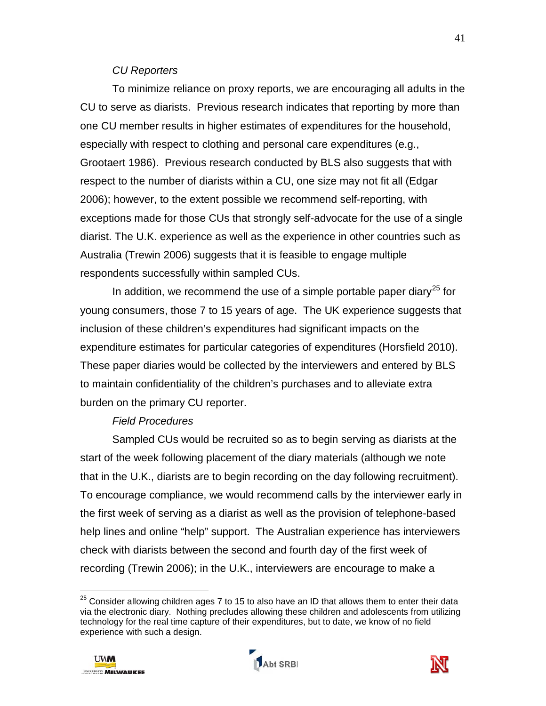#### *CU Reporters*

To minimize reliance on proxy reports, we are encouraging all adults in the CU to serve as diarists. Previous research indicates that reporting by more than one CU member results in higher estimates of expenditures for the household, especially with respect to clothing and personal care expenditures (e.g., Grootaert 1986). Previous research conducted by BLS also suggests that with respect to the number of diarists within a CU, one size may not fit all (Edgar 2006); however, to the extent possible we recommend self-reporting, with exceptions made for those CUs that strongly self-advocate for the use of a single diarist. The U.K. experience as well as the experience in other countries such as Australia (Trewin 2006) suggests that it is feasible to engage multiple respondents successfully within sampled CUs.

In addition, we recommend the use of a simple portable paper diary<sup>[25](#page-43-0)</sup> for young consumers, those 7 to 15 years of age. The UK experience suggests that inclusion of these children's expenditures had significant impacts on the expenditure estimates for particular categories of expenditures (Horsfield 2010). These paper diaries would be collected by the interviewers and entered by BLS to maintain confidentiality of the children's purchases and to alleviate extra burden on the primary CU reporter.

### *Field Procedures*

Sampled CUs would be recruited so as to begin serving as diarists at the start of the week following placement of the diary materials (although we note that in the U.K., diarists are to begin recording on the day following recruitment). To encourage compliance, we would recommend calls by the interviewer early in the first week of serving as a diarist as well as the provision of telephone-based help lines and online "help" support. The Australian experience has interviewers check with diarists between the second and fourth day of the first week of recording (Trewin 2006); in the U.K., interviewers are encourage to make a

 $^{25}$  Consider allowing children ages 7 to 15 to also have an ID that allows them to enter their data via the electronic diary. Nothing precludes allowing these children and adolescents from utilizing technology for the real time capture of their expenditures, but to date, we know of no field experience with such a design.



 $\overline{\phantom{a}}$ 

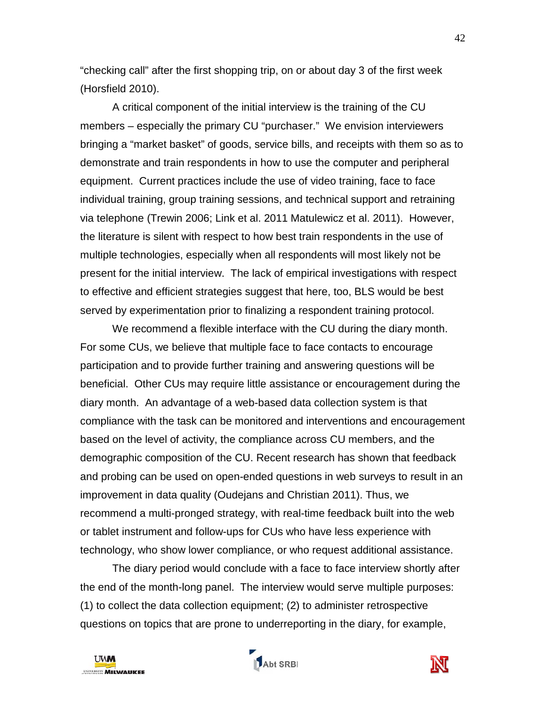"checking call" after the first shopping trip, on or about day 3 of the first week (Horsfield 2010).

A critical component of the initial interview is the training of the CU members – especially the primary CU "purchaser." We envision interviewers bringing a "market basket" of goods, service bills, and receipts with them so as to demonstrate and train respondents in how to use the computer and peripheral equipment. Current practices include the use of video training, face to face individual training, group training sessions, and technical support and retraining via telephone (Trewin 2006; Link et al. 2011 Matulewicz et al. 2011). However, the literature is silent with respect to how best train respondents in the use of multiple technologies, especially when all respondents will most likely not be present for the initial interview. The lack of empirical investigations with respect to effective and efficient strategies suggest that here, too, BLS would be best served by experimentation prior to finalizing a respondent training protocol.

We recommend a flexible interface with the CU during the diary month. For some CUs, we believe that multiple face to face contacts to encourage participation and to provide further training and answering questions will be beneficial. Other CUs may require little assistance or encouragement during the diary month. An advantage of a web-based data collection system is that compliance with the task can be monitored and interventions and encouragement based on the level of activity, the compliance across CU members, and the demographic composition of the CU. Recent research has shown that feedback and probing can be used on open-ended questions in web surveys to result in an improvement in data quality (Oudejans and Christian 2011). Thus, we recommend a multi-pronged strategy, with real-time feedback built into the web or tablet instrument and follow-ups for CUs who have less experience with technology, who show lower compliance, or who request additional assistance.

<span id="page-43-0"></span>The diary period would conclude with a face to face interview shortly after the end of the month-long panel. The interview would serve multiple purposes: (1) to collect the data collection equipment; (2) to administer retrospective questions on topics that are prone to underreporting in the diary, for example,





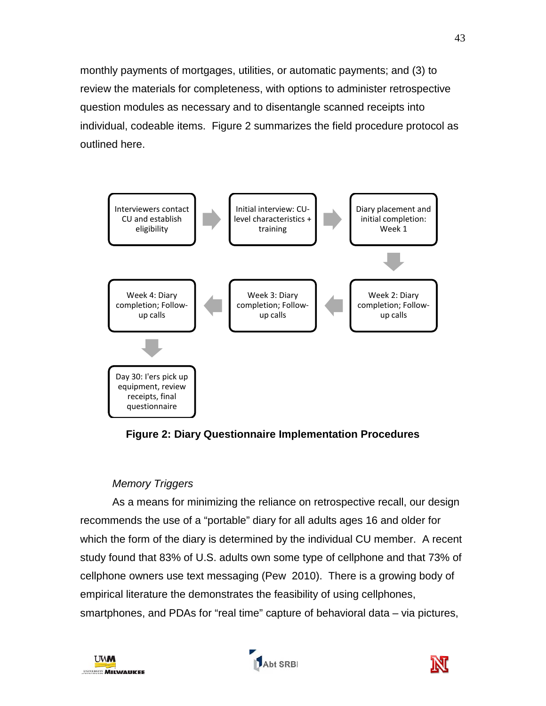monthly payments of mortgages, utilities, or automatic payments; and (3) to review the materials for completeness, with options to administer retrospective question modules as necessary and to disentangle scanned receipts into individual, codeable items. Figure 2 summarizes the field procedure protocol as outlined here.



**Figure 2: Diary Questionnaire Implementation Procedures**

# *Memory Triggers*

As a means for minimizing the reliance on retrospective recall, our design recommends the use of a "portable" diary for all adults ages 16 and older for which the form of the diary is determined by the individual CU member. A recent study found that 83% of U.S. adults own some type of cellphone and that 73% of cellphone owners use text messaging (Pew 2010). There is a growing body of empirical literature the demonstrates the feasibility of using cellphones, smartphones, and PDAs for "real time" capture of behavioral data – via pictures,





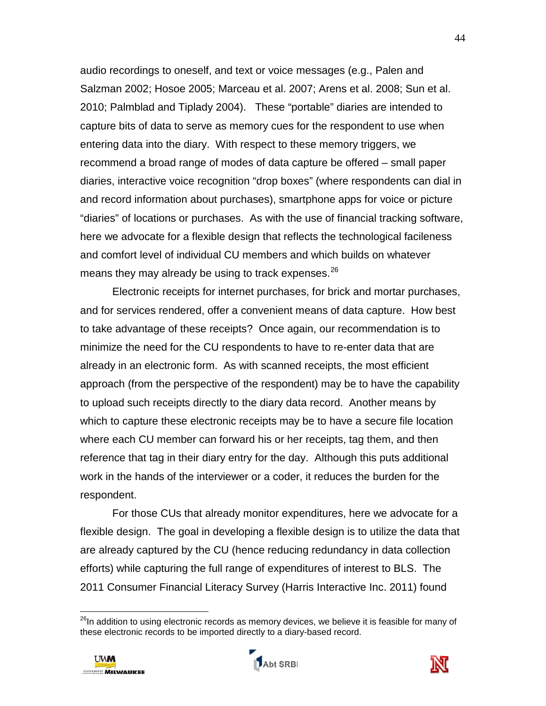audio recordings to oneself, and text or voice messages (e.g., Palen and Salzman 2002; Hosoe 2005; Marceau et al. 2007; Arens et al. 2008; Sun et al. 2010; Palmblad and Tiplady 2004). These "portable" diaries are intended to capture bits of data to serve as memory cues for the respondent to use when entering data into the diary. With respect to these memory triggers, we recommend a broad range of modes of data capture be offered – small paper diaries, interactive voice recognition "drop boxes" (where respondents can dial in and record information about purchases), smartphone apps for voice or picture "diaries" of locations or purchases. As with the use of financial tracking software, here we advocate for a flexible design that reflects the technological facileness and comfort level of individual CU members and which builds on whatever means they may already be using to track expenses.<sup>[26](#page-46-0)</sup>

Electronic receipts for internet purchases, for brick and mortar purchases, and for services rendered, offer a convenient means of data capture. How best to take advantage of these receipts? Once again, our recommendation is to minimize the need for the CU respondents to have to re-enter data that are already in an electronic form. As with scanned receipts, the most efficient approach (from the perspective of the respondent) may be to have the capability to upload such receipts directly to the diary data record. Another means by which to capture these electronic receipts may be to have a secure file location where each CU member can forward his or her receipts, tag them, and then reference that tag in their diary entry for the day. Although this puts additional work in the hands of the interviewer or a coder, it reduces the burden for the respondent.

For those CUs that already monitor expenditures, here we advocate for a flexible design. The goal in developing a flexible design is to utilize the data that are already captured by the CU (hence reducing redundancy in data collection efforts) while capturing the full range of expenditures of interest to BLS. The 2011 Consumer Financial Literacy Survey (Harris Interactive Inc. 2011) found

 $\overline{a}$ 





<sup>&</sup>lt;sup>26</sup>In addition to using electronic records as memory devices, we believe it is feasible for many of these electronic records to be imported directly to a diary-based record.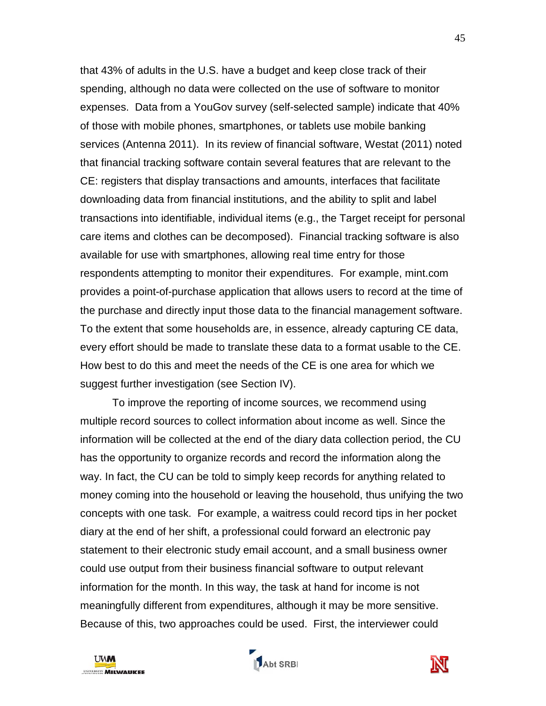that 43% of adults in the U.S. have a budget and keep close track of their spending, although no data were collected on the use of software to monitor expenses. Data from a YouGov survey (self-selected sample) indicate that 40% of those with mobile phones, smartphones, or tablets use mobile banking services (Antenna 2011). In its review of financial software, Westat (2011) noted that financial tracking software contain several features that are relevant to the CE: registers that display transactions and amounts, interfaces that facilitate downloading data from financial institutions, and the ability to split and label transactions into identifiable, individual items (e.g., the Target receipt for personal care items and clothes can be decomposed). Financial tracking software is also available for use with smartphones, allowing real time entry for those respondents attempting to monitor their expenditures. For example, mint.com provides a point-of-purchase application that allows users to record at the time of the purchase and directly input those data to the financial management software. To the extent that some households are, in essence, already capturing CE data, every effort should be made to translate these data to a format usable to the CE. How best to do this and meet the needs of the CE is one area for which we suggest further investigation (see Section IV).

To improve the reporting of income sources, we recommend using multiple record sources to collect information about income as well. Since the information will be collected at the end of the diary data collection period, the CU has the opportunity to organize records and record the information along the way. In fact, the CU can be told to simply keep records for anything related to money coming into the household or leaving the household, thus unifying the two concepts with one task. For example, a waitress could record tips in her pocket diary at the end of her shift, a professional could forward an electronic pay statement to their electronic study email account, and a small business owner could use output from their business financial software to output relevant information for the month. In this way, the task at hand for income is not meaningfully different from expenditures, although it may be more sensitive. Because of this, two approaches could be used. First, the interviewer could

<span id="page-46-0"></span>



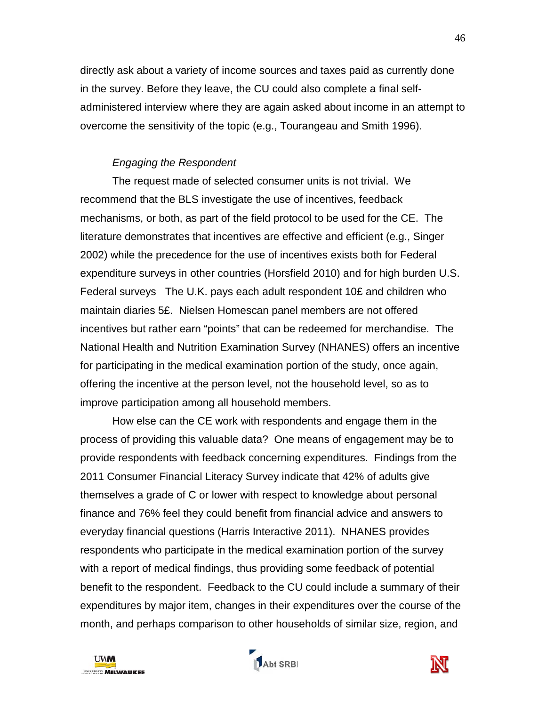directly ask about a variety of income sources and taxes paid as currently done in the survey. Before they leave, the CU could also complete a final selfadministered interview where they are again asked about income in an attempt to overcome the sensitivity of the topic (e.g., Tourangeau and Smith 1996).

# *Engaging the Respondent*

The request made of selected consumer units is not trivial. We recommend that the BLS investigate the use of incentives, feedback mechanisms, or both, as part of the field protocol to be used for the CE. The literature demonstrates that incentives are effective and efficient (e.g., Singer 2002) while the precedence for the use of incentives exists both for Federal expenditure surveys in other countries (Horsfield 2010) and for high burden U.S. Federal surveys The U.K. pays each adult respondent 10£ and children who maintain diaries 5£. Nielsen Homescan panel members are not offered incentives but rather earn "points" that can be redeemed for merchandise. The National Health and Nutrition Examination Survey (NHANES) offers an incentive for participating in the medical examination portion of the study, once again, offering the incentive at the person level, not the household level, so as to improve participation among all household members.

How else can the CE work with respondents and engage them in the process of providing this valuable data? One means of engagement may be to provide respondents with feedback concerning expenditures. Findings from the 2011 Consumer Financial Literacy Survey indicate that 42% of adults give themselves a grade of C or lower with respect to knowledge about personal finance and 76% feel they could benefit from financial advice and answers to everyday financial questions (Harris Interactive 2011). NHANES provides respondents who participate in the medical examination portion of the survey with a report of medical findings, thus providing some feedback of potential benefit to the respondent. Feedback to the CU could include a summary of their expenditures by major item, changes in their expenditures over the course of the month, and perhaps comparison to other households of similar size, region, and





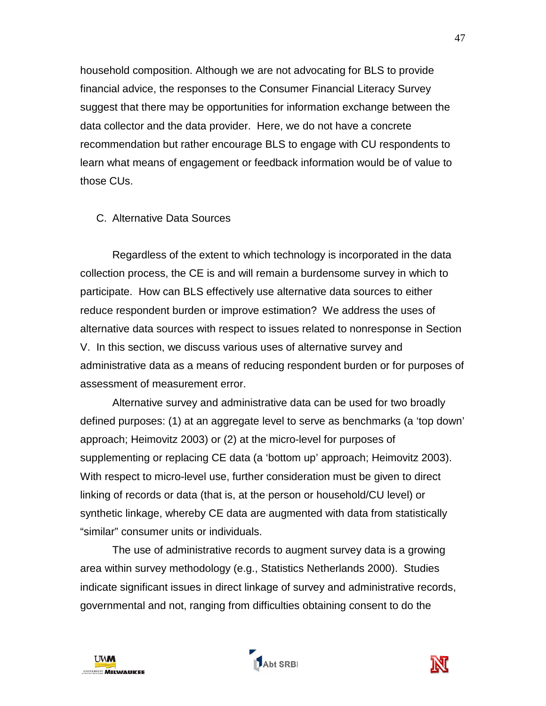household composition. Although we are not advocating for BLS to provide financial advice, the responses to the Consumer Financial Literacy Survey suggest that there may be opportunities for information exchange between the data collector and the data provider. Here, we do not have a concrete recommendation but rather encourage BLS to engage with CU respondents to learn what means of engagement or feedback information would be of value to those CUs.

#### C. Alternative Data Sources

Regardless of the extent to which technology is incorporated in the data collection process, the CE is and will remain a burdensome survey in which to participate. How can BLS effectively use alternative data sources to either reduce respondent burden or improve estimation? We address the uses of alternative data sources with respect to issues related to nonresponse in Section V. In this section, we discuss various uses of alternative survey and administrative data as a means of reducing respondent burden or for purposes of assessment of measurement error.

Alternative survey and administrative data can be used for two broadly defined purposes: (1) at an aggregate level to serve as benchmarks (a 'top down' approach; Heimovitz 2003) or (2) at the micro-level for purposes of supplementing or replacing CE data (a 'bottom up' approach; Heimovitz 2003). With respect to micro-level use, further consideration must be given to direct linking of records or data (that is, at the person or household/CU level) or synthetic linkage, whereby CE data are augmented with data from statistically "similar" consumer units or individuals.

The use of administrative records to augment survey data is a growing area within survey methodology (e.g., Statistics Netherlands 2000). Studies indicate significant issues in direct linkage of survey and administrative records, governmental and not, ranging from difficulties obtaining consent to do the



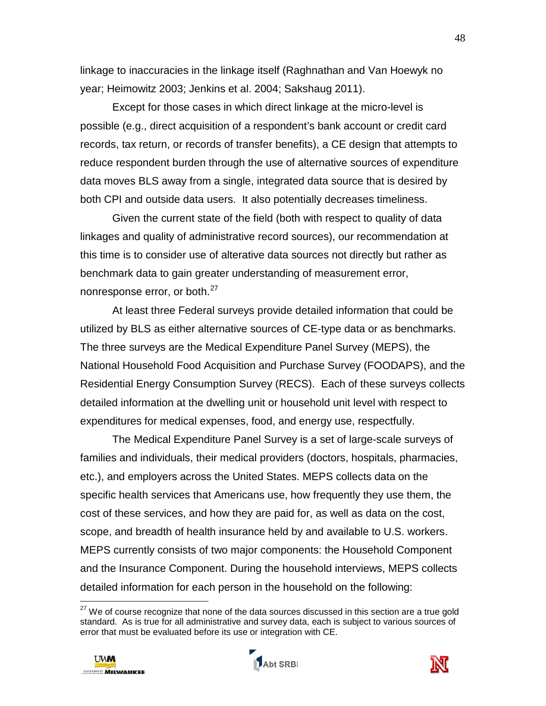linkage to inaccuracies in the linkage itself (Raghnathan and Van Hoewyk no year; Heimowitz 2003; Jenkins et al. 2004; Sakshaug 2011).

Except for those cases in which direct linkage at the micro-level is possible (e.g., direct acquisition of a respondent's bank account or credit card records, tax return, or records of transfer benefits), a CE design that attempts to reduce respondent burden through the use of alternative sources of expenditure data moves BLS away from a single, integrated data source that is desired by both CPI and outside data users. It also potentially decreases timeliness.

Given the current state of the field (both with respect to quality of data linkages and quality of administrative record sources), our recommendation at this time is to consider use of alterative data sources not directly but rather as benchmark data to gain greater understanding of measurement error, nonresponse error, or both.<sup>[27](#page-50-0)</sup>

At least three Federal surveys provide detailed information that could be utilized by BLS as either alternative sources of CE-type data or as benchmarks. The three surveys are the Medical Expenditure Panel Survey (MEPS), the National Household Food Acquisition and Purchase Survey (FOODAPS), and the Residential Energy Consumption Survey (RECS). Each of these surveys collects detailed information at the dwelling unit or household unit level with respect to expenditures for medical expenses, food, and energy use, respectfully.

The Medical Expenditure Panel Survey is a set of large-scale surveys of families and individuals, their medical providers (doctors, hospitals, pharmacies, etc.), and employers across the United States. MEPS collects data on the specific health services that Americans use, how frequently they use them, the cost of these services, and how they are paid for, as well as data on the cost, scope, and breadth of health insurance held by and available to U.S. workers. MEPS currently consists of two major components: the Household Component and the Insurance Component. During the household interviews, MEPS collects detailed information for each person in the household on the following:

 $27$  We of course recognize that none of the data sources discussed in this section are a true gold standard. As is true for all administrative and survey data, each is subject to various sources of error that must be evaluated before its use or integration with CE.



 $\overline{a}$ 



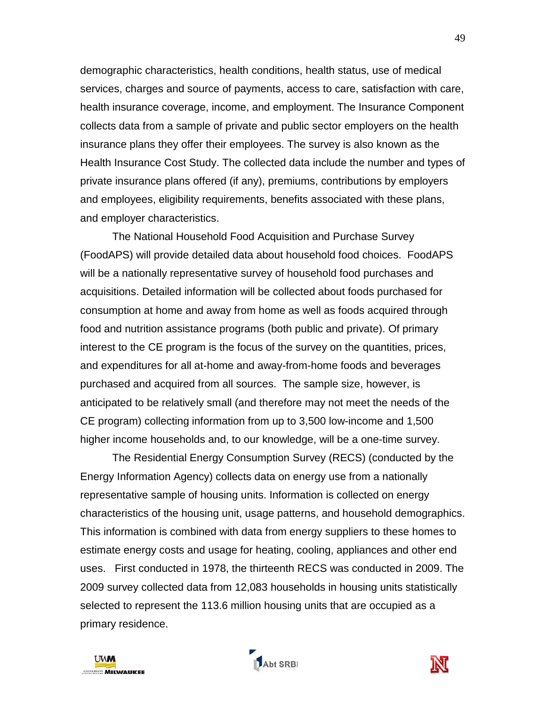demographic characteristics, health conditions, health status, use of medical services, charges and source of payments, access to care, satisfaction with care, health insurance coverage, income, and employment. The Insurance Component collects data from a sample of private and public sector employers on the health insurance plans they offer their employees. The survey is also known as the Health Insurance Cost Study. The collected data include the number and types of private insurance plans offered (if any), premiums, contributions by employers and employees, eligibility requirements, benefits associated with these plans, and employer characteristics.

The National Household Food Acquisition and Purchase Survey (FoodAPS) will provide detailed data about household food choices. FoodAPS will be a nationally representative survey of household food purchases and acquisitions. Detailed information will be collected about foods purchased for consumption at home and away from home as well as foods acquired through food and nutrition assistance programs (both public and private). Of primary interest to the CE program is the focus of the survey on the quantities, prices, and expenditures for all at-home and away-from-home foods and beverages purchased and acquired from all sources. The sample size, however, is anticipated to be relatively small (and therefore may not meet the needs of the CE program) collecting information from up to 3,500 low-income and 1,500 higher income households and, to our knowledge, will be a one-time survey.

The Residential Energy Consumption Survey (RECS) (conducted by the Energy Information Agency) collects data on energy use from a nationally representative sample of housing units. Information is collected on energy characteristics of the housing unit, usage patterns, and household demographics. This information is combined with data from energy suppliers to these homes to estimate energy costs and usage for heating, cooling, appliances and other end uses. First conducted in 1978, the thirteenth RECS was conducted in 2009. The 2009 survey collected data from 12,083 households in housing units statistically selected to represent the 113.6 million housing units that are occupied as a primary residence.



<span id="page-50-0"></span>

Abt SRBI

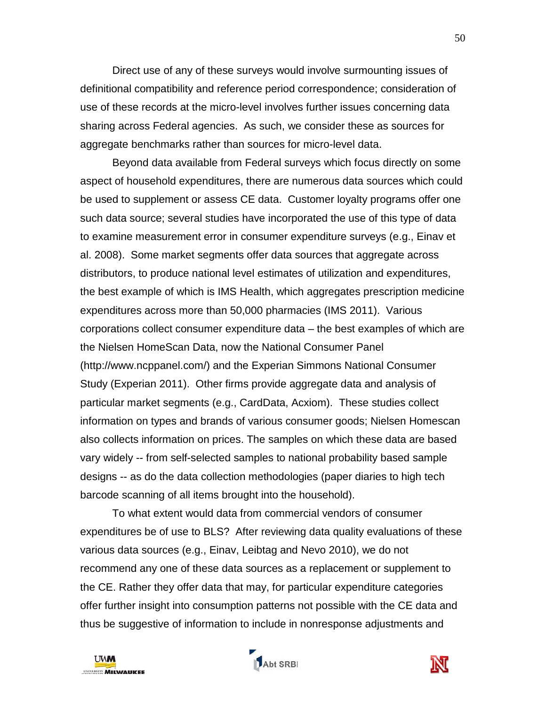Direct use of any of these surveys would involve surmounting issues of definitional compatibility and reference period correspondence; consideration of use of these records at the micro-level involves further issues concerning data sharing across Federal agencies. As such, we consider these as sources for aggregate benchmarks rather than sources for micro-level data.

Beyond data available from Federal surveys which focus directly on some aspect of household expenditures, there are numerous data sources which could be used to supplement or assess CE data. Customer loyalty programs offer one such data source; several studies have incorporated the use of this type of data to examine measurement error in consumer expenditure surveys (e.g., Einav et al. 2008). Some market segments offer data sources that aggregate across distributors, to produce national level estimates of utilization and expenditures, the best example of which is IMS Health, which aggregates prescription medicine expenditures across more than 50,000 pharmacies (IMS 2011). Various corporations collect consumer expenditure data – the best examples of which are the Nielsen HomeScan Data, now the National Consumer Panel (http://www.ncppanel.com/) and the Experian Simmons National Consumer Study (Experian 2011). Other firms provide aggregate data and analysis of particular market segments (e.g., CardData, Acxiom). These studies collect information on types and brands of various consumer goods; Nielsen Homescan also collects information on prices. The samples on which these data are based vary widely -- from self-selected samples to national probability based sample designs -- as do the data collection methodologies (paper diaries to high tech barcode scanning of all items brought into the household).

To what extent would data from commercial vendors of consumer expenditures be of use to BLS? After reviewing data quality evaluations of these various data sources (e.g., Einav, Leibtag and Nevo 2010), we do not recommend any one of these data sources as a replacement or supplement to the CE. Rather they offer data that may, for particular expenditure categories offer further insight into consumption patterns not possible with the CE data and thus be suggestive of information to include in nonresponse adjustments and





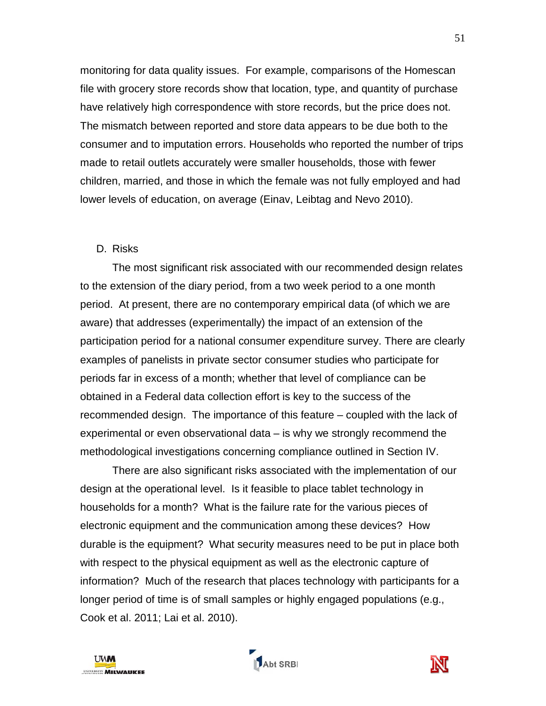monitoring for data quality issues. For example, comparisons of the Homescan file with grocery store records show that location, type, and quantity of purchase have relatively high correspondence with store records, but the price does not. The mismatch between reported and store data appears to be due both to the consumer and to imputation errors. Households who reported the number of trips made to retail outlets accurately were smaller households, those with fewer children, married, and those in which the female was not fully employed and had lower levels of education, on average (Einav, Leibtag and Nevo 2010).

#### D. Risks

The most significant risk associated with our recommended design relates to the extension of the diary period, from a two week period to a one month period. At present, there are no contemporary empirical data (of which we are aware) that addresses (experimentally) the impact of an extension of the participation period for a national consumer expenditure survey. There are clearly examples of panelists in private sector consumer studies who participate for periods far in excess of a month; whether that level of compliance can be obtained in a Federal data collection effort is key to the success of the recommended design. The importance of this feature – coupled with the lack of experimental or even observational data – is why we strongly recommend the methodological investigations concerning compliance outlined in Section IV.

There are also significant risks associated with the implementation of our design at the operational level. Is it feasible to place tablet technology in households for a month? What is the failure rate for the various pieces of electronic equipment and the communication among these devices? How durable is the equipment? What security measures need to be put in place both with respect to the physical equipment as well as the electronic capture of information? Much of the research that places technology with participants for a longer period of time is of small samples or highly engaged populations (e.g., Cook et al. 2011; Lai et al. 2010).

Abt SRBI

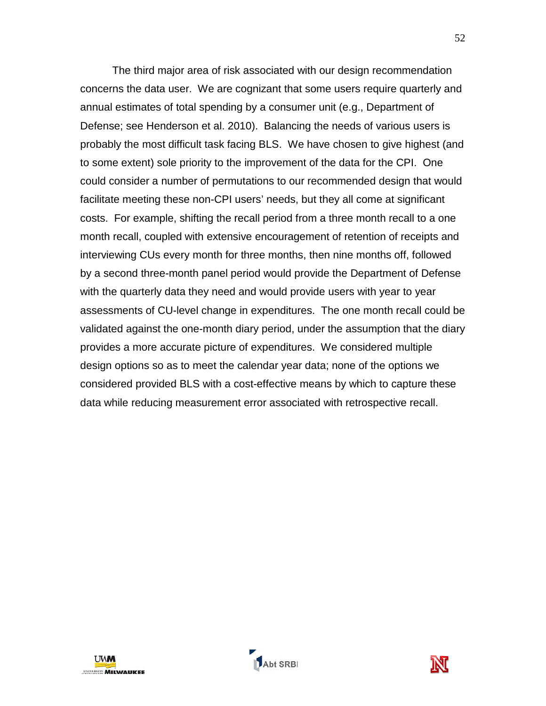The third major area of risk associated with our design recommendation concerns the data user. We are cognizant that some users require quarterly and annual estimates of total spending by a consumer unit (e.g., Department of Defense; see Henderson et al. 2010). Balancing the needs of various users is probably the most difficult task facing BLS. We have chosen to give highest (and to some extent) sole priority to the improvement of the data for the CPI. One could consider a number of permutations to our recommended design that would facilitate meeting these non-CPI users' needs, but they all come at significant costs. For example, shifting the recall period from a three month recall to a one month recall, coupled with extensive encouragement of retention of receipts and interviewing CUs every month for three months, then nine months off, followed by a second three-month panel period would provide the Department of Defense with the quarterly data they need and would provide users with year to year assessments of CU-level change in expenditures. The one month recall could be validated against the one-month diary period, under the assumption that the diary provides a more accurate picture of expenditures. We considered multiple design options so as to meet the calendar year data; none of the options we considered provided BLS with a cost-effective means by which to capture these data while reducing measurement error associated with retrospective recall.





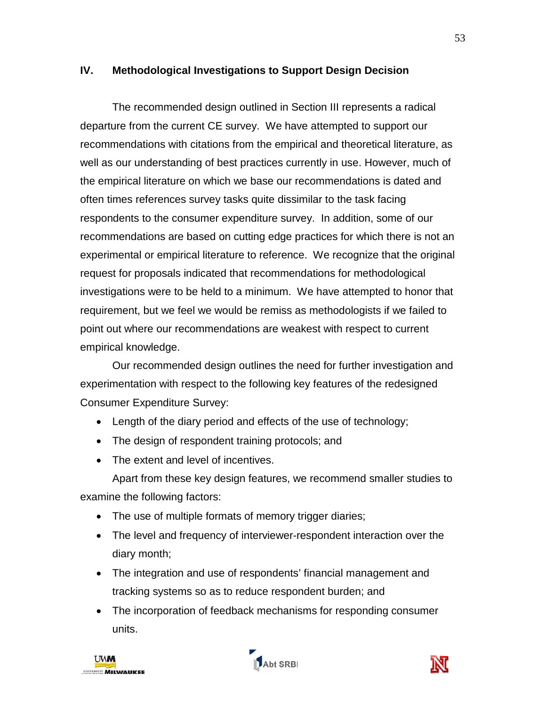### **IV. Methodological Investigations to Support Design Decision**

The recommended design outlined in Section III represents a radical departure from the current CE survey. We have attempted to support our recommendations with citations from the empirical and theoretical literature, as well as our understanding of best practices currently in use. However, much of the empirical literature on which we base our recommendations is dated and often times references survey tasks quite dissimilar to the task facing respondents to the consumer expenditure survey. In addition, some of our recommendations are based on cutting edge practices for which there is not an experimental or empirical literature to reference. We recognize that the original request for proposals indicated that recommendations for methodological investigations were to be held to a minimum. We have attempted to honor that requirement, but we feel we would be remiss as methodologists if we failed to point out where our recommendations are weakest with respect to current empirical knowledge.

Our recommended design outlines the need for further investigation and experimentation with respect to the following key features of the redesigned Consumer Expenditure Survey:

- Length of the diary period and effects of the use of technology;
- The design of respondent training protocols; and
- The extent and level of incentives.

Apart from these key design features, we recommend smaller studies to examine the following factors:

- The use of multiple formats of memory trigger diaries;
- The level and frequency of interviewer-respondent interaction over the diary month;
- The integration and use of respondents' financial management and tracking systems so as to reduce respondent burden; and
- The incorporation of feedback mechanisms for responding consumer units.





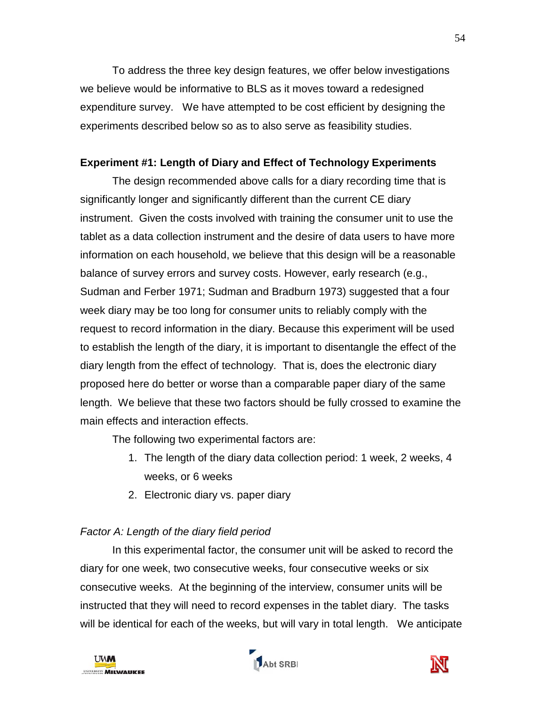To address the three key design features, we offer below investigations we believe would be informative to BLS as it moves toward a redesigned expenditure survey. We have attempted to be cost efficient by designing the experiments described below so as to also serve as feasibility studies.

### **Experiment #1: Length of Diary and Effect of Technology Experiments**

The design recommended above calls for a diary recording time that is significantly longer and significantly different than the current CE diary instrument. Given the costs involved with training the consumer unit to use the tablet as a data collection instrument and the desire of data users to have more information on each household, we believe that this design will be a reasonable balance of survey errors and survey costs. However, early research (e.g., Sudman and Ferber 1971; Sudman and Bradburn 1973) suggested that a four week diary may be too long for consumer units to reliably comply with the request to record information in the diary. Because this experiment will be used to establish the length of the diary, it is important to disentangle the effect of the diary length from the effect of technology. That is, does the electronic diary proposed here do better or worse than a comparable paper diary of the same length. We believe that these two factors should be fully crossed to examine the main effects and interaction effects.

The following two experimental factors are:

- 1. The length of the diary data collection period: 1 week, 2 weeks, 4 weeks, or 6 weeks
- 2. Electronic diary vs. paper diary

# *Factor A: Length of the diary field period*

In this experimental factor, the consumer unit will be asked to record the diary for one week, two consecutive weeks, four consecutive weeks or six consecutive weeks. At the beginning of the interview, consumer units will be instructed that they will need to record expenses in the tablet diary. The tasks will be identical for each of the weeks, but will vary in total length. We anticipate





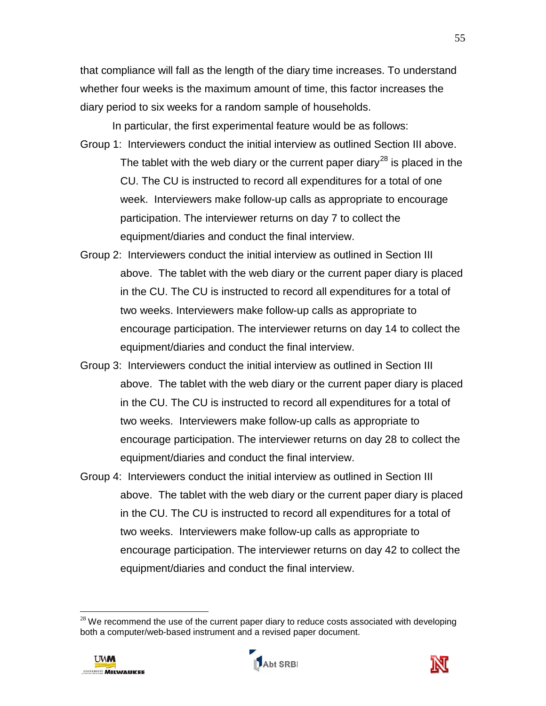that compliance will fall as the length of the diary time increases. To understand whether four weeks is the maximum amount of time, this factor increases the diary period to six weeks for a random sample of households.

In particular, the first experimental feature would be as follows: Group 1: Interviewers conduct the initial interview as outlined Section III above. The tablet with the web diary or the current paper diary<sup>[28](#page-57-0)</sup> is placed in the CU. The CU is instructed to record all expenditures for a total of one week. Interviewers make follow-up calls as appropriate to encourage participation. The interviewer returns on day 7 to collect the equipment/diaries and conduct the final interview.

- Group 2: Interviewers conduct the initial interview as outlined in Section III above. The tablet with the web diary or the current paper diary is placed in the CU. The CU is instructed to record all expenditures for a total of two weeks. Interviewers make follow-up calls as appropriate to encourage participation. The interviewer returns on day 14 to collect the equipment/diaries and conduct the final interview.
- Group 3: Interviewers conduct the initial interview as outlined in Section III above. The tablet with the web diary or the current paper diary is placed in the CU. The CU is instructed to record all expenditures for a total of two weeks. Interviewers make follow-up calls as appropriate to encourage participation. The interviewer returns on day 28 to collect the equipment/diaries and conduct the final interview.
- Group 4: Interviewers conduct the initial interview as outlined in Section III above. The tablet with the web diary or the current paper diary is placed in the CU. The CU is instructed to record all expenditures for a total of two weeks. Interviewers make follow-up calls as appropriate to encourage participation. The interviewer returns on day 42 to collect the equipment/diaries and conduct the final interview.

 $28$  We recommend the use of the current paper diary to reduce costs associated with developing both a computer/web-based instrument and a revised paper document.



 $\overline{a}$ 



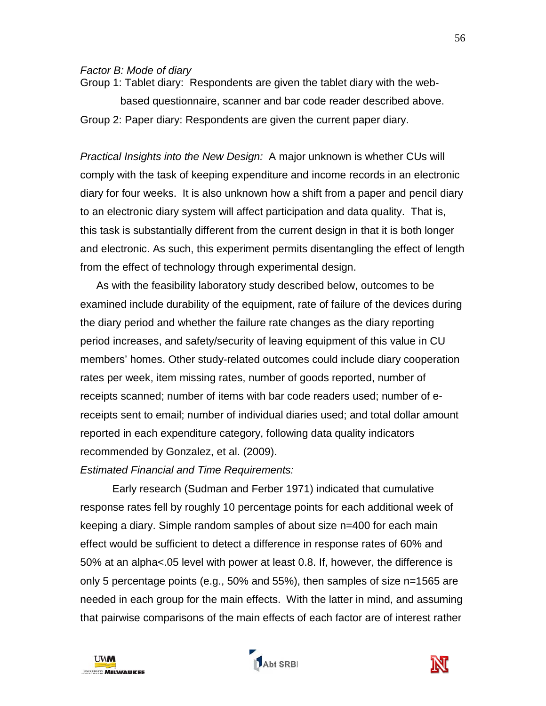#### *Factor B: Mode of diary*

Group 1: Tablet diary: Respondents are given the tablet diary with the webbased questionnaire, scanner and bar code reader described above. Group 2: Paper diary: Respondents are given the current paper diary.

*Practical Insights into the New Design:* A major unknown is whether CUs will comply with the task of keeping expenditure and income records in an electronic diary for four weeks. It is also unknown how a shift from a paper and pencil diary to an electronic diary system will affect participation and data quality. That is, this task is substantially different from the current design in that it is both longer and electronic. As such, this experiment permits disentangling the effect of length from the effect of technology through experimental design.

As with the feasibility laboratory study described below, outcomes to be examined include durability of the equipment, rate of failure of the devices during the diary period and whether the failure rate changes as the diary reporting period increases, and safety/security of leaving equipment of this value in CU members' homes. Other study-related outcomes could include diary cooperation rates per week, item missing rates, number of goods reported, number of receipts scanned; number of items with bar code readers used; number of ereceipts sent to email; number of individual diaries used; and total dollar amount reported in each expenditure category, following data quality indicators recommended by Gonzalez, et al. (2009).

*Estimated Financial and Time Requirements:* 

Early research (Sudman and Ferber 1971) indicated that cumulative response rates fell by roughly 10 percentage points for each additional week of keeping a diary. Simple random samples of about size n=400 for each main effect would be sufficient to detect a difference in response rates of 60% and 50% at an alpha<.05 level with power at least 0.8. If, however, the difference is only 5 percentage points (e.g., 50% and 55%), then samples of size n=1565 are needed in each group for the main effects. With the latter in mind, and assuming that pairwise comparisons of the main effects of each factor are of interest rather

<span id="page-57-0"></span>



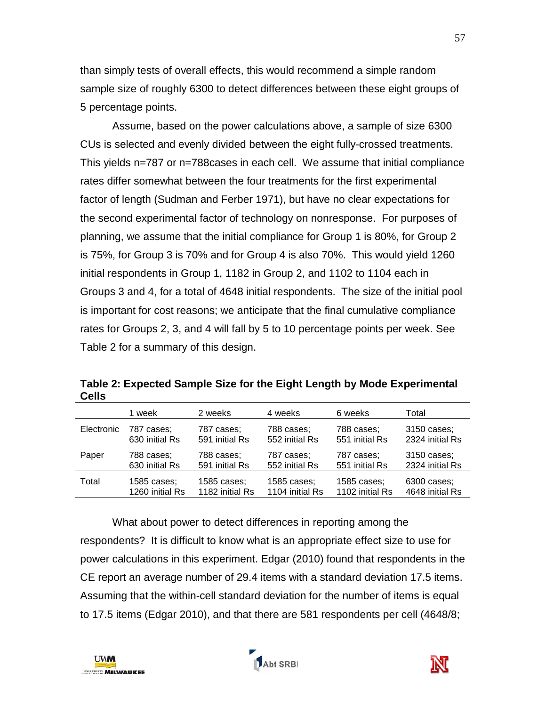than simply tests of overall effects, this would recommend a simple random sample size of roughly 6300 to detect differences between these eight groups of 5 percentage points.

Assume, based on the power calculations above, a sample of size 6300 CUs is selected and evenly divided between the eight fully-crossed treatments. This yields n=787 or n=788cases in each cell. We assume that initial compliance rates differ somewhat between the four treatments for the first experimental factor of length (Sudman and Ferber 1971), but have no clear expectations for the second experimental factor of technology on nonresponse. For purposes of planning, we assume that the initial compliance for Group 1 is 80%, for Group 2 is 75%, for Group 3 is 70% and for Group 4 is also 70%. This would yield 1260 initial respondents in Group 1, 1182 in Group 2, and 1102 to 1104 each in Groups 3 and 4, for a total of 4648 initial respondents. The size of the initial pool is important for cost reasons; we anticipate that the final cumulative compliance rates for Groups 2, 3, and 4 will fall by 5 to 10 percentage points per week. See Table 2 for a summary of this design.

|            | 1 week          | 2 weeks         | 4 weeks         | 6 weeks         | Total           |
|------------|-----------------|-----------------|-----------------|-----------------|-----------------|
| Electronic | 787 cases;      | 787 cases;      | 788 cases:      | 788 cases;      | 3150 cases;     |
|            | 630 initial Rs  | 591 initial Rs  | 552 initial Rs  | 551 initial Rs  | 2324 initial Rs |
| Paper      | 788 cases:      | 788 cases;      | 787 cases:      | 787 cases:      | 3150 cases;     |
|            | 630 initial Rs  | 591 initial Rs  | 552 initial Rs  | 551 initial Rs  | 2324 initial Rs |
| Total      | 1585 cases;     | 1585 cases;     | 1585 cases;     | 1585 cases;     | 6300 cases;     |
|            | 1260 initial Rs | 1182 initial Rs | 1104 initial Rs | 1102 initial Rs | 4648 initial Rs |

**Table 2: Expected Sample Size for the Eight Length by Mode Experimental Cells**

What about power to detect differences in reporting among the respondents? It is difficult to know what is an appropriate effect size to use for power calculations in this experiment. Edgar (2010) found that respondents in the CE report an average number of 29.4 items with a standard deviation 17.5 items. Assuming that the within-cell standard deviation for the number of items is equal to 17.5 items (Edgar 2010), and that there are 581 respondents per cell (4648/8;



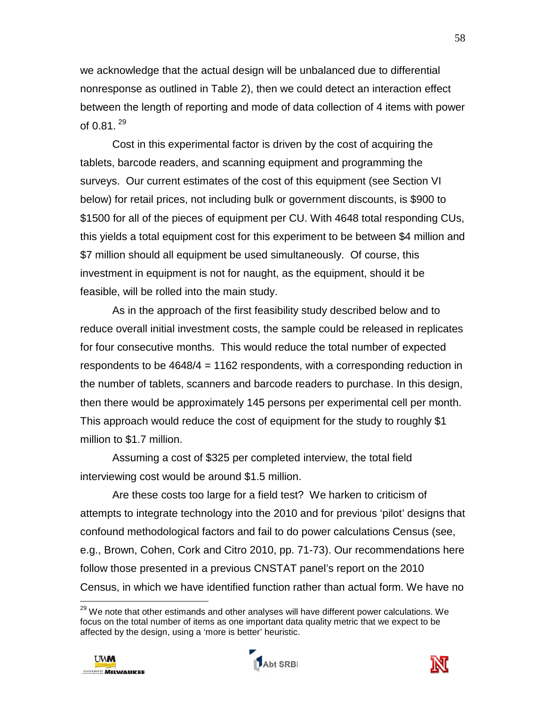we acknowledge that the actual design will be unbalanced due to differential nonresponse as outlined in Table 2), then we could detect an interaction effect between the length of reporting and mode of data collection of 4 items with power of  $0.81$ .  $^{29}$  $^{29}$  $^{29}$ 

Cost in this experimental factor is driven by the cost of acquiring the tablets, barcode readers, and scanning equipment and programming the surveys. Our current estimates of the cost of this equipment (see Section VI below) for retail prices, not including bulk or government discounts, is \$900 to \$1500 for all of the pieces of equipment per CU. With 4648 total responding CUs, this yields a total equipment cost for this experiment to be between \$4 million and \$7 million should all equipment be used simultaneously. Of course, this investment in equipment is not for naught, as the equipment, should it be feasible, will be rolled into the main study.

As in the approach of the first feasibility study described below and to reduce overall initial investment costs, the sample could be released in replicates for four consecutive months. This would reduce the total number of expected respondents to be 4648/4 = 1162 respondents, with a corresponding reduction in the number of tablets, scanners and barcode readers to purchase. In this design, then there would be approximately 145 persons per experimental cell per month. This approach would reduce the cost of equipment for the study to roughly \$1 million to \$1.7 million.

Assuming a cost of \$325 per completed interview, the total field interviewing cost would be around \$1.5 million.

Are these costs too large for a field test? We harken to criticism of attempts to integrate technology into the 2010 and for previous 'pilot' designs that confound methodological factors and fail to do power calculations Census (see, e.g., Brown, Cohen, Cork and Citro 2010, pp. 71-73). Our recommendations here follow those presented in a previous CNSTAT panel's report on the 2010 Census, in which we have identified function rather than actual form. We have no

<sup>&</sup>lt;sup>29</sup> We note that other estimands and other analyses will have different power calculations. We focus on the total number of items as one important data quality metric that we expect to be affected by the design, using a 'more is better' heuristic.



 $\overline{a}$ 



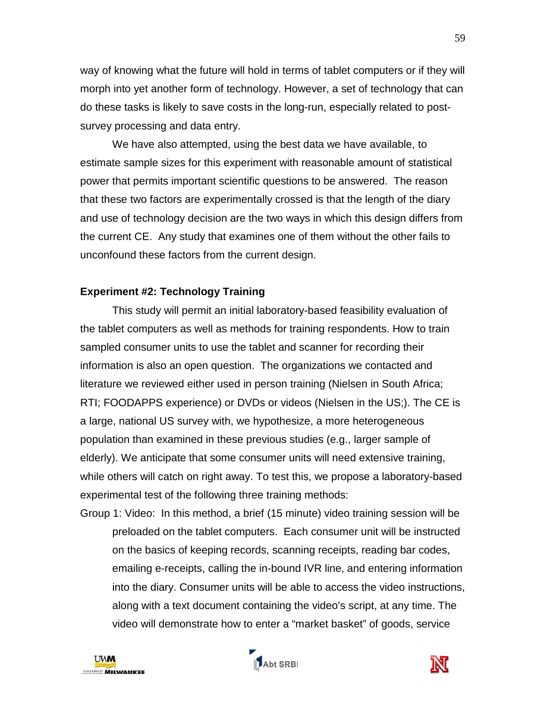way of knowing what the future will hold in terms of tablet computers or if they will morph into yet another form of technology. However, a set of technology that can do these tasks is likely to save costs in the long-run, especially related to postsurvey processing and data entry.

We have also attempted, using the best data we have available, to estimate sample sizes for this experiment with reasonable amount of statistical power that permits important scientific questions to be answered. The reason that these two factors are experimentally crossed is that the length of the diary and use of technology decision are the two ways in which this design differs from the current CE. Any study that examines one of them without the other fails to unconfound these factors from the current design.

### **Experiment #2: Technology Training**

This study will permit an initial laboratory-based feasibility evaluation of the tablet computers as well as methods for training respondents. How to train sampled consumer units to use the tablet and scanner for recording their information is also an open question. The organizations we contacted and literature we reviewed either used in person training (Nielsen in South Africa; RTI; FOODAPPS experience) or DVDs or videos (Nielsen in the US;). The CE is a large, national US survey with, we hypothesize, a more heterogeneous population than examined in these previous studies (e.g., larger sample of elderly). We anticipate that some consumer units will need extensive training, while others will catch on right away. To test this, we propose a laboratory-based experimental test of the following three training methods:

Group 1: Video: In this method, a brief (15 minute) video training session will be preloaded on the tablet computers. Each consumer unit will be instructed on the basics of keeping records, scanning receipts, reading bar codes, emailing e-receipts, calling the in-bound IVR line, and entering information into the diary. Consumer units will be able to access the video instructions, along with a text document containing the video's script, at any time. The video will demonstrate how to enter a "market basket" of goods, service

<span id="page-60-0"></span>



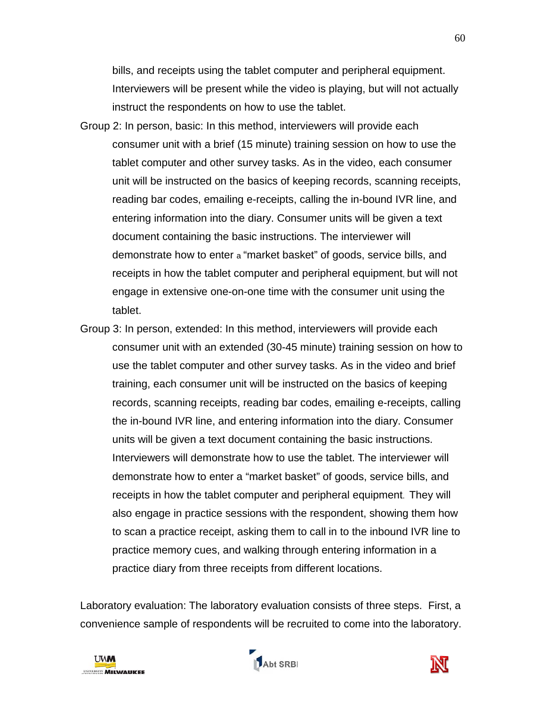bills, and receipts using the tablet computer and peripheral equipment. Interviewers will be present while the video is playing, but will not actually instruct the respondents on how to use the tablet.

- Group 2: In person, basic: In this method, interviewers will provide each consumer unit with a brief (15 minute) training session on how to use the tablet computer and other survey tasks. As in the video, each consumer unit will be instructed on the basics of keeping records, scanning receipts, reading bar codes, emailing e-receipts, calling the in-bound IVR line, and entering information into the diary. Consumer units will be given a text document containing the basic instructions. The interviewer will demonstrate how to enter a "market basket" of goods, service bills, and receipts in how the tablet computer and peripheral equipment, but will not engage in extensive one-on-one time with the consumer unit using the tablet.
- Group 3: In person, extended: In this method, interviewers will provide each consumer unit with an extended (30-45 minute) training session on how to use the tablet computer and other survey tasks. As in the video and brief training, each consumer unit will be instructed on the basics of keeping records, scanning receipts, reading bar codes, emailing e-receipts, calling the in-bound IVR line, and entering information into the diary. Consumer units will be given a text document containing the basic instructions. Interviewers will demonstrate how to use the tablet. The interviewer will demonstrate how to enter a "market basket" of goods, service bills, and receipts in how the tablet computer and peripheral equipment. They will also engage in practice sessions with the respondent, showing them how to scan a practice receipt, asking them to call in to the inbound IVR line to practice memory cues, and walking through entering information in a practice diary from three receipts from different locations.

Laboratory evaluation: The laboratory evaluation consists of three steps. First, a convenience sample of respondents will be recruited to come into the laboratory.





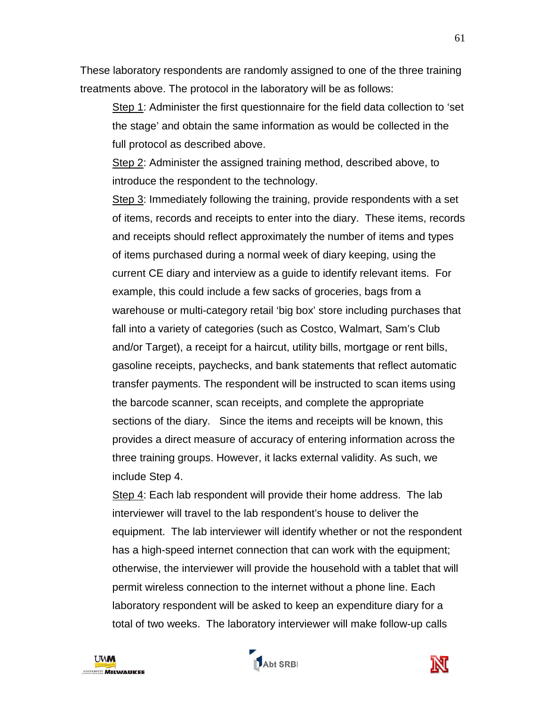These laboratory respondents are randomly assigned to one of the three training treatments above. The protocol in the laboratory will be as follows:

Step 1: Administer the first questionnaire for the field data collection to 'set the stage' and obtain the same information as would be collected in the full protocol as described above.

Step 2: Administer the assigned training method, described above, to introduce the respondent to the technology.

Step 3: Immediately following the training, provide respondents with a set of items, records and receipts to enter into the diary. These items, records and receipts should reflect approximately the number of items and types of items purchased during a normal week of diary keeping, using the current CE diary and interview as a guide to identify relevant items. For example, this could include a few sacks of groceries, bags from a warehouse or multi-category retail 'big box' store including purchases that fall into a variety of categories (such as Costco, Walmart, Sam's Club and/or Target), a receipt for a haircut, utility bills, mortgage or rent bills, gasoline receipts, paychecks, and bank statements that reflect automatic transfer payments. The respondent will be instructed to scan items using the barcode scanner, scan receipts, and complete the appropriate sections of the diary. Since the items and receipts will be known, this provides a direct measure of accuracy of entering information across the three training groups. However, it lacks external validity. As such, we include Step 4.

Step 4: Each lab respondent will provide their home address. The lab interviewer will travel to the lab respondent's house to deliver the equipment. The lab interviewer will identify whether or not the respondent has a high-speed internet connection that can work with the equipment; otherwise, the interviewer will provide the household with a tablet that will permit wireless connection to the internet without a phone line. Each laboratory respondent will be asked to keep an expenditure diary for a total of two weeks. The laboratory interviewer will make follow-up calls





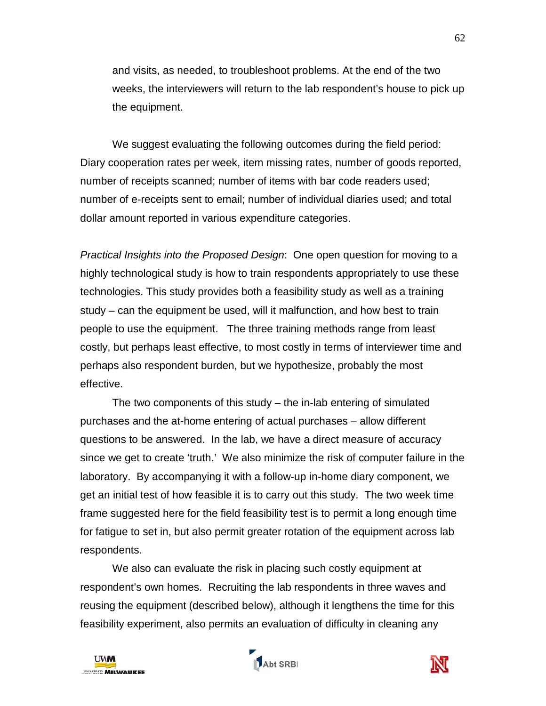and visits, as needed, to troubleshoot problems. At the end of the two weeks, the interviewers will return to the lab respondent's house to pick up the equipment.

We suggest evaluating the following outcomes during the field period: Diary cooperation rates per week, item missing rates, number of goods reported, number of receipts scanned; number of items with bar code readers used; number of e-receipts sent to email; number of individual diaries used; and total dollar amount reported in various expenditure categories.

*Practical Insights into the Proposed Design*: One open question for moving to a highly technological study is how to train respondents appropriately to use these technologies. This study provides both a feasibility study as well as a training study – can the equipment be used, will it malfunction, and how best to train people to use the equipment. The three training methods range from least costly, but perhaps least effective, to most costly in terms of interviewer time and perhaps also respondent burden, but we hypothesize, probably the most effective.

The two components of this study – the in-lab entering of simulated purchases and the at-home entering of actual purchases – allow different questions to be answered. In the lab, we have a direct measure of accuracy since we get to create 'truth.' We also minimize the risk of computer failure in the laboratory. By accompanying it with a follow-up in-home diary component, we get an initial test of how feasible it is to carry out this study. The two week time frame suggested here for the field feasibility test is to permit a long enough time for fatigue to set in, but also permit greater rotation of the equipment across lab respondents.

We also can evaluate the risk in placing such costly equipment at respondent's own homes. Recruiting the lab respondents in three waves and reusing the equipment (described below), although it lengthens the time for this feasibility experiment, also permits an evaluation of difficulty in cleaning any





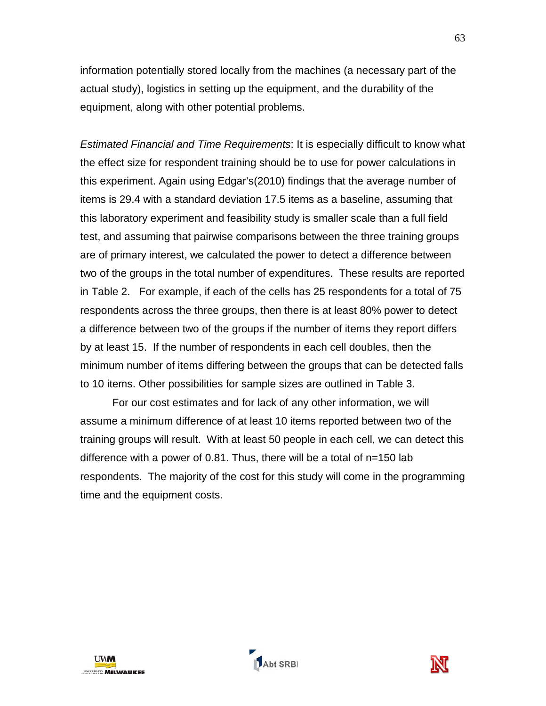information potentially stored locally from the machines (a necessary part of the actual study), logistics in setting up the equipment, and the durability of the equipment, along with other potential problems.

*Estimated Financial and Time Requirements*: It is especially difficult to know what the effect size for respondent training should be to use for power calculations in this experiment. Again using Edgar's(2010) findings that the average number of items is 29.4 with a standard deviation 17.5 items as a baseline, assuming that this laboratory experiment and feasibility study is smaller scale than a full field test, and assuming that pairwise comparisons between the three training groups are of primary interest, we calculated the power to detect a difference between two of the groups in the total number of expenditures. These results are reported in Table 2. For example, if each of the cells has 25 respondents for a total of 75 respondents across the three groups, then there is at least 80% power to detect a difference between two of the groups if the number of items they report differs by at least 15. If the number of respondents in each cell doubles, then the minimum number of items differing between the groups that can be detected falls to 10 items. Other possibilities for sample sizes are outlined in Table 3.

For our cost estimates and for lack of any other information, we will assume a minimum difference of at least 10 items reported between two of the training groups will result. With at least 50 people in each cell, we can detect this difference with a power of 0.81. Thus, there will be a total of n=150 lab respondents. The majority of the cost for this study will come in the programming time and the equipment costs.



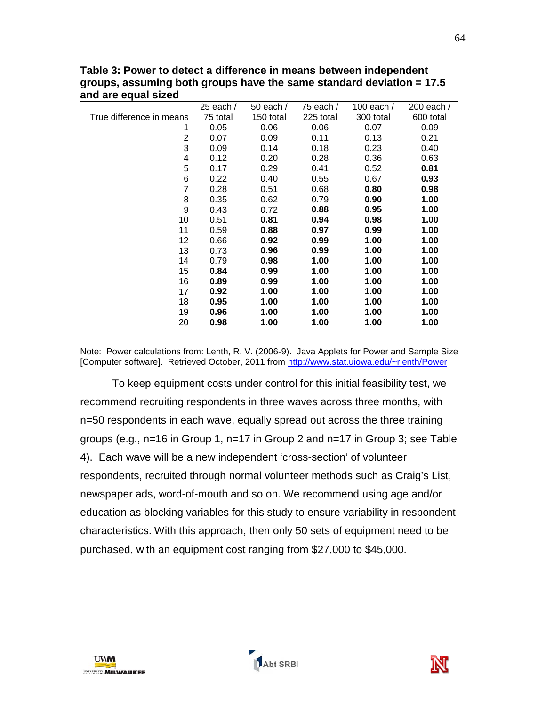|                          | $25$ each / | 50 each / | 75 each / | 100 each / | 200 each / |
|--------------------------|-------------|-----------|-----------|------------|------------|
| True difference in means | 75 total    | 150 total | 225 total | 300 total  | 600 total  |
| 1                        | 0.05        | 0.06      | 0.06      | 0.07       | 0.09       |
| 2                        | 0.07        | 0.09      | 0.11      | 0.13       | 0.21       |
| 3                        | 0.09        | 0.14      | 0.18      | 0.23       | 0.40       |
| 4                        | 0.12        | 0.20      | 0.28      | 0.36       | 0.63       |
| 5                        | 0.17        | 0.29      | 0.41      | 0.52       | 0.81       |
| 6                        | 0.22        | 0.40      | 0.55      | 0.67       | 0.93       |
| 7                        | 0.28        | 0.51      | 0.68      | 0.80       | 0.98       |
| 8                        | 0.35        | 0.62      | 0.79      | 0.90       | 1.00       |
| 9                        | 0.43        | 0.72      | 0.88      | 0.95       | 1.00       |
| 10                       | 0.51        | 0.81      | 0.94      | 0.98       | 1.00       |
| 11                       | 0.59        | 0.88      | 0.97      | 0.99       | 1.00       |
| 12                       | 0.66        | 0.92      | 0.99      | 1.00       | 1.00       |
| 13                       | 0.73        | 0.96      | 0.99      | 1.00       | 1.00       |
| 14                       | 0.79        | 0.98      | 1.00      | 1.00       | 1.00       |
| 15                       | 0.84        | 0.99      | 1.00      | 1.00       | 1.00       |
| 16                       | 0.89        | 0.99      | 1.00      | 1.00       | 1.00       |
| 17                       | 0.92        | 1.00      | 1.00      | 1.00       | 1.00       |
| 18                       | 0.95        | 1.00      | 1.00      | 1.00       | 1.00       |
| 19                       | 0.96        | 1.00      | 1.00      | 1.00       | 1.00       |
| 20                       | 0.98        | 1.00      | 1.00      | 1.00       | 1.00       |

**Table 3: Power to detect a difference in means between independent groups, assuming both groups have the same standard deviation = 17.5 and are equal sized**

Note: Power calculations from: Lenth, R. V. (2006-9). Java Applets for Power and Sample Size [Computer software]. Retrieved October, 2011 from<http://www.stat.uiowa.edu/~rlenth/Power>

To keep equipment costs under control for this initial feasibility test, we recommend recruiting respondents in three waves across three months, with n=50 respondents in each wave, equally spread out across the three training groups (e.g., n=16 in Group 1, n=17 in Group 2 and n=17 in Group 3; see Table 4). Each wave will be a new independent 'cross-section' of volunteer respondents, recruited through normal volunteer methods such as Craig's List, newspaper ads, word-of-mouth and so on. We recommend using age and/or education as blocking variables for this study to ensure variability in respondent characteristics. With this approach, then only 50 sets of equipment need to be purchased, with an equipment cost ranging from \$27,000 to \$45,000.





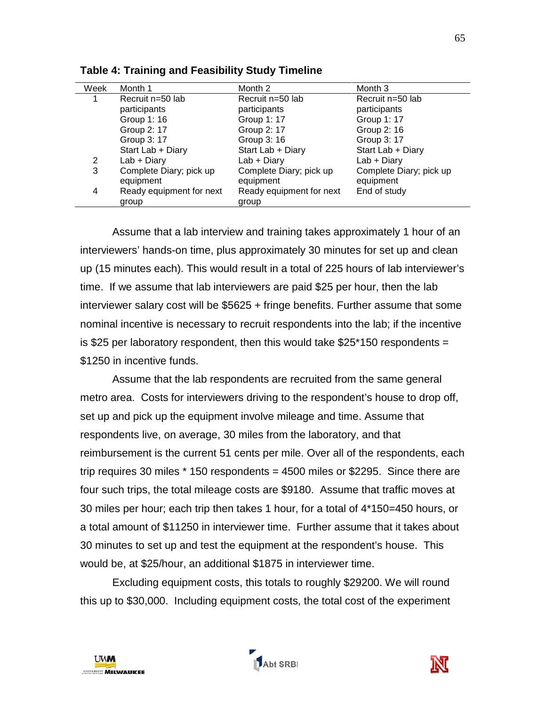| Week | Month 1                  | Month 2                  | Month 3                 |
|------|--------------------------|--------------------------|-------------------------|
|      | Recruit n=50 lab         | Recruit n=50 lab         | Recruit n=50 lab        |
|      | participants             | participants             | participants            |
|      | Group 1: 16              | Group 1: 17              | Group 1: 17             |
|      | Group 2: 17              | Group 2: 17              | Group 2: 16             |
|      | Group 3: 17              | Group 3: 16              | Group 3: 17             |
|      | Start Lab + Diary        | Start Lab + Diary        | Start Lab + Diary       |
| 2    | $Lab + Diary$            | $Lab + Diary$            | Lab + Diary             |
| 3    | Complete Diary; pick up  | Complete Diary; pick up  | Complete Diary; pick up |
|      | equipment                | equipment                | equipment               |
| 4    | Ready equipment for next | Ready equipment for next | End of study            |
|      | group                    | group                    |                         |

**Table 4: Training and Feasibility Study Timeline**

Assume that a lab interview and training takes approximately 1 hour of an interviewers' hands-on time, plus approximately 30 minutes for set up and clean up (15 minutes each). This would result in a total of 225 hours of lab interviewer's time. If we assume that lab interviewers are paid \$25 per hour, then the lab interviewer salary cost will be \$5625 + fringe benefits. Further assume that some nominal incentive is necessary to recruit respondents into the lab; if the incentive is \$25 per laboratory respondent, then this would take \$25\*150 respondents = \$1250 in incentive funds.

Assume that the lab respondents are recruited from the same general metro area. Costs for interviewers driving to the respondent's house to drop off, set up and pick up the equipment involve mileage and time. Assume that respondents live, on average, 30 miles from the laboratory, and that reimbursement is the current 51 cents per mile. Over all of the respondents, each trip requires 30 miles \* 150 respondents = 4500 miles or \$2295. Since there are four such trips, the total mileage costs are \$9180. Assume that traffic moves at 30 miles per hour; each trip then takes 1 hour, for a total of 4\*150=450 hours, or a total amount of \$11250 in interviewer time. Further assume that it takes about 30 minutes to set up and test the equipment at the respondent's house. This would be, at \$25/hour, an additional \$1875 in interviewer time.

Excluding equipment costs, this totals to roughly \$29200. We will round this up to \$30,000. Including equipment costs, the total cost of the experiment



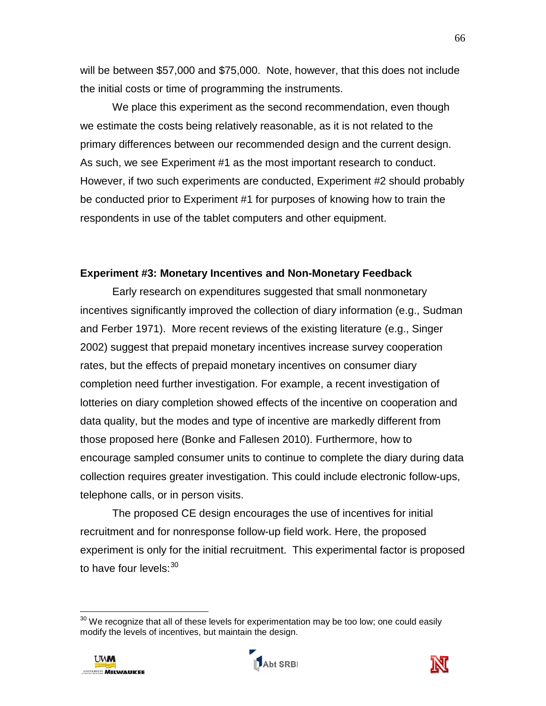will be between \$57,000 and \$75,000. Note, however, that this does not include the initial costs or time of programming the instruments.

We place this experiment as the second recommendation, even though we estimate the costs being relatively reasonable, as it is not related to the primary differences between our recommended design and the current design. As such, we see Experiment #1 as the most important research to conduct. However, if two such experiments are conducted, Experiment #2 should probably be conducted prior to Experiment #1 for purposes of knowing how to train the respondents in use of the tablet computers and other equipment.

#### **Experiment #3: Monetary Incentives and Non-Monetary Feedback**

Early research on expenditures suggested that small nonmonetary incentives significantly improved the collection of diary information (e.g., Sudman and Ferber 1971). More recent reviews of the existing literature (e.g., Singer 2002) suggest that prepaid monetary incentives increase survey cooperation rates, but the effects of prepaid monetary incentives on consumer diary completion need further investigation. For example, a recent investigation of lotteries on diary completion showed effects of the incentive on cooperation and data quality, but the modes and type of incentive are markedly different from those proposed here (Bonke and Fallesen 2010). Furthermore, how to encourage sampled consumer units to continue to complete the diary during data collection requires greater investigation. This could include electronic follow-ups, telephone calls, or in person visits.

The proposed CE design encourages the use of incentives for initial recruitment and for nonresponse follow-up field work. Here, the proposed experiment is only for the initial recruitment. This experimental factor is proposed to have four levels:<sup>[30](#page-68-0)</sup>

 $^{30}$  We recognize that all of these levels for experimentation may be too low; one could easily modify the levels of incentives, but maintain the design.



 $\overline{\phantom{a}}$ 



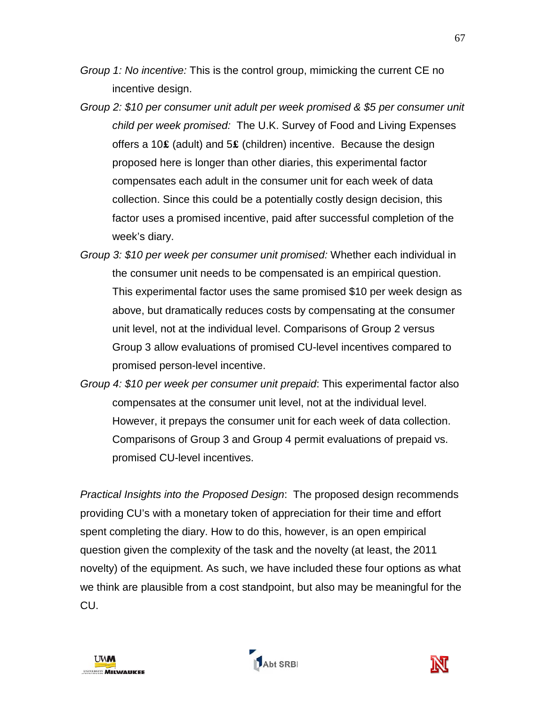- *Group 1: No incentive:* This is the control group, mimicking the current CE no incentive design.
- *Group 2: \$10 per consumer unit adult per week promised & \$5 per consumer unit child per week promised:* The U.K. Survey of Food and Living Expenses offers a 10**£** (adult) and 5**£** (children) incentive. Because the design proposed here is longer than other diaries, this experimental factor compensates each adult in the consumer unit for each week of data collection. Since this could be a potentially costly design decision, this factor uses a promised incentive, paid after successful completion of the week's diary.
- *Group 3: \$10 per week per consumer unit promised:* Whether each individual in the consumer unit needs to be compensated is an empirical question. This experimental factor uses the same promised \$10 per week design as above, but dramatically reduces costs by compensating at the consumer unit level, not at the individual level. Comparisons of Group 2 versus Group 3 allow evaluations of promised CU-level incentives compared to promised person-level incentive.
- *Group 4: \$10 per week per consumer unit prepaid*: This experimental factor also compensates at the consumer unit level, not at the individual level. However, it prepays the consumer unit for each week of data collection. Comparisons of Group 3 and Group 4 permit evaluations of prepaid vs. promised CU-level incentives.

*Practical Insights into the Proposed Design*: The proposed design recommends providing CU's with a monetary token of appreciation for their time and effort spent completing the diary. How to do this, however, is an open empirical question given the complexity of the task and the novelty (at least, the 2011 novelty) of the equipment. As such, we have included these four options as what we think are plausible from a cost standpoint, but also may be meaningful for the CU.

<span id="page-68-0"></span>



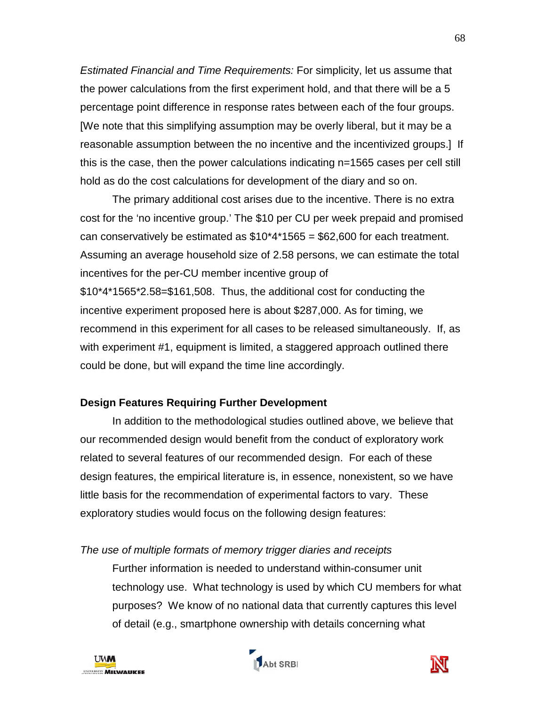*Estimated Financial and Time Requirements:* For simplicity, let us assume that the power calculations from the first experiment hold, and that there will be a 5 percentage point difference in response rates between each of the four groups. [We note that this simplifying assumption may be overly liberal, but it may be a reasonable assumption between the no incentive and the incentivized groups.] If this is the case, then the power calculations indicating n=1565 cases per cell still hold as do the cost calculations for development of the diary and so on.

The primary additional cost arises due to the incentive. There is no extra cost for the 'no incentive group.' The \$10 per CU per week prepaid and promised can conservatively be estimated as  $$10^{\circ}4^{\circ}1565 = $62,600$  for each treatment. Assuming an average household size of 2.58 persons, we can estimate the total incentives for the per-CU member incentive group of \$10\*4\*1565\*2.58=\$161,508. Thus, the additional cost for conducting the incentive experiment proposed here is about \$287,000. As for timing, we recommend in this experiment for all cases to be released simultaneously. If, as with experiment #1, equipment is limited, a staggered approach outlined there could be done, but will expand the time line accordingly.

# **Design Features Requiring Further Development**

In addition to the methodological studies outlined above, we believe that our recommended design would benefit from the conduct of exploratory work related to several features of our recommended design. For each of these design features, the empirical literature is, in essence, nonexistent, so we have little basis for the recommendation of experimental factors to vary. These exploratory studies would focus on the following design features:

### *The use of multiple formats of memory trigger diaries and receipts*

Further information is needed to understand within-consumer unit technology use. What technology is used by which CU members for what purposes? We know of no national data that currently captures this level of detail (e.g., smartphone ownership with details concerning what





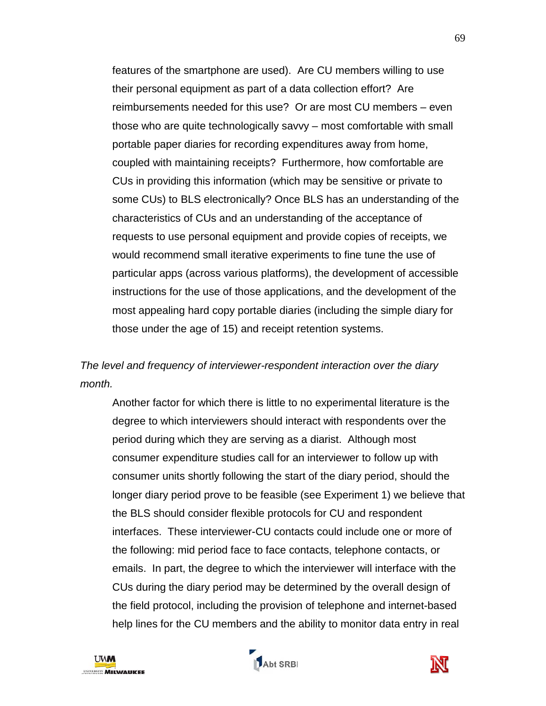features of the smartphone are used). Are CU members willing to use their personal equipment as part of a data collection effort? Are reimbursements needed for this use? Or are most CU members – even those who are quite technologically savvy – most comfortable with small portable paper diaries for recording expenditures away from home, coupled with maintaining receipts? Furthermore, how comfortable are CUs in providing this information (which may be sensitive or private to some CUs) to BLS electronically? Once BLS has an understanding of the characteristics of CUs and an understanding of the acceptance of requests to use personal equipment and provide copies of receipts, we would recommend small iterative experiments to fine tune the use of particular apps (across various platforms), the development of accessible instructions for the use of those applications, and the development of the most appealing hard copy portable diaries (including the simple diary for those under the age of 15) and receipt retention systems.

# *The level and frequency of interviewer-respondent interaction over the diary month.*

Another factor for which there is little to no experimental literature is the degree to which interviewers should interact with respondents over the period during which they are serving as a diarist. Although most consumer expenditure studies call for an interviewer to follow up with consumer units shortly following the start of the diary period, should the longer diary period prove to be feasible (see Experiment 1) we believe that the BLS should consider flexible protocols for CU and respondent interfaces. These interviewer-CU contacts could include one or more of the following: mid period face to face contacts, telephone contacts, or emails. In part, the degree to which the interviewer will interface with the CUs during the diary period may be determined by the overall design of the field protocol, including the provision of telephone and internet-based help lines for the CU members and the ability to monitor data entry in real





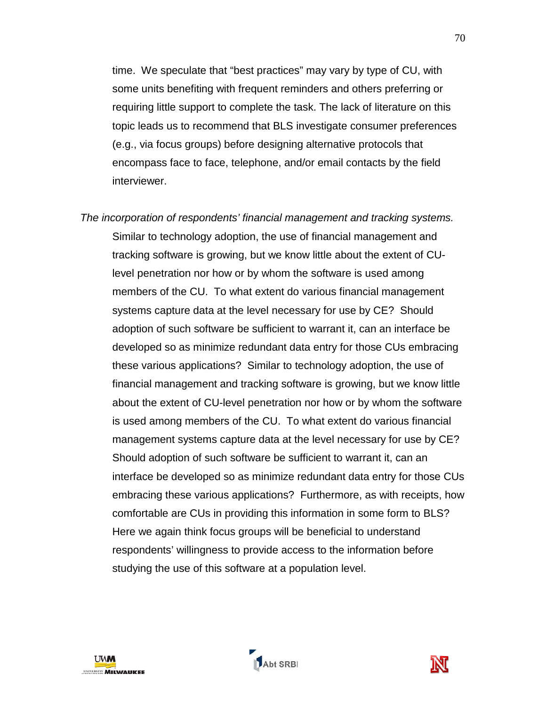time. We speculate that "best practices" may vary by type of CU, with some units benefiting with frequent reminders and others preferring or requiring little support to complete the task. The lack of literature on this topic leads us to recommend that BLS investigate consumer preferences (e.g., via focus groups) before designing alternative protocols that encompass face to face, telephone, and/or email contacts by the field interviewer.

*The incorporation of respondents' financial management and tracking systems.* Similar to technology adoption, the use of financial management and tracking software is growing, but we know little about the extent of CUlevel penetration nor how or by whom the software is used among members of the CU. To what extent do various financial management systems capture data at the level necessary for use by CE? Should adoption of such software be sufficient to warrant it, can an interface be developed so as minimize redundant data entry for those CUs embracing these various applications? Similar to technology adoption, the use of financial management and tracking software is growing, but we know little about the extent of CU-level penetration nor how or by whom the software is used among members of the CU. To what extent do various financial management systems capture data at the level necessary for use by CE? Should adoption of such software be sufficient to warrant it, can an interface be developed so as minimize redundant data entry for those CUs embracing these various applications? Furthermore, as with receipts, how comfortable are CUs in providing this information in some form to BLS? Here we again think focus groups will be beneficial to understand respondents' willingness to provide access to the information before studying the use of this software at a population level.





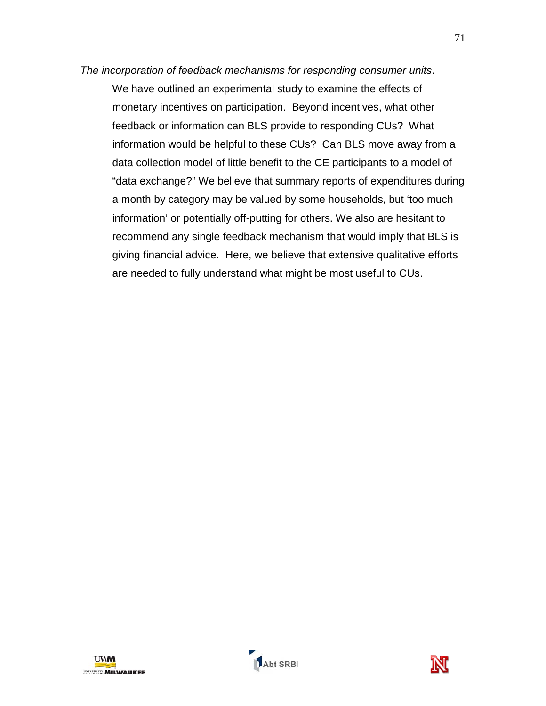# *The incorporation of feedback mechanisms for responding consumer units*. We have outlined an experimental study to examine the effects of monetary incentives on participation. Beyond incentives, what other feedback or information can BLS provide to responding CUs? What information would be helpful to these CUs? Can BLS move away from a data collection model of little benefit to the CE participants to a model of "data exchange?" We believe that summary reports of expenditures during a month by category may be valued by some households, but 'too much information' or potentially off-putting for others. We also are hesitant to recommend any single feedback mechanism that would imply that BLS is giving financial advice. Here, we believe that extensive qualitative efforts are needed to fully understand what might be most useful to CUs.



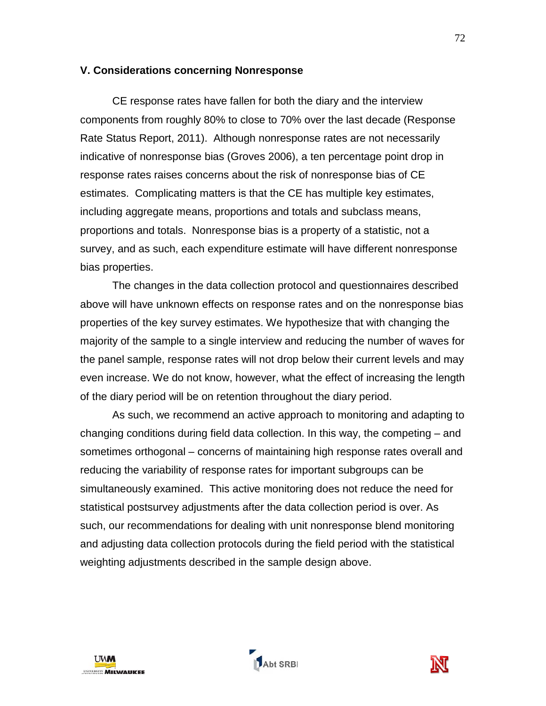#### **V. Considerations concerning Nonresponse**

CE response rates have fallen for both the diary and the interview components from roughly 80% to close to 70% over the last decade (Response Rate Status Report, 2011). Although nonresponse rates are not necessarily indicative of nonresponse bias (Groves 2006), a ten percentage point drop in response rates raises concerns about the risk of nonresponse bias of CE estimates. Complicating matters is that the CE has multiple key estimates, including aggregate means, proportions and totals and subclass means, proportions and totals. Nonresponse bias is a property of a statistic, not a survey, and as such, each expenditure estimate will have different nonresponse bias properties.

The changes in the data collection protocol and questionnaires described above will have unknown effects on response rates and on the nonresponse bias properties of the key survey estimates. We hypothesize that with changing the majority of the sample to a single interview and reducing the number of waves for the panel sample, response rates will not drop below their current levels and may even increase. We do not know, however, what the effect of increasing the length of the diary period will be on retention throughout the diary period.

As such, we recommend an active approach to monitoring and adapting to changing conditions during field data collection. In this way, the competing – and sometimes orthogonal – concerns of maintaining high response rates overall and reducing the variability of response rates for important subgroups can be simultaneously examined. This active monitoring does not reduce the need for statistical postsurvey adjustments after the data collection period is over. As such, our recommendations for dealing with unit nonresponse blend monitoring and adjusting data collection protocols during the field period with the statistical weighting adjustments described in the sample design above.





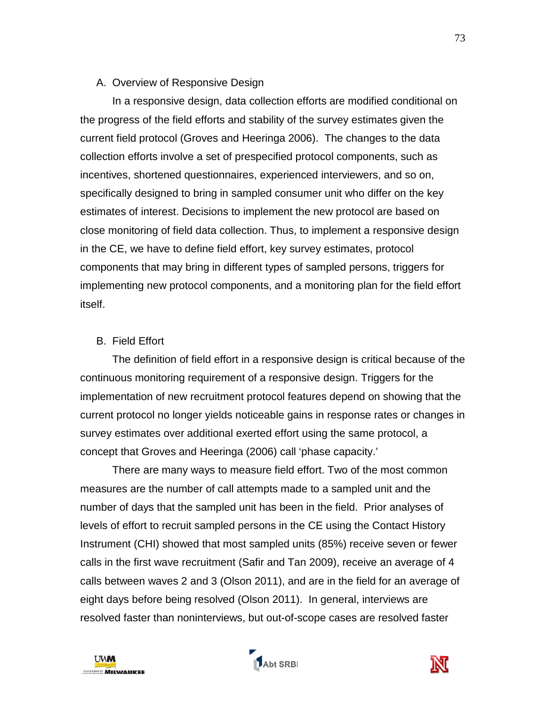#### A. Overview of Responsive Design

In a responsive design, data collection efforts are modified conditional on the progress of the field efforts and stability of the survey estimates given the current field protocol (Groves and Heeringa 2006). The changes to the data collection efforts involve a set of prespecified protocol components, such as incentives, shortened questionnaires, experienced interviewers, and so on, specifically designed to bring in sampled consumer unit who differ on the key estimates of interest. Decisions to implement the new protocol are based on close monitoring of field data collection. Thus, to implement a responsive design in the CE, we have to define field effort, key survey estimates, protocol components that may bring in different types of sampled persons, triggers for implementing new protocol components, and a monitoring plan for the field effort itself.

### B. Field Effort

The definition of field effort in a responsive design is critical because of the continuous monitoring requirement of a responsive design. Triggers for the implementation of new recruitment protocol features depend on showing that the current protocol no longer yields noticeable gains in response rates or changes in survey estimates over additional exerted effort using the same protocol, a concept that Groves and Heeringa (2006) call 'phase capacity.'

There are many ways to measure field effort. Two of the most common measures are the number of call attempts made to a sampled unit and the number of days that the sampled unit has been in the field. Prior analyses of levels of effort to recruit sampled persons in the CE using the Contact History Instrument (CHI) showed that most sampled units (85%) receive seven or fewer calls in the first wave recruitment (Safir and Tan 2009), receive an average of 4 calls between waves 2 and 3 (Olson 2011), and are in the field for an average of eight days before being resolved (Olson 2011). In general, interviews are resolved faster than noninterviews, but out-of-scope cases are resolved faster





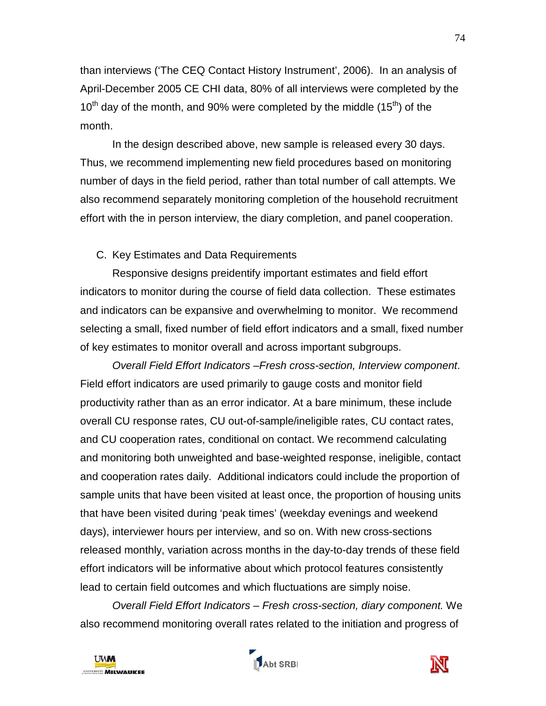than interviews ('The CEQ Contact History Instrument', 2006). In an analysis of April-December 2005 CE CHI data, 80% of all interviews were completed by the  $10^{th}$  day of the month, and 90% were completed by the middle (15<sup>th</sup>) of the month.

In the design described above, new sample is released every 30 days. Thus, we recommend implementing new field procedures based on monitoring number of days in the field period, rather than total number of call attempts. We also recommend separately monitoring completion of the household recruitment effort with the in person interview, the diary completion, and panel cooperation.

# C. Key Estimates and Data Requirements

Responsive designs preidentify important estimates and field effort indicators to monitor during the course of field data collection. These estimates and indicators can be expansive and overwhelming to monitor. We recommend selecting a small, fixed number of field effort indicators and a small, fixed number of key estimates to monitor overall and across important subgroups.

*Overall Field Effort Indicators –Fresh cross-section, Interview component*. Field effort indicators are used primarily to gauge costs and monitor field productivity rather than as an error indicator. At a bare minimum, these include overall CU response rates, CU out-of-sample/ineligible rates, CU contact rates, and CU cooperation rates, conditional on contact. We recommend calculating and monitoring both unweighted and base-weighted response, ineligible, contact and cooperation rates daily. Additional indicators could include the proportion of sample units that have been visited at least once, the proportion of housing units that have been visited during 'peak times' (weekday evenings and weekend days), interviewer hours per interview, and so on. With new cross-sections released monthly, variation across months in the day-to-day trends of these field effort indicators will be informative about which protocol features consistently lead to certain field outcomes and which fluctuations are simply noise.

*Overall Field Effort Indicators – Fresh cross-section, diary component.* We also recommend monitoring overall rates related to the initiation and progress of





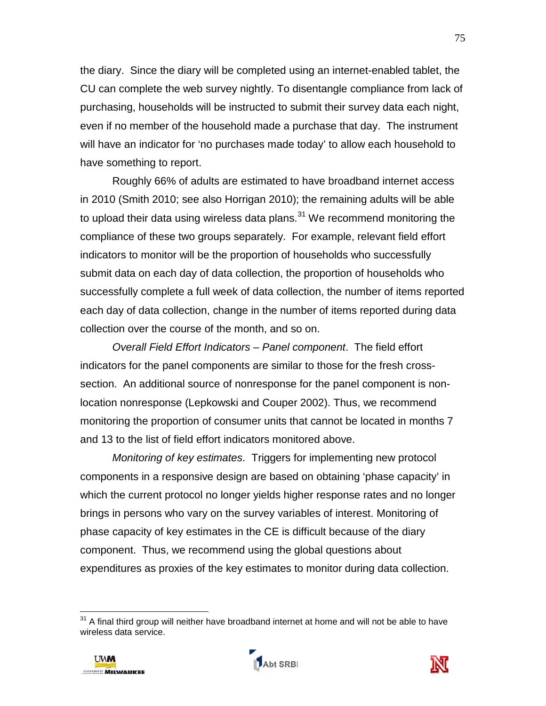the diary. Since the diary will be completed using an internet-enabled tablet, the CU can complete the web survey nightly. To disentangle compliance from lack of purchasing, households will be instructed to submit their survey data each night, even if no member of the household made a purchase that day. The instrument will have an indicator for 'no purchases made today' to allow each household to have something to report.

Roughly 66% of adults are estimated to have broadband internet access in 2010 (Smith 2010; see also Horrigan 2010); the remaining adults will be able to upload their data using wireless data plans. $^{31}$  $^{31}$  $^{31}$  We recommend monitoring the compliance of these two groups separately. For example, relevant field effort indicators to monitor will be the proportion of households who successfully submit data on each day of data collection, the proportion of households who successfully complete a full week of data collection, the number of items reported each day of data collection, change in the number of items reported during data collection over the course of the month, and so on.

*Overall Field Effort Indicators – Panel component*. The field effort indicators for the panel components are similar to those for the fresh crosssection. An additional source of nonresponse for the panel component is nonlocation nonresponse (Lepkowski and Couper 2002). Thus, we recommend monitoring the proportion of consumer units that cannot be located in months 7 and 13 to the list of field effort indicators monitored above.

*Monitoring of key estimates*. Triggers for implementing new protocol components in a responsive design are based on obtaining 'phase capacity' in which the current protocol no longer yields higher response rates and no longer brings in persons who vary on the survey variables of interest. Monitoring of phase capacity of key estimates in the CE is difficult because of the diary component. Thus, we recommend using the global questions about expenditures as proxies of the key estimates to monitor during data collection.

 $31$  A final third group will neither have broadband internet at home and will not be able to have wireless data service.



 $\overline{\phantom{a}}$ 



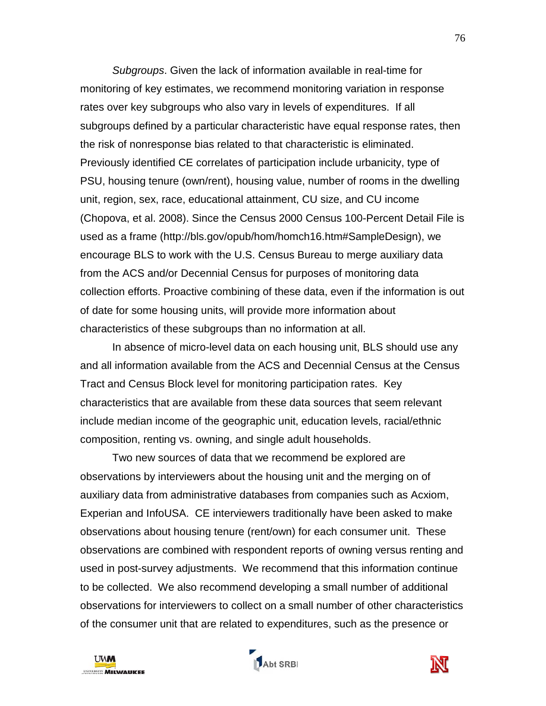*Subgroups*. Given the lack of information available in real-time for monitoring of key estimates, we recommend monitoring variation in response rates over key subgroups who also vary in levels of expenditures. If all subgroups defined by a particular characteristic have equal response rates, then the risk of nonresponse bias related to that characteristic is eliminated. Previously identified CE correlates of participation include urbanicity, type of PSU, housing tenure (own/rent), housing value, number of rooms in the dwelling unit, region, sex, race, educational attainment, CU size, and CU income (Chopova, et al. 2008). Since the Census 2000 Census 100-Percent Detail File is used as a frame (http://bls.gov/opub/hom/homch16.htm#SampleDesign), we encourage BLS to work with the U.S. Census Bureau to merge auxiliary data from the ACS and/or Decennial Census for purposes of monitoring data collection efforts. Proactive combining of these data, even if the information is out of date for some housing units, will provide more information about characteristics of these subgroups than no information at all.

In absence of micro-level data on each housing unit, BLS should use any and all information available from the ACS and Decennial Census at the Census Tract and Census Block level for monitoring participation rates. Key characteristics that are available from these data sources that seem relevant include median income of the geographic unit, education levels, racial/ethnic composition, renting vs. owning, and single adult households.

Two new sources of data that we recommend be explored are observations by interviewers about the housing unit and the merging on of auxiliary data from administrative databases from companies such as Acxiom, Experian and InfoUSA. CE interviewers traditionally have been asked to make observations about housing tenure (rent/own) for each consumer unit. These observations are combined with respondent reports of owning versus renting and used in post-survey adjustments. We recommend that this information continue to be collected. We also recommend developing a small number of additional observations for interviewers to collect on a small number of other characteristics of the consumer unit that are related to expenditures, such as the presence or

<span id="page-77-0"></span>



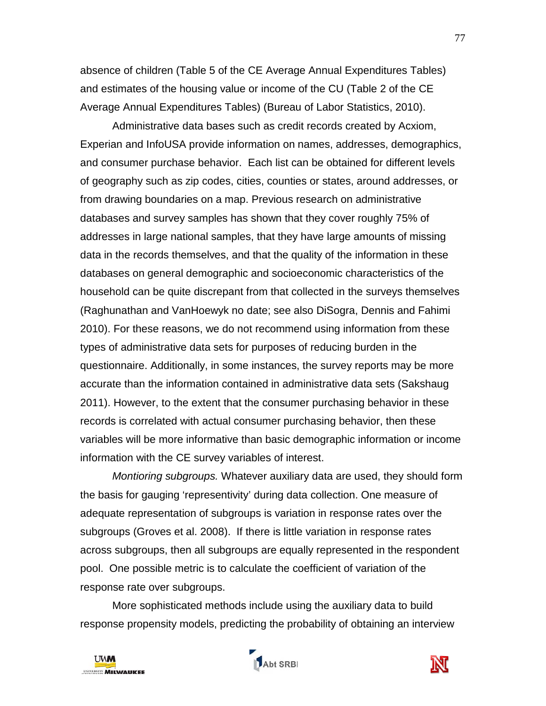absence of children (Table 5 of the CE Average Annual Expenditures Tables) and estimates of the housing value or income of the CU (Table 2 of the CE Average Annual Expenditures Tables) (Bureau of Labor Statistics, 2010).

Administrative data bases such as credit records created by Acxiom, Experian and InfoUSA provide information on names, addresses, demographics, and consumer purchase behavior. Each list can be obtained for different levels of geography such as zip codes, cities, counties or states, around addresses, or from drawing boundaries on a map. Previous research on administrative databases and survey samples has shown that they cover roughly 75% of addresses in large national samples, that they have large amounts of missing data in the records themselves, and that the quality of the information in these databases on general demographic and socioeconomic characteristics of the household can be quite discrepant from that collected in the surveys themselves (Raghunathan and VanHoewyk no date; see also DiSogra, Dennis and Fahimi 2010). For these reasons, we do not recommend using information from these types of administrative data sets for purposes of reducing burden in the questionnaire. Additionally, in some instances, the survey reports may be more accurate than the information contained in administrative data sets (Sakshaug 2011). However, to the extent that the consumer purchasing behavior in these records is correlated with actual consumer purchasing behavior, then these variables will be more informative than basic demographic information or income information with the CE survey variables of interest.

*Montioring subgroups.* Whatever auxiliary data are used, they should form the basis for gauging 'representivity' during data collection. One measure of adequate representation of subgroups is variation in response rates over the subgroups (Groves et al. 2008). If there is little variation in response rates across subgroups, then all subgroups are equally represented in the respondent pool. One possible metric is to calculate the coefficient of variation of the response rate over subgroups.

More sophisticated methods include using the auxiliary data to build response propensity models, predicting the probability of obtaining an interview



Abt SRBI

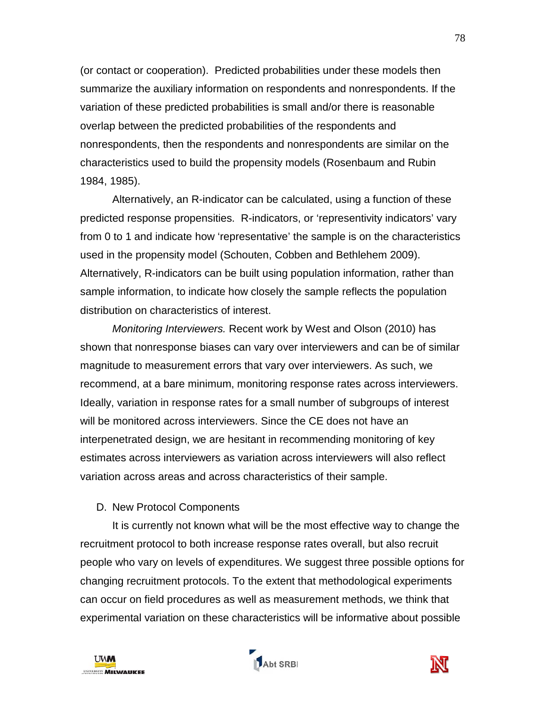(or contact or cooperation). Predicted probabilities under these models then summarize the auxiliary information on respondents and nonrespondents. If the variation of these predicted probabilities is small and/or there is reasonable overlap between the predicted probabilities of the respondents and nonrespondents, then the respondents and nonrespondents are similar on the characteristics used to build the propensity models (Rosenbaum and Rubin 1984, 1985).

Alternatively, an R-indicator can be calculated, using a function of these predicted response propensities. R-indicators, or 'representivity indicators' vary from 0 to 1 and indicate how 'representative' the sample is on the characteristics used in the propensity model (Schouten, Cobben and Bethlehem 2009). Alternatively, R-indicators can be built using population information, rather than sample information, to indicate how closely the sample reflects the population distribution on characteristics of interest.

*Monitoring Interviewers.* Recent work by West and Olson (2010) has shown that nonresponse biases can vary over interviewers and can be of similar magnitude to measurement errors that vary over interviewers. As such, we recommend, at a bare minimum, monitoring response rates across interviewers. Ideally, variation in response rates for a small number of subgroups of interest will be monitored across interviewers. Since the CE does not have an interpenetrated design, we are hesitant in recommending monitoring of key estimates across interviewers as variation across interviewers will also reflect variation across areas and across characteristics of their sample.

#### D. New Protocol Components

It is currently not known what will be the most effective way to change the recruitment protocol to both increase response rates overall, but also recruit people who vary on levels of expenditures. We suggest three possible options for changing recruitment protocols. To the extent that methodological experiments can occur on field procedures as well as measurement methods, we think that experimental variation on these characteristics will be informative about possible





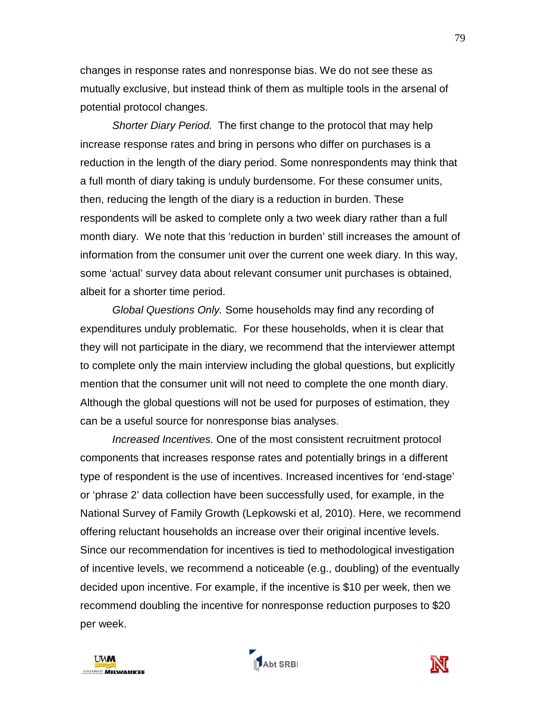changes in response rates and nonresponse bias. We do not see these as mutually exclusive, but instead think of them as multiple tools in the arsenal of potential protocol changes.

*Shorter Diary Period.* The first change to the protocol that may help increase response rates and bring in persons who differ on purchases is a reduction in the length of the diary period. Some nonrespondents may think that a full month of diary taking is unduly burdensome. For these consumer units, then, reducing the length of the diary is a reduction in burden. These respondents will be asked to complete only a two week diary rather than a full month diary. We note that this 'reduction in burden' still increases the amount of information from the consumer unit over the current one week diary. In this way, some 'actual' survey data about relevant consumer unit purchases is obtained, albeit for a shorter time period.

*Global Questions Only.* Some households may find any recording of expenditures unduly problematic. For these households, when it is clear that they will not participate in the diary, we recommend that the interviewer attempt to complete only the main interview including the global questions, but explicitly mention that the consumer unit will not need to complete the one month diary. Although the global questions will not be used for purposes of estimation, they can be a useful source for nonresponse bias analyses.

*Increased Incentives.* One of the most consistent recruitment protocol components that increases response rates and potentially brings in a different type of respondent is the use of incentives. Increased incentives for 'end-stage' or 'phrase 2' data collection have been successfully used, for example, in the National Survey of Family Growth (Lepkowski et al, 2010). Here, we recommend offering reluctant households an increase over their original incentive levels. Since our recommendation for incentives is tied to methodological investigation of incentive levels, we recommend a noticeable (e.g., doubling) of the eventually decided upon incentive. For example, if the incentive is \$10 per week, then we recommend doubling the incentive for nonresponse reduction purposes to \$20 per week.



Abt SRBI

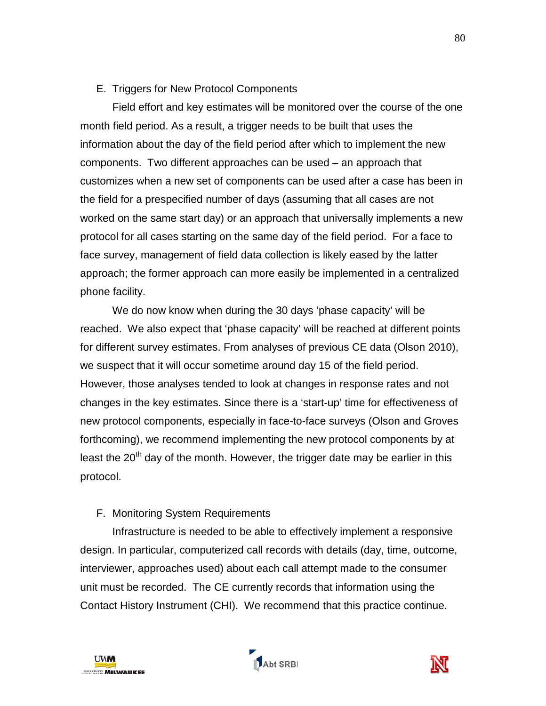### E. Triggers for New Protocol Components

Field effort and key estimates will be monitored over the course of the one month field period. As a result, a trigger needs to be built that uses the information about the day of the field period after which to implement the new components. Two different approaches can be used – an approach that customizes when a new set of components can be used after a case has been in the field for a prespecified number of days (assuming that all cases are not worked on the same start day) or an approach that universally implements a new protocol for all cases starting on the same day of the field period. For a face to face survey, management of field data collection is likely eased by the latter approach; the former approach can more easily be implemented in a centralized phone facility.

We do now know when during the 30 days 'phase capacity' will be reached. We also expect that 'phase capacity' will be reached at different points for different survey estimates. From analyses of previous CE data (Olson 2010), we suspect that it will occur sometime around day 15 of the field period. However, those analyses tended to look at changes in response rates and not changes in the key estimates. Since there is a 'start-up' time for effectiveness of new protocol components, especially in face-to-face surveys (Olson and Groves forthcoming), we recommend implementing the new protocol components by at least the 20<sup>th</sup> day of the month. However, the trigger date may be earlier in this protocol.

# F. Monitoring System Requirements

 Infrastructure is needed to be able to effectively implement a responsive design. In particular, computerized call records with details (day, time, outcome, interviewer, approaches used) about each call attempt made to the consumer unit must be recorded. The CE currently records that information using the Contact History Instrument (CHI). We recommend that this practice continue.



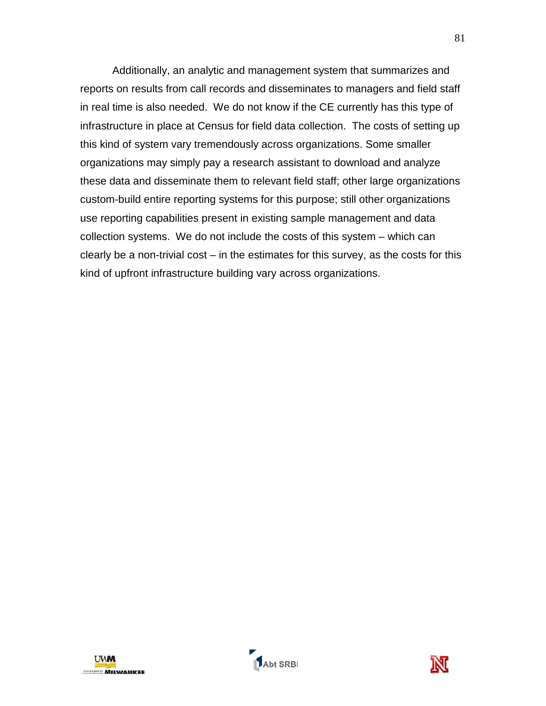Additionally, an analytic and management system that summarizes and reports on results from call records and disseminates to managers and field staff in real time is also needed. We do not know if the CE currently has this type of infrastructure in place at Census for field data collection. The costs of setting up this kind of system vary tremendously across organizations. Some smaller organizations may simply pay a research assistant to download and analyze these data and disseminate them to relevant field staff; other large organizations custom-build entire reporting systems for this purpose; still other organizations use reporting capabilities present in existing sample management and data collection systems. We do not include the costs of this system – which can clearly be a non-trivial cost – in the estimates for this survey, as the costs for this kind of upfront infrastructure building vary across organizations.



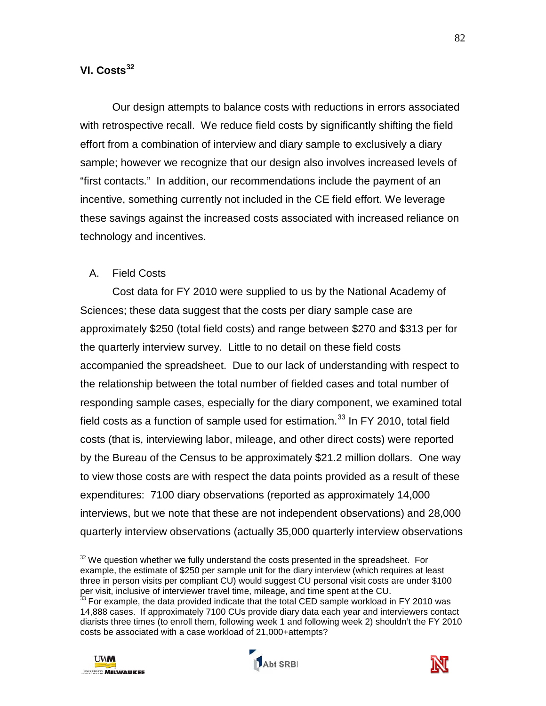# **VI. Costs[32](#page-84-0)**

Our design attempts to balance costs with reductions in errors associated with retrospective recall. We reduce field costs by significantly shifting the field effort from a combination of interview and diary sample to exclusively a diary sample; however we recognize that our design also involves increased levels of "first contacts." In addition, our recommendations include the payment of an incentive, something currently not included in the CE field effort. We leverage these savings against the increased costs associated with increased reliance on technology and incentives.

### A. Field Costs

Cost data for FY 2010 were supplied to us by the National Academy of Sciences; these data suggest that the costs per diary sample case are approximately \$250 (total field costs) and range between \$270 and \$313 per for the quarterly interview survey. Little to no detail on these field costs accompanied the spreadsheet. Due to our lack of understanding with respect to the relationship between the total number of fielded cases and total number of responding sample cases, especially for the diary component, we examined total field costs as a function of sample used for estimation.<sup>[33](#page-84-1)</sup> In FY 2010, total field costs (that is, interviewing labor, mileage, and other direct costs) were reported by the Bureau of the Census to be approximately \$21.2 million dollars. One way to view those costs are with respect the data points provided as a result of these expenditures: 7100 diary observations (reported as approximately 14,000 interviews, but we note that these are not independent observations) and 28,000 quarterly interview observations (actually 35,000 quarterly interview observations

 $33$  For example, the data provided indicate that the total CED sample workload in FY 2010 was 14,888 cases. If approximately 7100 CUs provide diary data each year and interviewers contact diarists three times (to enroll them, following week 1 and following week 2) shouldn't the FY 2010 costs be associated with a case workload of 21,000+attempts?







 $\overline{a}$  $32$  We question whether we fully understand the costs presented in the spreadsheet. For example, the estimate of \$250 per sample unit for the diary interview (which requires at least three in person visits per compliant CU) would suggest CU personal visit costs are under \$100 per visit, inclusive of interviewer travel time, mileage, and time spent at the CU.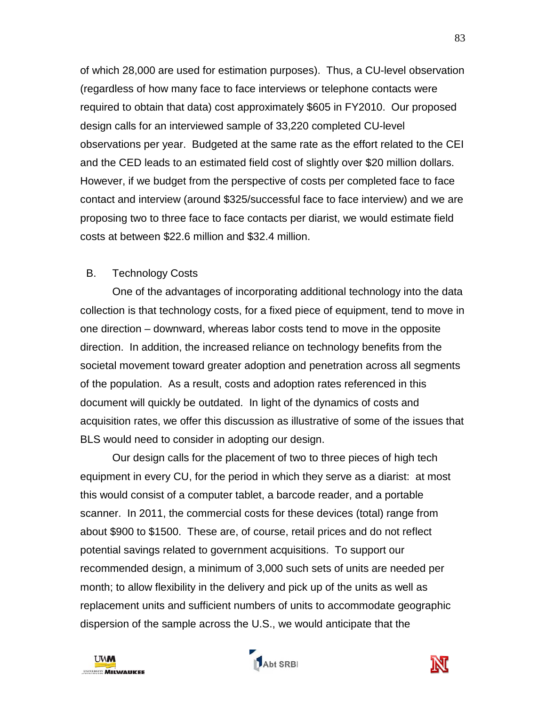of which 28,000 are used for estimation purposes). Thus, a CU-level observation (regardless of how many face to face interviews or telephone contacts were required to obtain that data) cost approximately \$605 in FY2010. Our proposed design calls for an interviewed sample of 33,220 completed CU-level observations per year. Budgeted at the same rate as the effort related to the CEI and the CED leads to an estimated field cost of slightly over \$20 million dollars. However, if we budget from the perspective of costs per completed face to face contact and interview (around \$325/successful face to face interview) and we are proposing two to three face to face contacts per diarist, we would estimate field costs at between \$22.6 million and \$32.4 million.

### B. Technology Costs

One of the advantages of incorporating additional technology into the data collection is that technology costs, for a fixed piece of equipment, tend to move in one direction – downward, whereas labor costs tend to move in the opposite direction. In addition, the increased reliance on technology benefits from the societal movement toward greater adoption and penetration across all segments of the population. As a result, costs and adoption rates referenced in this document will quickly be outdated. In light of the dynamics of costs and acquisition rates, we offer this discussion as illustrative of some of the issues that BLS would need to consider in adopting our design.

Our design calls for the placement of two to three pieces of high tech equipment in every CU, for the period in which they serve as a diarist: at most this would consist of a computer tablet, a barcode reader, and a portable scanner. In 2011, the commercial costs for these devices (total) range from about \$900 to \$1500. These are, of course, retail prices and do not reflect potential savings related to government acquisitions. To support our recommended design, a minimum of 3,000 such sets of units are needed per month; to allow flexibility in the delivery and pick up of the units as well as replacement units and sufficient numbers of units to accommodate geographic dispersion of the sample across the U.S., we would anticipate that the

<span id="page-84-1"></span><span id="page-84-0"></span>



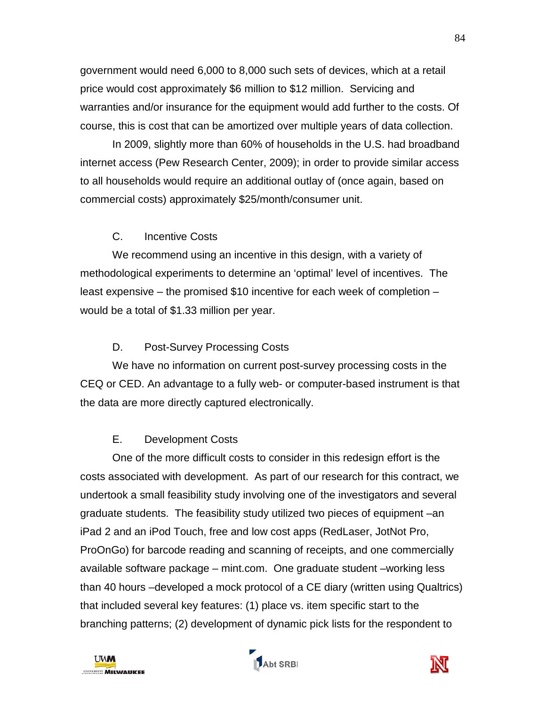government would need 6,000 to 8,000 such sets of devices, which at a retail price would cost approximately \$6 million to \$12 million. Servicing and warranties and/or insurance for the equipment would add further to the costs. Of course, this is cost that can be amortized over multiple years of data collection.

 In 2009, slightly more than 60% of households in the U.S. had broadband internet access (Pew Research Center, 2009); in order to provide similar access to all households would require an additional outlay of (once again, based on commercial costs) approximately \$25/month/consumer unit.

# C. Incentive Costs

We recommend using an incentive in this design, with a variety of methodological experiments to determine an 'optimal' level of incentives. The least expensive – the promised \$10 incentive for each week of completion – would be a total of \$1.33 million per year.

# D. Post-Survey Processing Costs

We have no information on current post-survey processing costs in the CEQ or CED. An advantage to a fully web- or computer-based instrument is that the data are more directly captured electronically.

# E. Development Costs

One of the more difficult costs to consider in this redesign effort is the costs associated with development. As part of our research for this contract, we undertook a small feasibility study involving one of the investigators and several graduate students. The feasibility study utilized two pieces of equipment –an iPad 2 and an iPod Touch, free and low cost apps (RedLaser, JotNot Pro, ProOnGo) for barcode reading and scanning of receipts, and one commercially available software package – mint.com. One graduate student –working less than 40 hours –developed a mock protocol of a CE diary (written using Qualtrics) that included several key features: (1) place vs. item specific start to the branching patterns; (2) development of dynamic pick lists for the respondent to





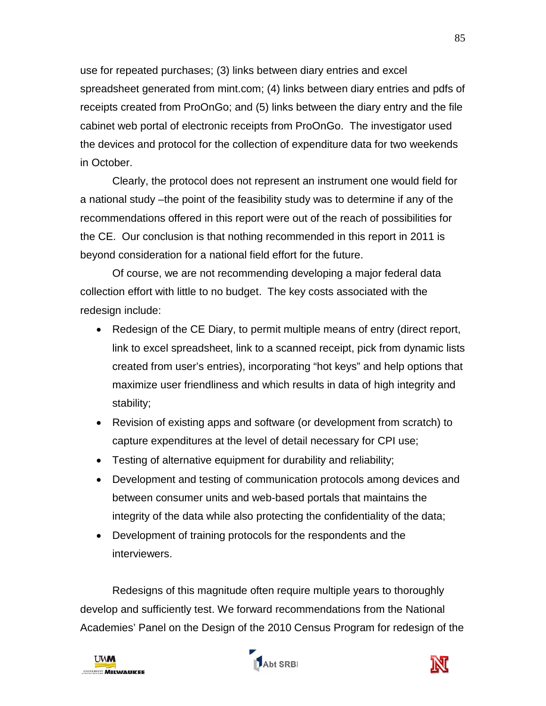use for repeated purchases; (3) links between diary entries and excel spreadsheet generated from mint.com; (4) links between diary entries and pdfs of receipts created from ProOnGo; and (5) links between the diary entry and the file cabinet web portal of electronic receipts from ProOnGo. The investigator used the devices and protocol for the collection of expenditure data for two weekends in October.

Clearly, the protocol does not represent an instrument one would field for a national study –the point of the feasibility study was to determine if any of the recommendations offered in this report were out of the reach of possibilities for the CE. Our conclusion is that nothing recommended in this report in 2011 is beyond consideration for a national field effort for the future.

Of course, we are not recommending developing a major federal data collection effort with little to no budget. The key costs associated with the redesign include:

- Redesign of the CE Diary, to permit multiple means of entry (direct report, link to excel spreadsheet, link to a scanned receipt, pick from dynamic lists created from user's entries), incorporating "hot keys" and help options that maximize user friendliness and which results in data of high integrity and stability;
- Revision of existing apps and software (or development from scratch) to capture expenditures at the level of detail necessary for CPI use;
- Testing of alternative equipment for durability and reliability;
- Development and testing of communication protocols among devices and between consumer units and web-based portals that maintains the integrity of the data while also protecting the confidentiality of the data;
- Development of training protocols for the respondents and the interviewers.

Redesigns of this magnitude often require multiple years to thoroughly develop and sufficiently test. We forward recommendations from the National Academies' Panel on the Design of the 2010 Census Program for redesign of the





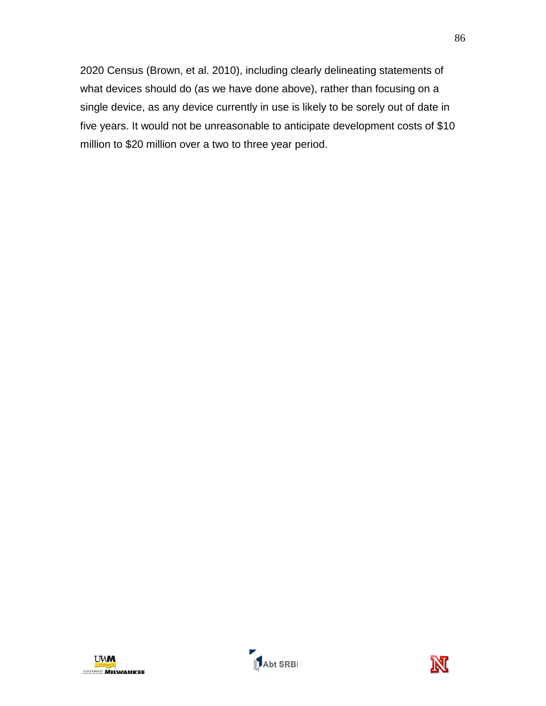2020 Census (Brown, et al. 2010), including clearly delineating statements of what devices should do (as we have done above), rather than focusing on a single device, as any device currently in use is likely to be sorely out of date in five years. It would not be unreasonable to anticipate development costs of \$10 million to \$20 million over a two to three year period.



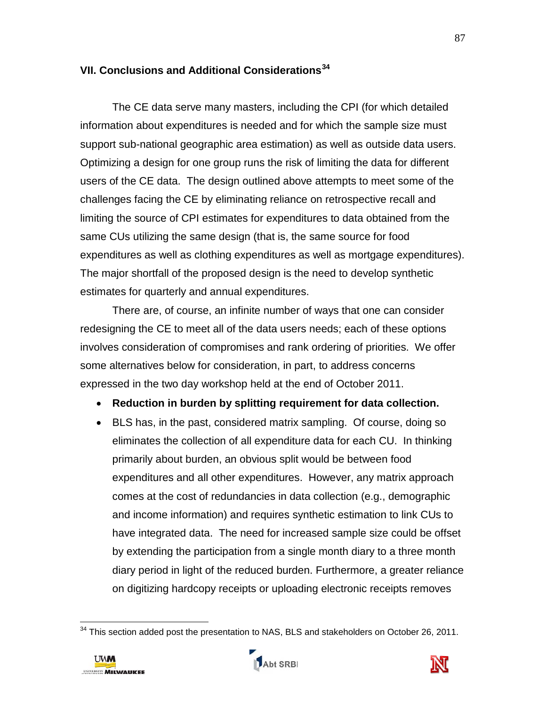# **VII. Conclusions and Additional Considerations[34](#page-89-0)**

The CE data serve many masters, including the CPI (for which detailed information about expenditures is needed and for which the sample size must support sub-national geographic area estimation) as well as outside data users. Optimizing a design for one group runs the risk of limiting the data for different users of the CE data. The design outlined above attempts to meet some of the challenges facing the CE by eliminating reliance on retrospective recall and limiting the source of CPI estimates for expenditures to data obtained from the same CUs utilizing the same design (that is, the same source for food expenditures as well as clothing expenditures as well as mortgage expenditures). The major shortfall of the proposed design is the need to develop synthetic estimates for quarterly and annual expenditures.

There are, of course, an infinite number of ways that one can consider redesigning the CE to meet all of the data users needs; each of these options involves consideration of compromises and rank ordering of priorities. We offer some alternatives below for consideration, in part, to address concerns expressed in the two day workshop held at the end of October 2011.

- **Reduction in burden by splitting requirement for data collection.**
- BLS has, in the past, considered matrix sampling. Of course, doing so eliminates the collection of all expenditure data for each CU. In thinking primarily about burden, an obvious split would be between food expenditures and all other expenditures. However, any matrix approach comes at the cost of redundancies in data collection (e.g., demographic and income information) and requires synthetic estimation to link CUs to have integrated data. The need for increased sample size could be offset by extending the participation from a single month diary to a three month diary period in light of the reduced burden. Furthermore, a greater reliance on digitizing hardcopy receipts or uploading electronic receipts removes

 $\overline{\phantom{a}}$  $34$  This section added post the presentation to NAS, BLS and stakeholders on October 26, 2011.



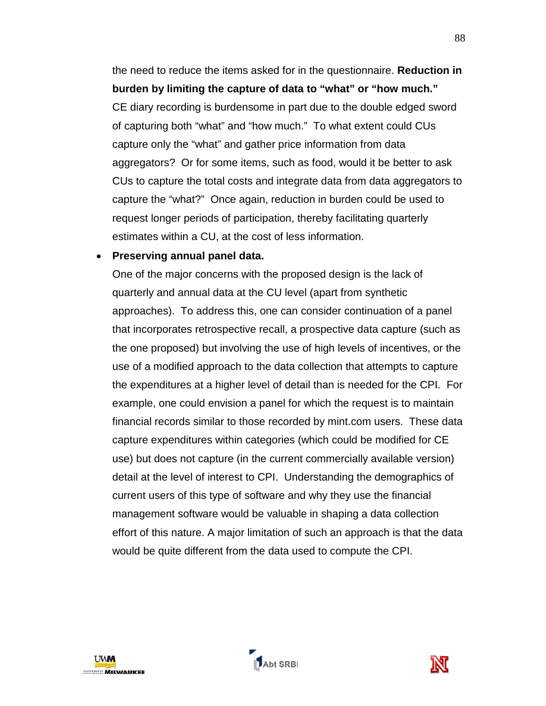the need to reduce the items asked for in the questionnaire. **Reduction in burden by limiting the capture of data to "what" or "how much."** CE diary recording is burdensome in part due to the double edged sword of capturing both "what" and "how much." To what extent could CUs capture only the "what" and gather price information from data aggregators? Or for some items, such as food, would it be better to ask CUs to capture the total costs and integrate data from data aggregators to capture the "what?" Once again, reduction in burden could be used to request longer periods of participation, thereby facilitating quarterly estimates within a CU, at the cost of less information.

#### • **Preserving annual panel data.**

One of the major concerns with the proposed design is the lack of quarterly and annual data at the CU level (apart from synthetic approaches). To address this, one can consider continuation of a panel that incorporates retrospective recall, a prospective data capture (such as the one proposed) but involving the use of high levels of incentives, or the use of a modified approach to the data collection that attempts to capture the expenditures at a higher level of detail than is needed for the CPI. For example, one could envision a panel for which the request is to maintain financial records similar to those recorded by mint.com users. These data capture expenditures within categories (which could be modified for CE use) but does not capture (in the current commercially available version) detail at the level of interest to CPI. Understanding the demographics of current users of this type of software and why they use the financial management software would be valuable in shaping a data collection effort of this nature. A major limitation of such an approach is that the data would be quite different from the data used to compute the CPI.

<span id="page-89-0"></span>

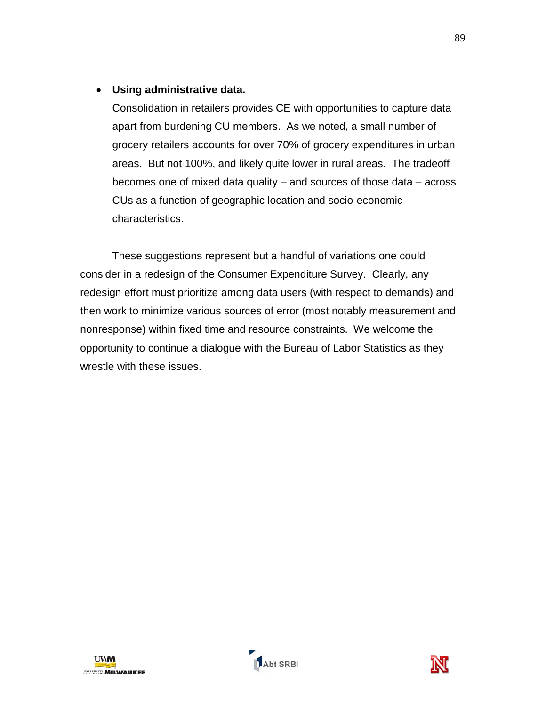# • **Using administrative data.**

Consolidation in retailers provides CE with opportunities to capture data apart from burdening CU members. As we noted, a small number of grocery retailers accounts for over 70% of grocery expenditures in urban areas. But not 100%, and likely quite lower in rural areas. The tradeoff becomes one of mixed data quality – and sources of those data – across CUs as a function of geographic location and socio-economic characteristics.

These suggestions represent but a handful of variations one could consider in a redesign of the Consumer Expenditure Survey. Clearly, any redesign effort must prioritize among data users (with respect to demands) and then work to minimize various sources of error (most notably measurement and nonresponse) within fixed time and resource constraints. We welcome the opportunity to continue a dialogue with the Bureau of Labor Statistics as they wrestle with these issues.



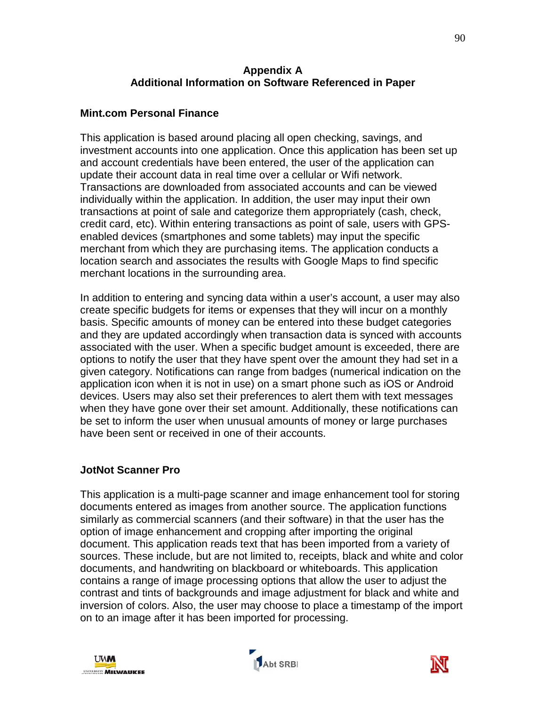### **Appendix A Additional Information on Software Referenced in Paper**

# **Mint.com Personal Finance**

This application is based around placing all open checking, savings, and investment accounts into one application. Once this application has been set up and account credentials have been entered, the user of the application can update their account data in real time over a cellular or Wifi network. Transactions are downloaded from associated accounts and can be viewed individually within the application. In addition, the user may input their own transactions at point of sale and categorize them appropriately (cash, check, credit card, etc). Within entering transactions as point of sale, users with GPSenabled devices (smartphones and some tablets) may input the specific merchant from which they are purchasing items. The application conducts a location search and associates the results with Google Maps to find specific merchant locations in the surrounding area.

In addition to entering and syncing data within a user's account, a user may also create specific budgets for items or expenses that they will incur on a monthly basis. Specific amounts of money can be entered into these budget categories and they are updated accordingly when transaction data is synced with accounts associated with the user. When a specific budget amount is exceeded, there are options to notify the user that they have spent over the amount they had set in a given category. Notifications can range from badges (numerical indication on the application icon when it is not in use) on a smart phone such as iOS or Android devices. Users may also set their preferences to alert them with text messages when they have gone over their set amount. Additionally, these notifications can be set to inform the user when unusual amounts of money or large purchases have been sent or received in one of their accounts.

### **JotNot Scanner Pro**

This application is a multi-page scanner and image enhancement tool for storing documents entered as images from another source. The application functions similarly as commercial scanners (and their software) in that the user has the option of image enhancement and cropping after importing the original document. This application reads text that has been imported from a variety of sources. These include, but are not limited to, receipts, black and white and color documents, and handwriting on blackboard or whiteboards. This application contains a range of image processing options that allow the user to adjust the contrast and tints of backgrounds and image adjustment for black and white and inversion of colors. Also, the user may choose to place a timestamp of the import on to an image after it has been imported for processing.





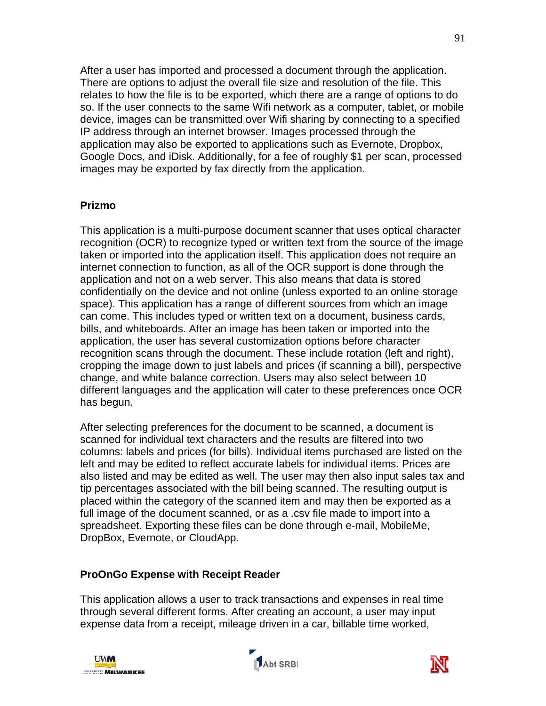After a user has imported and processed a document through the application. There are options to adjust the overall file size and resolution of the file. This relates to how the file is to be exported, which there are a range of options to do so. If the user connects to the same Wifi network as a computer, tablet, or mobile device, images can be transmitted over Wifi sharing by connecting to a specified IP address through an internet browser. Images processed through the application may also be exported to applications such as Evernote, Dropbox, Google Docs, and iDisk. Additionally, for a fee of roughly \$1 per scan, processed images may be exported by fax directly from the application.

# **Prizmo**

This application is a multi-purpose document scanner that uses optical character recognition (OCR) to recognize typed or written text from the source of the image taken or imported into the application itself. This application does not require an internet connection to function, as all of the OCR support is done through the application and not on a web server. This also means that data is stored confidentially on the device and not online (unless exported to an online storage space). This application has a range of different sources from which an image can come. This includes typed or written text on a document, business cards, bills, and whiteboards. After an image has been taken or imported into the application, the user has several customization options before character recognition scans through the document. These include rotation (left and right), cropping the image down to just labels and prices (if scanning a bill), perspective change, and white balance correction. Users may also select between 10 different languages and the application will cater to these preferences once OCR has begun.

After selecting preferences for the document to be scanned, a document is scanned for individual text characters and the results are filtered into two columns: labels and prices (for bills). Individual items purchased are listed on the left and may be edited to reflect accurate labels for individual items. Prices are also listed and may be edited as well. The user may then also input sales tax and tip percentages associated with the bill being scanned. The resulting output is placed within the category of the scanned item and may then be exported as a full image of the document scanned, or as a .csv file made to import into a spreadsheet. Exporting these files can be done through e-mail, MobileMe, DropBox, Evernote, or CloudApp.

### **ProOnGo Expense with Receipt Reader**

This application allows a user to track transactions and expenses in real time through several different forms. After creating an account, a user may input expense data from a receipt, mileage driven in a car, billable time worked,





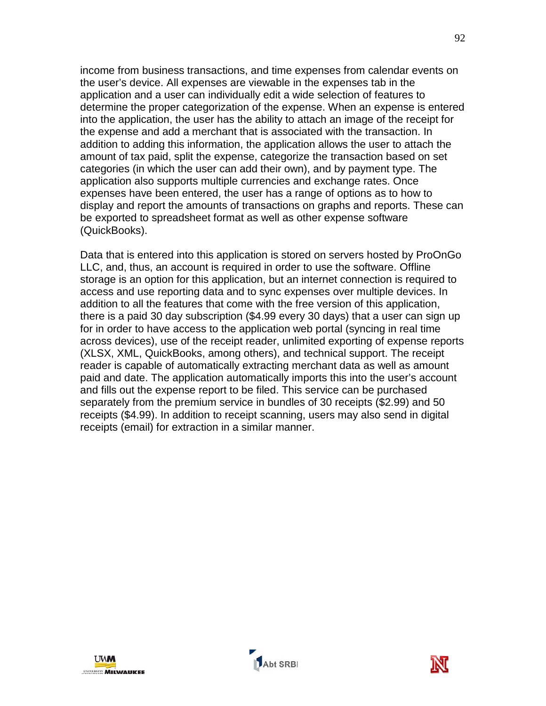income from business transactions, and time expenses from calendar events on the user's device. All expenses are viewable in the expenses tab in the application and a user can individually edit a wide selection of features to determine the proper categorization of the expense. When an expense is entered into the application, the user has the ability to attach an image of the receipt for the expense and add a merchant that is associated with the transaction. In addition to adding this information, the application allows the user to attach the amount of tax paid, split the expense, categorize the transaction based on set categories (in which the user can add their own), and by payment type. The application also supports multiple currencies and exchange rates. Once expenses have been entered, the user has a range of options as to how to display and report the amounts of transactions on graphs and reports. These can be exported to spreadsheet format as well as other expense software (QuickBooks).

Data that is entered into this application is stored on servers hosted by ProOnGo LLC, and, thus, an account is required in order to use the software. Offline storage is an option for this application, but an internet connection is required to access and use reporting data and to sync expenses over multiple devices. In addition to all the features that come with the free version of this application, there is a paid 30 day subscription (\$4.99 every 30 days) that a user can sign up for in order to have access to the application web portal (syncing in real time across devices), use of the receipt reader, unlimited exporting of expense reports (XLSX, XML, QuickBooks, among others), and technical support. The receipt reader is capable of automatically extracting merchant data as well as amount paid and date. The application automatically imports this into the user's account and fills out the expense report to be filed. This service can be purchased separately from the premium service in bundles of 30 receipts (\$2.99) and 50 receipts (\$4.99). In addition to receipt scanning, users may also send in digital receipts (email) for extraction in a similar manner.



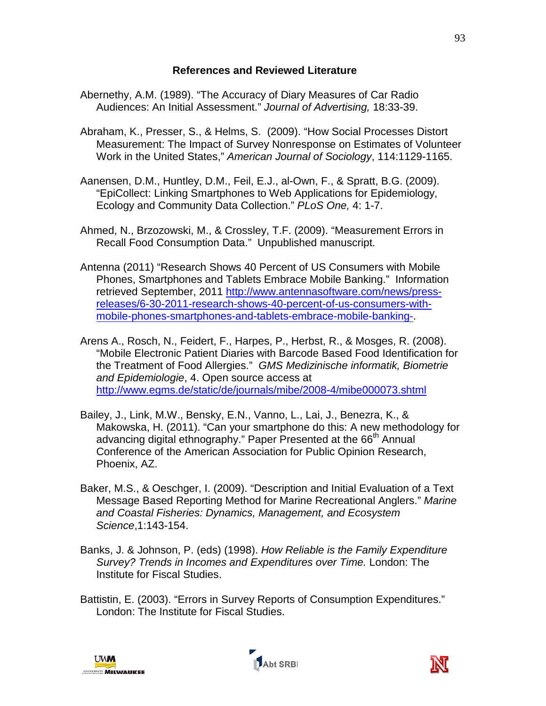#### **References and Reviewed Literature**

- Abernethy, A.M. (1989). "The Accuracy of Diary Measures of Car Radio Audiences: An Initial Assessment." *Journal of Advertising,* 18:33-39.
- Abraham, K., Presser, S., & Helms, S. (2009). "How Social Processes Distort Measurement: The Impact of Survey Nonresponse on Estimates of Volunteer Work in the United States," *American Journal of Sociology*, 114:1129-1165.
- Aanensen, D.M., Huntley, D.M., Feil, E.J., al-Own, F., & Spratt, B.G. (2009). "EpiCollect: Linking Smartphones to Web Applications for Epidemiology, Ecology and Community Data Collection." *PLoS One,* 4: 1-7.
- Ahmed, N., Brzozowski, M., & Crossley, T.F. (2009). "Measurement Errors in Recall Food Consumption Data." Unpublished manuscript.
- Antenna (2011) "Research Shows 40 Percent of US Consumers with Mobile Phones, Smartphones and Tablets Embrace Mobile Banking." Information retrieved September, 2011 [http://www.antennasoftware.com/news/press](http://www.antennasoftware.com/news/press-releases/6-30-2011-research-shows-40-percent-of-us-consumers-with-mobile-phones-smartphones-and-tablets-embrace-mobile-banking-)[releases/6-30-2011-research-shows-40-percent-of-us-consumers-with](http://www.antennasoftware.com/news/press-releases/6-30-2011-research-shows-40-percent-of-us-consumers-with-mobile-phones-smartphones-and-tablets-embrace-mobile-banking-)[mobile-phones-smartphones-and-tablets-embrace-mobile-banking-.](http://www.antennasoftware.com/news/press-releases/6-30-2011-research-shows-40-percent-of-us-consumers-with-mobile-phones-smartphones-and-tablets-embrace-mobile-banking-)
- Arens A., Rosch, N., Feidert, F., Harpes, P., Herbst, R., & Mosges, R. (2008). "Mobile Electronic Patient Diaries with Barcode Based Food Identification for the Treatment of Food Allergies." *GMS Medizinische informatik, Biometrie and Epidemiologie*, 4. Open source access at <http://www.egms.de/static/de/journals/mibe/2008-4/mibe000073.shtml>
- Bailey, J., Link, M.W., Bensky, E.N., Vanno, L., Lai, J., Benezra, K., & Makowska, H. (2011). "Can your smartphone do this: A new methodology for advancing digital ethnography." Paper Presented at the 66<sup>th</sup> Annual Conference of the American Association for Public Opinion Research, Phoenix, AZ.
- Baker, M.S., & Oeschger, I. (2009). "Description and Initial Evaluation of a Text Message Based Reporting Method for Marine Recreational Anglers." *Marine and Coastal Fisheries: Dynamics, Management, and Ecosystem Science*,1:143-154.
- Banks, J. & Johnson, P. (eds) (1998). *How Reliable is the Family Expenditure Survey? Trends in Incomes and Expenditures over Time.* London: The Institute for Fiscal Studies.
- Battistin, E. (2003). "Errors in Survey Reports of Consumption Expenditures." London: The Institute for Fiscal Studies.





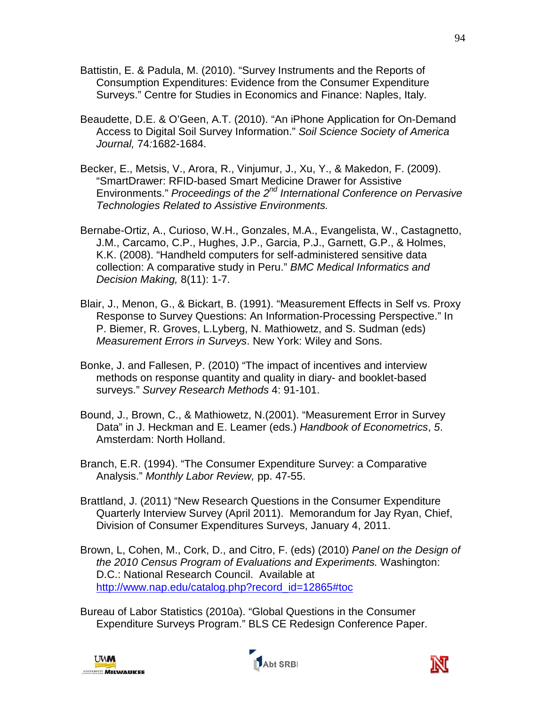- Battistin, E. & Padula, M. (2010). "Survey Instruments and the Reports of Consumption Expenditures: Evidence from the Consumer Expenditure Surveys." Centre for Studies in Economics and Finance: Naples, Italy.
- Beaudette, D.E. & O'Geen, A.T. (2010). "An iPhone Application for On-Demand Access to Digital Soil Survey Information." *Soil Science Society of America Journal,* 74*:*1682-1684.
- Becker, E., Metsis, V., Arora, R., Vinjumur, J., Xu, Y., & Makedon, F. (2009). "SmartDrawer: RFID-based Smart Medicine Drawer for Assistive Environments." *Proceedings of the 2nd International Conference on Pervasive Technologies Related to Assistive Environments.*
- Bernabe-Ortiz, A., Curioso, W.H., Gonzales, M.A., Evangelista, W., Castagnetto, J.M., Carcamo, C.P., Hughes, J.P., Garcia, P.J., Garnett, G.P., & Holmes, K.K. (2008). "Handheld computers for self-administered sensitive data collection: A comparative study in Peru." *BMC Medical Informatics and Decision Making,* 8(11): 1-7.
- Blair, J., Menon, G., & Bickart, B. (1991). "Measurement Effects in Self vs. Proxy Response to Survey Questions: An Information-Processing Perspective." In P. Biemer, R. Groves, L.Lyberg, N. Mathiowetz, and S. Sudman (eds) *Measurement Errors in Surveys*. New York: Wiley and Sons.
- Bonke, J. and Fallesen, P. (2010) "The impact of incentives and interview methods on response quantity and quality in diary- and booklet-based surveys." *Survey Research Methods* 4: 91-101.
- Bound, J., Brown, C., & Mathiowetz, N.(2001). "Measurement Error in Survey Data" in J. Heckman and E. Leamer (eds.) *Handbook of Econometrics*, *5*. Amsterdam: North Holland.
- Branch, E.R. (1994). "The Consumer Expenditure Survey: a Comparative Analysis." *Monthly Labor Review,* pp. 47-55.
- Brattland, J. (2011) "New Research Questions in the Consumer Expenditure Quarterly Interview Survey (April 2011). Memorandum for Jay Ryan, Chief, Division of Consumer Expenditures Surveys, January 4, 2011.
- Brown, L, Cohen, M., Cork, D., and Citro, F. (eds) (2010) *Panel on the Design of the 2010 Census Program of Evaluations and Experiments.* Washington: D.C.: National Research Council. Available at http://www.nap.edu/catalog.php?record\_id=12865#toc
- Bureau of Labor Statistics (2010a). "Global Questions in the Consumer Expenditure Surveys Program." BLS CE Redesign Conference Paper.





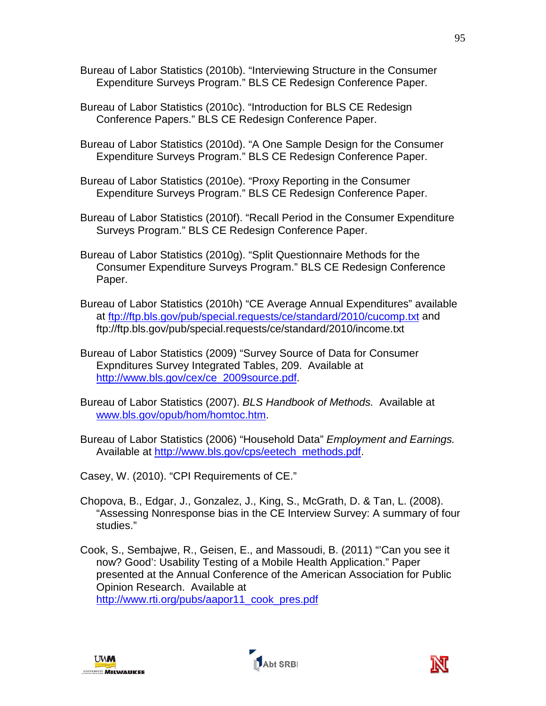- Bureau of Labor Statistics (2010b). "Interviewing Structure in the Consumer Expenditure Surveys Program." BLS CE Redesign Conference Paper.
- Bureau of Labor Statistics (2010c). "Introduction for BLS CE Redesign Conference Papers." BLS CE Redesign Conference Paper.
- Bureau of Labor Statistics (2010d). "A One Sample Design for the Consumer Expenditure Surveys Program." BLS CE Redesign Conference Paper.
- Bureau of Labor Statistics (2010e). "Proxy Reporting in the Consumer Expenditure Surveys Program." BLS CE Redesign Conference Paper.
- Bureau of Labor Statistics (2010f). "Recall Period in the Consumer Expenditure Surveys Program." BLS CE Redesign Conference Paper.
- Bureau of Labor Statistics (2010g). "Split Questionnaire Methods for the Consumer Expenditure Surveys Program." BLS CE Redesign Conference Paper.
- Bureau of Labor Statistics (2010h) "CE Average Annual Expenditures" available at<ftp://ftp.bls.gov/pub/special.requests/ce/standard/2010/cucomp.txt> and ftp://ftp.bls.gov/pub/special.requests/ce/standard/2010/income.txt
- Bureau of Labor Statistics (2009) "Survey Source of Data for Consumer Expnditures Survey Integrated Tables, 209. Available at [http://www.bls.gov/cex/ce\\_2009source.pdf.](http://www.bls.gov/cex/ce_2009source.pdf)
- Bureau of Labor Statistics (2007). *BLS Handbook of Methods.* Available at [www.bls.gov/opub/hom/homtoc.htm.](http://www.bls.gov/opub/hom/homtoc.htm)
- Bureau of Labor Statistics (2006) "Household Data" *Employment and Earnings.*  Available at [http://www.bls.gov/cps/eetech\\_methods.pdf.](http://www.bls.gov/cps/eetech_methods.pdf)
- Casey, W. (2010). "CPI Requirements of CE."
- Chopova, B., Edgar, J., Gonzalez, J., King, S., McGrath, D. & Tan, L. (2008). "Assessing Nonresponse bias in the CE Interview Survey: A summary of four studies."
- Cook, S., Sembajwe, R., Geisen, E., and Massoudi, B. (2011) "'Can you see it now? Good': Usability Testing of a Mobile Health Application." Paper presented at the Annual Conference of the American Association for Public Opinion Research. Available at [http://www.rti.org/pubs/aapor11\\_cook\\_pres.pdf](http://www.rti.org/pubs/aapor11_cook_pres.pdf)





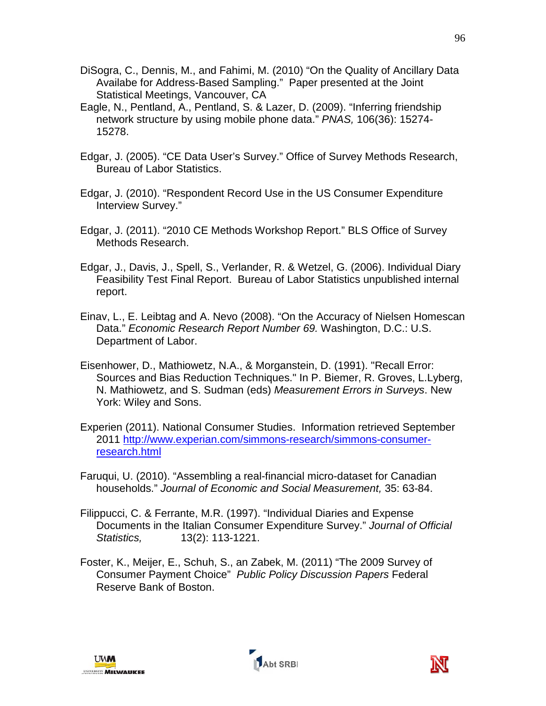- DiSogra, C., Dennis, M., and Fahimi, M. (2010) "On the Quality of Ancillary Data Availabe for Address-Based Sampling." Paper presented at the Joint Statistical Meetings, Vancouver, CA
- Eagle, N., Pentland, A., Pentland, S. & Lazer, D. (2009). "Inferring friendship network structure by using mobile phone data." *PNAS,* 106(36): 15274- 15278.
- Edgar, J. (2005). "CE Data User's Survey." Office of Survey Methods Research, Bureau of Labor Statistics.
- Edgar, J. (2010). "Respondent Record Use in the US Consumer Expenditure Interview Survey."
- Edgar, J. (2011). "2010 CE Methods Workshop Report." BLS Office of Survey Methods Research.
- Edgar, J., Davis, J., Spell, S., Verlander, R. & Wetzel, G. (2006). Individual Diary Feasibility Test Final Report. Bureau of Labor Statistics unpublished internal report.
- Einav, L., E. Leibtag and A. Nevo (2008). "On the Accuracy of Nielsen Homescan Data." *Economic Research Report Number 69.* Washington, D.C.: U.S. Department of Labor.
- Eisenhower, D., Mathiowetz, N.A., & Morganstein, D. (1991). "Recall Error: Sources and Bias Reduction Techniques." In P. Biemer, R. Groves, L.Lyberg, N. Mathiowetz, and S. Sudman (eds) *Measurement Errors in Surveys*. New York: Wiley and Sons.
- Experien (2011). National Consumer Studies. Information retrieved September 2011 [http://www.experian.com/simmons-research/simmons-consumer](http://www.experian.com/simmons-research/simmons-consumer-research.html)[research.html](http://www.experian.com/simmons-research/simmons-consumer-research.html)
- Faruqui, U. (2010). "Assembling a real-financial micro-dataset for Canadian households." *Journal of Economic and Social Measurement,* 35: 63-84.
- Filippucci, C. & Ferrante, M.R. (1997). "Individual Diaries and Expense Documents in the Italian Consumer Expenditure Survey." *Journal of Official Statistics,* 13(2): 113-1221.
- Foster, K., Meijer, E., Schuh, S., an Zabek, M. (2011) "The 2009 Survey of Consumer Payment Choice" *Public Policy Discussion Papers* Federal Reserve Bank of Boston.



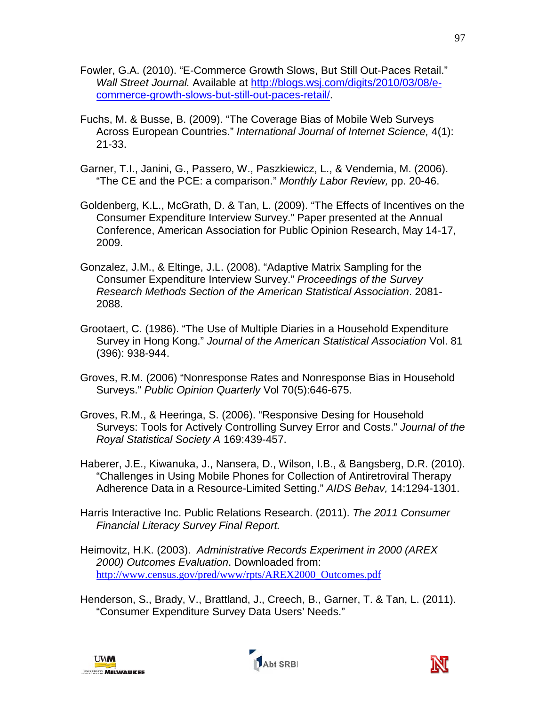- Fowler, G.A. (2010). "E-Commerce Growth Slows, But Still Out-Paces Retail." *Wall Street Journal.* Available at [http://blogs.wsj.com/digits/2010/03/08/e](http://blogs.wsj.com/digits/2010/03/08/e-commerce-growth-slows-but-still-out-paces-retail/)[commerce-growth-slows-but-still-out-paces-retail/.](http://blogs.wsj.com/digits/2010/03/08/e-commerce-growth-slows-but-still-out-paces-retail/)
- Fuchs, M. & Busse, B. (2009). "The Coverage Bias of Mobile Web Surveys Across European Countries." *International Journal of Internet Science,* 4(1): 21-33.
- Garner, T.I., Janini, G., Passero, W., Paszkiewicz, L., & Vendemia, M. (2006). "The CE and the PCE: a comparison." *Monthly Labor Review,* pp. 20-46.
- Goldenberg, K.L., McGrath, D. & Tan, L. (2009). "The Effects of Incentives on the Consumer Expenditure Interview Survey." Paper presented at the Annual Conference, American Association for Public Opinion Research, May 14-17, 2009.
- Gonzalez, J.M., & Eltinge, J.L. (2008). "Adaptive Matrix Sampling for the Consumer Expenditure Interview Survey." *Proceedings of the Survey Research Methods Section of the American Statistical Association*. 2081- 2088.
- Grootaert, C. (1986). "The Use of Multiple Diaries in a Household Expenditure Survey in Hong Kong." *Journal of the American Statistical Association* Vol. 81 (396): 938-944.
- Groves, R.M. (2006) "Nonresponse Rates and Nonresponse Bias in Household Surveys." *Public Opinion Quarterly* Vol 70(5):646-675.
- Groves, R.M., & Heeringa, S. (2006). "Responsive Desing for Household Surveys: Tools for Actively Controlling Survey Error and Costs." *Journal of the Royal Statistical Society A* 169:439-457.
- Haberer, J.E., Kiwanuka, J., Nansera, D., Wilson, I.B., & Bangsberg, D.R. (2010). "Challenges in Using Mobile Phones for Collection of Antiretroviral Therapy Adherence Data in a Resource-Limited Setting." *AIDS Behav,* 14:1294-1301.
- Harris Interactive Inc. Public Relations Research. (2011). *The 2011 Consumer Financial Literacy Survey Final Report.*
- Heimovitz, H.K. (2003). *Administrative Records Experiment in 2000 (AREX 2000) Outcomes Evaluation*. Downloaded from: [http://www.census.gov/pred/www/rpts/AREX2000\\_Outcomes.pdf](http://www.census.gov/pred/www/rpts/AREX2000_Outcomes.pdf)
- Henderson, S., Brady, V., Brattland, J., Creech, B., Garner, T. & Tan, L. (2011). "Consumer Expenditure Survey Data Users' Needs."





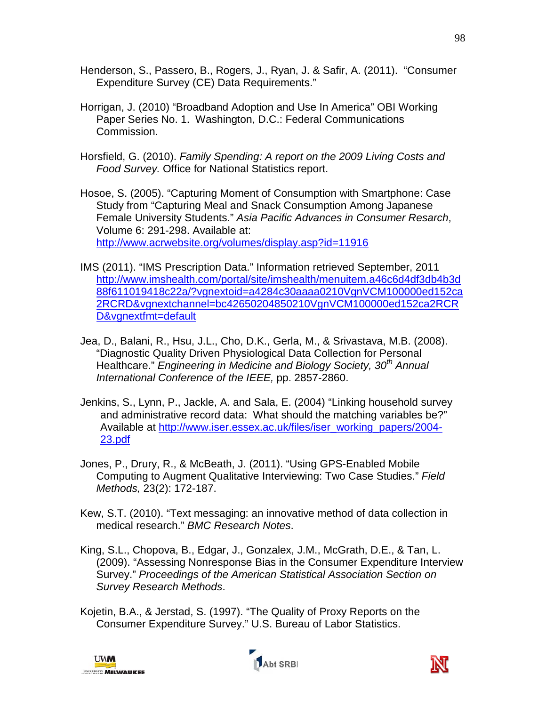- Henderson, S., Passero, B., Rogers, J., Ryan, J. & Safir, A. (2011). "Consumer Expenditure Survey (CE) Data Requirements."
- Horrigan, J. (2010) "Broadband Adoption and Use In America" OBI Working Paper Series No. 1. Washington, D.C.: Federal Communications Commission.
- Horsfield, G. (2010). *Family Spending: A report on the 2009 Living Costs and Food Survey.* Office for National Statistics report.
- Hosoe, S. (2005). "Capturing Moment of Consumption with Smartphone: Case Study from "Capturing Meal and Snack Consumption Among Japanese Female University Students." *Asia Pacific Advances in Consumer Resarch*, Volume 6: 291-298. Available at: <http://www.acrwebsite.org/volumes/display.asp?id=11916>
- IMS (2011). "IMS Prescription Data." Information retrieved September, 2011 [http://www.imshealth.com/portal/site/imshealth/menuitem.a46c6d4df3db4b3d](http://www.imshealth.com/portal/site/imshealth/menuitem.a46c6d4df3db4b3d88f611019418c22a/?vgnextoid=a4284c30aaaa0210VgnVCM100000ed152ca2RCRD&vgnextchannel=bc42650204850210VgnVCM100000ed152ca2RCRD&vgnextfmt=default) [88f611019418c22a/?vgnextoid=a4284c30aaaa0210VgnVCM100000ed152ca](http://www.imshealth.com/portal/site/imshealth/menuitem.a46c6d4df3db4b3d88f611019418c22a/?vgnextoid=a4284c30aaaa0210VgnVCM100000ed152ca2RCRD&vgnextchannel=bc42650204850210VgnVCM100000ed152ca2RCRD&vgnextfmt=default) [2RCRD&vgnextchannel=bc42650204850210VgnVCM100000ed152ca2RCR](http://www.imshealth.com/portal/site/imshealth/menuitem.a46c6d4df3db4b3d88f611019418c22a/?vgnextoid=a4284c30aaaa0210VgnVCM100000ed152ca2RCRD&vgnextchannel=bc42650204850210VgnVCM100000ed152ca2RCRD&vgnextfmt=default) [D&vgnextfmt=default](http://www.imshealth.com/portal/site/imshealth/menuitem.a46c6d4df3db4b3d88f611019418c22a/?vgnextoid=a4284c30aaaa0210VgnVCM100000ed152ca2RCRD&vgnextchannel=bc42650204850210VgnVCM100000ed152ca2RCRD&vgnextfmt=default)
- Jea, D., Balani, R., Hsu, J.L., Cho, D.K., Gerla, M., & Srivastava, M.B. (2008). "Diagnostic Quality Driven Physiological Data Collection for Personal Healthcare." *Engineering in Medicine and Biology Society, 30th Annual International Conference of the IEEE,* pp. 2857-2860.
- Jenkins, S., Lynn, P., Jackle, A. and Sala, E. (2004) "Linking household survey and administrative record data: What should the matching variables be?" Available at [http://www.iser.essex.ac.uk/files/iser\\_working\\_papers/2004-](http://www.iser.essex.ac.uk/files/iser_working_papers/2004-23.pdf) [23.pdf](http://www.iser.essex.ac.uk/files/iser_working_papers/2004-23.pdf)
- Jones, P., Drury, R., & McBeath, J. (2011). "Using GPS-Enabled Mobile Computing to Augment Qualitative Interviewing: Two Case Studies." *Field Methods,* 23(2): 172-187.
- Kew, S.T. (2010). "Text messaging: an innovative method of data collection in medical research." *BMC Research Notes*.
- King, S.L., Chopova, B., Edgar, J., Gonzalex, J.M., McGrath, D.E., & Tan, L. (2009). "Assessing Nonresponse Bias in the Consumer Expenditure Interview Survey." *Proceedings of the American Statistical Association Section on Survey Research Methods*.
- Kojetin, B.A., & Jerstad, S. (1997). "The Quality of Proxy Reports on the Consumer Expenditure Survey." U.S. Bureau of Labor Statistics.





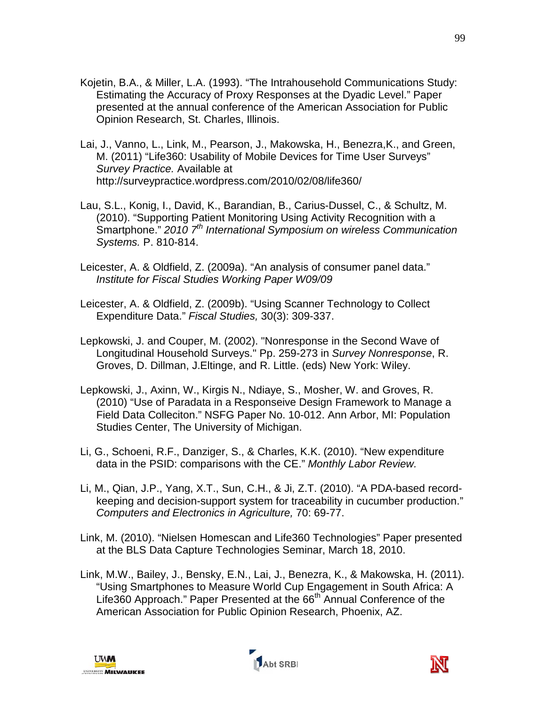- Kojetin, B.A., & Miller, L.A. (1993). "The Intrahousehold Communications Study: Estimating the Accuracy of Proxy Responses at the Dyadic Level." Paper presented at the annual conference of the American Association for Public Opinion Research, St. Charles, Illinois.
- Lai, J., Vanno, L., Link, M., Pearson, J., Makowska, H., Benezra,K., and Green, M. (2011) "Life360: Usability of Mobile Devices for Time User Surveys" *Survey Practice.* Available at http://surveypractice.wordpress.com/2010/02/08/life360/
- Lau, S.L., Konig, I., David, K., Barandian, B., Carius-Dussel, C., & Schultz, M. (2010). "Supporting Patient Monitoring Using Activity Recognition with a Smartphone." *2010* 7<sup>th</sup> International Symposium on wireless Communication *Systems.* P. 810-814.
- Leicester, A. & Oldfield, Z. (2009a). "An analysis of consumer panel data." *Institute for Fiscal Studies Working Paper W09/09*
- Leicester, A. & Oldfield, Z. (2009b). "Using Scanner Technology to Collect Expenditure Data." *Fiscal Studies,* 30(3): 309-337.
- Lepkowski, J. and Couper, M. (2002). "Nonresponse in the Second Wave of Longitudinal Household Surveys." Pp. 259-273 in *Survey Nonresponse*, R. Groves, D. Dillman, J.Eltinge, and R. Little. (eds) New York: Wiley.
- Lepkowski, J., Axinn, W., Kirgis N., Ndiaye, S., Mosher, W. and Groves, R. (2010) "Use of Paradata in a Responseive Design Framework to Manage a Field Data Colleciton." NSFG Paper No. 10-012. Ann Arbor, MI: Population Studies Center, The University of Michigan.
- Li, G., Schoeni, R.F., Danziger, S., & Charles, K.K. (2010). "New expenditure data in the PSID: comparisons with the CE." *Monthly Labor Review.*
- Li, M., Qian, J.P., Yang, X.T., Sun, C.H., & Ji, Z.T. (2010). "A PDA-based recordkeeping and decision-support system for traceability in cucumber production." *Computers and Electronics in Agriculture,* 70: 69-77.
- Link, M. (2010). "Nielsen Homescan and Life360 Technologies" Paper presented at the BLS Data Capture Technologies Seminar, March 18, 2010.
- Link, M.W., Bailey, J., Bensky, E.N., Lai, J., Benezra, K., & Makowska, H. (2011). "Using Smartphones to Measure World Cup Engagement in South Africa: A Life360 Approach." Paper Presented at the 66<sup>th</sup> Annual Conference of the American Association for Public Opinion Research, Phoenix, AZ.





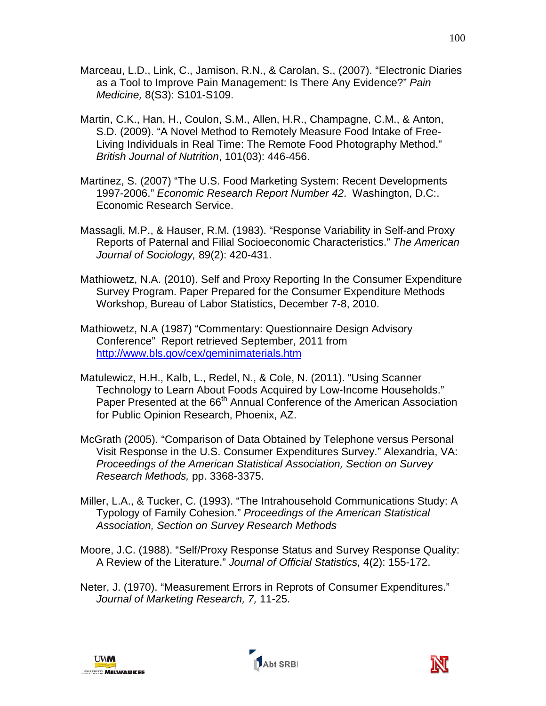- Marceau, L.D., Link, C., Jamison, R.N., & Carolan, S., (2007). "Electronic Diaries as a Tool to Improve Pain Management: Is There Any Evidence?" *Pain Medicine,* 8(S3): S101-S109.
- Martin, C.K., Han, H., Coulon, S.M., Allen, H.R., Champagne, C.M., & Anton, S.D. (2009). "A Novel Method to Remotely Measure Food Intake of Free-Living Individuals in Real Time: The Remote Food Photography Method." *British Journal of Nutrition*, 101(03): 446-456.
- Martinez, S. (2007) "The U.S. Food Marketing System: Recent Developments 1997-2006." *Economic Research Report Number 42*. Washington, D.C:. Economic Research Service.
- Massagli, M.P., & Hauser, R.M. (1983). "Response Variability in Self-and Proxy Reports of Paternal and Filial Socioeconomic Characteristics." *The American Journal of Sociology,* 89(2): 420-431.
- Mathiowetz, N.A. (2010). Self and Proxy Reporting In the Consumer Expenditure Survey Program. Paper Prepared for the Consumer Expenditure Methods Workshop, Bureau of Labor Statistics, December 7-8, 2010.
- Mathiowetz, N.A (1987) "Commentary: Questionnaire Design Advisory Conference" Report retrieved September, 2011 from <http://www.bls.gov/cex/geminimaterials.htm>
- Matulewicz, H.H., Kalb, L., Redel, N., & Cole, N. (2011). "Using Scanner Technology to Learn About Foods Acquired by Low-Income Households." Paper Presented at the 66<sup>th</sup> Annual Conference of the American Association for Public Opinion Research, Phoenix, AZ.
- McGrath (2005). "Comparison of Data Obtained by Telephone versus Personal Visit Response in the U.S. Consumer Expenditures Survey." Alexandria, VA: *Proceedings of the American Statistical Association, Section on Survey Research Methods,* pp. 3368-3375.
- Miller, L.A., & Tucker, C. (1993). "The Intrahousehold Communications Study: A Typology of Family Cohesion." *Proceedings of the American Statistical Association, Section on Survey Research Methods*
- Moore, J.C. (1988). "Self/Proxy Response Status and Survey Response Quality: A Review of the Literature." *Journal of Official Statistics,* 4(2): 155-172.
- Neter, J. (1970). "Measurement Errors in Reprots of Consumer Expenditures." *Journal of Marketing Research, 7,* 11-25.



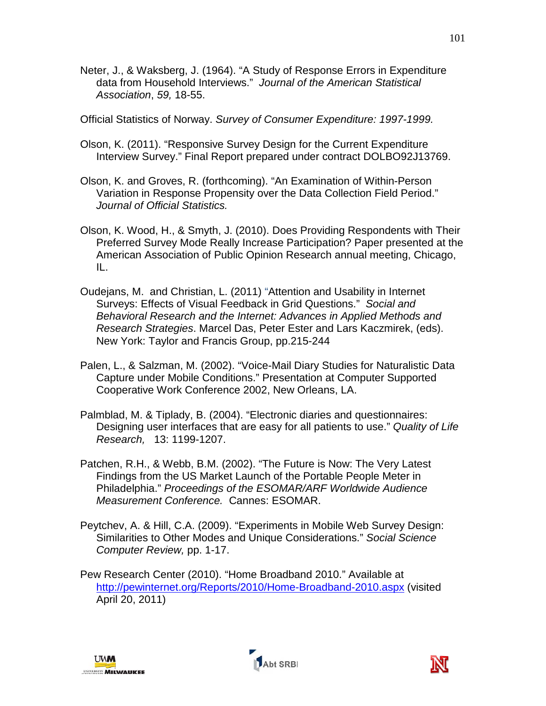Neter, J., & Waksberg, J. (1964). "A Study of Response Errors in Expenditure data from Household Interviews." *Journal of the American Statistical Association*, *59,* 18-55.

Official Statistics of Norway. *Survey of Consumer Expenditure: 1997-1999.*

- Olson, K. (2011). "Responsive Survey Design for the Current Expenditure Interview Survey." Final Report prepared under contract DOLBO92J13769.
- Olson, K. and Groves, R. (forthcoming). "An Examination of Within-Person Variation in Response Propensity over the Data Collection Field Period." *Journal of Official Statistics.*
- Olson, K. Wood, H., & Smyth, J. (2010). Does Providing Respondents with Their Preferred Survey Mode Really Increase Participation? Paper presented at the American Association of Public Opinion Research annual meeting, Chicago, IL.
- Oudejans, M. and Christian, L. (2011) "Attention and Usability in Internet Surveys: Effects of Visual Feedback in Grid Questions." *Social and Behavioral Research and the Internet: Advances in Applied Methods and Research Strategies*. Marcel Das, Peter Ester and Lars Kaczmirek, (eds). New York: Taylor and Francis Group, pp.215-244
- Palen, L., & Salzman, M. (2002). "Voice-Mail Diary Studies for Naturalistic Data Capture under Mobile Conditions." Presentation at Computer Supported Cooperative Work Conference 2002, New Orleans, LA.
- Palmblad, M. & Tiplady, B. (2004). "Electronic diaries and questionnaires: Designing user interfaces that are easy for all patients to use." *Quality of Life Research,* 13: 1199-1207.
- Patchen, R.H., & Webb, B.M. (2002). "The Future is Now: The Very Latest Findings from the US Market Launch of the Portable People Meter in Philadelphia." *Proceedings of the ESOMAR/ARF Worldwide Audience Measurement Conference.* Cannes: ESOMAR.
- Peytchev, A. & Hill, C.A. (2009). "Experiments in Mobile Web Survey Design: Similarities to Other Modes and Unique Considerations." *Social Science Computer Review,* pp. 1-17.
- Pew Research Center (2010). "Home Broadband 2010." Available at <http://pewinternet.org/Reports/2010/Home-Broadband-2010.aspx> (visited April 20, 2011)





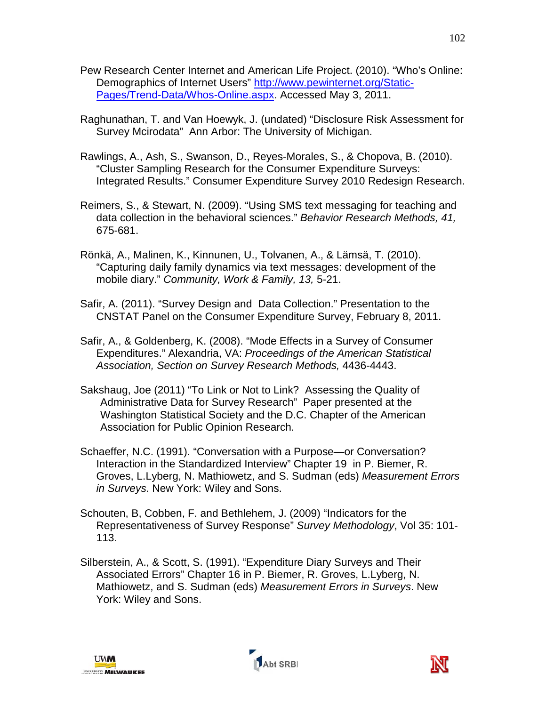- Pew Research Center Internet and American Life Project. (2010). "Who's Online: Demographics of Internet Users" [http://www.pewinternet.org/Static-](http://www.pewinternet.org/Static-Pages/Trend-Data/Whos-Online.aspx)[Pages/Trend-Data/Whos-Online.aspx.](http://www.pewinternet.org/Static-Pages/Trend-Data/Whos-Online.aspx) Accessed May 3, 2011.
- Raghunathan, T. and Van Hoewyk, J. (undated) "Disclosure Risk Assessment for Survey Mcirodata" Ann Arbor: The University of Michigan.
- Rawlings, A., Ash, S., Swanson, D., Reyes-Morales, S., & Chopova, B. (2010). "Cluster Sampling Research for the Consumer Expenditure Surveys: Integrated Results." Consumer Expenditure Survey 2010 Redesign Research.
- Reimers, S., & Stewart, N. (2009). "Using SMS text messaging for teaching and data collection in the behavioral sciences." *Behavior Research Methods, 41,* 675-681.
- Rönkä, A., Malinen, K., Kinnunen, U., Tolvanen, A., & Lämsä, T. (2010). "Capturing daily family dynamics via text messages: development of the mobile diary." *Community, Work & Family, 13,* 5-21.
- Safir, A. (2011). "Survey Design and Data Collection." Presentation to the CNSTAT Panel on the Consumer Expenditure Survey, February 8, 2011.
- Safir, A., & Goldenberg, K. (2008). "Mode Effects in a Survey of Consumer Expenditures." Alexandria, VA: *Proceedings of the American Statistical Association, Section on Survey Research Methods,* 4436-4443.
- Sakshaug, Joe (2011) "To Link or Not to Link? Assessing the Quality of Administrative Data for Survey Research" Paper presented at the Washington Statistical Society and the D.C. Chapter of the American Association for Public Opinion Research.
- Schaeffer, N.C. (1991). "Conversation with a Purpose—or Conversation? Interaction in the Standardized Interview" Chapter 19 in P. Biemer, R. Groves, L.Lyberg, N. Mathiowetz, and S. Sudman (eds) *Measurement Errors in Surveys*. New York: Wiley and Sons.
- Schouten, B, Cobben, F. and Bethlehem, J. (2009) "Indicators for the Representativeness of Survey Response" *Survey Methodology*, Vol 35: 101- 113.
- Silberstein, A., & Scott, S. (1991). "Expenditure Diary Surveys and Their Associated Errors" Chapter 16 in P. Biemer, R. Groves, L.Lyberg, N. Mathiowetz, and S. Sudman (eds) *Measurement Errors in Surveys*. New York: Wiley and Sons.





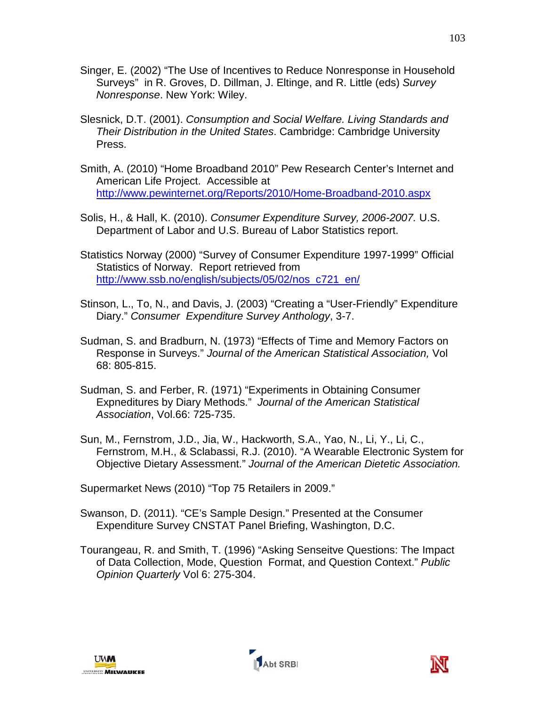- Singer, E. (2002) "The Use of Incentives to Reduce Nonresponse in Household Surveys" in R. Groves, D. Dillman, J. Eltinge, and R. Little (eds) *Survey Nonresponse*. New York: Wiley.
- Slesnick, D.T. (2001). *Consumption and Social Welfare. Living Standards and Their Distribution in the United States*. Cambridge: Cambridge University Press.
- Smith, A. (2010) "Home Broadband 2010" Pew Research Center's Internet and American Life Project. Accessible at <http://www.pewinternet.org/Reports/2010/Home-Broadband-2010.aspx>
- Solis, H., & Hall, K. (2010). *Consumer Expenditure Survey, 2006-2007.* U.S. Department of Labor and U.S. Bureau of Labor Statistics report.
- Statistics Norway (2000) "Survey of Consumer Expenditure 1997-1999" Official Statistics of Norway. Report retrieved from [http://www.ssb.no/english/subjects/05/02/nos\\_c721\\_en/](http://www.ssb.no/english/subjects/05/02/nos_c721_en/)
- Stinson, L., To, N., and Davis, J. (2003) "Creating a "User-Friendly" Expenditure Diary." *Consumer Expenditure Survey Anthology*, 3-7.
- Sudman, S. and Bradburn, N. (1973) "Effects of Time and Memory Factors on Response in Surveys." *Journal of the American Statistical Association,* Vol 68: 805-815.
- Sudman, S. and Ferber, R. (1971) "Experiments in Obtaining Consumer Expneditures by Diary Methods." *Journal of the American Statistical Association*, Vol.66: 725-735.
- Sun, M., Fernstrom, J.D., Jia, W., Hackworth, S.A., Yao, N., Li, Y., Li, C., Fernstrom, M.H., & Sclabassi, R.J. (2010). "A Wearable Electronic System for Objective Dietary Assessment." *Journal of the American Dietetic Association.*
- Supermarket News (2010) "Top 75 Retailers in 2009."
- Swanson, D. (2011). "CE's Sample Design." Presented at the Consumer Expenditure Survey CNSTAT Panel Briefing, Washington, D.C.
- Tourangeau, R. and Smith, T. (1996) "Asking Senseitve Questions: The Impact of Data Collection, Mode, Question Format, and Question Context." *Public Opinion Quarterly* Vol 6: 275-304.